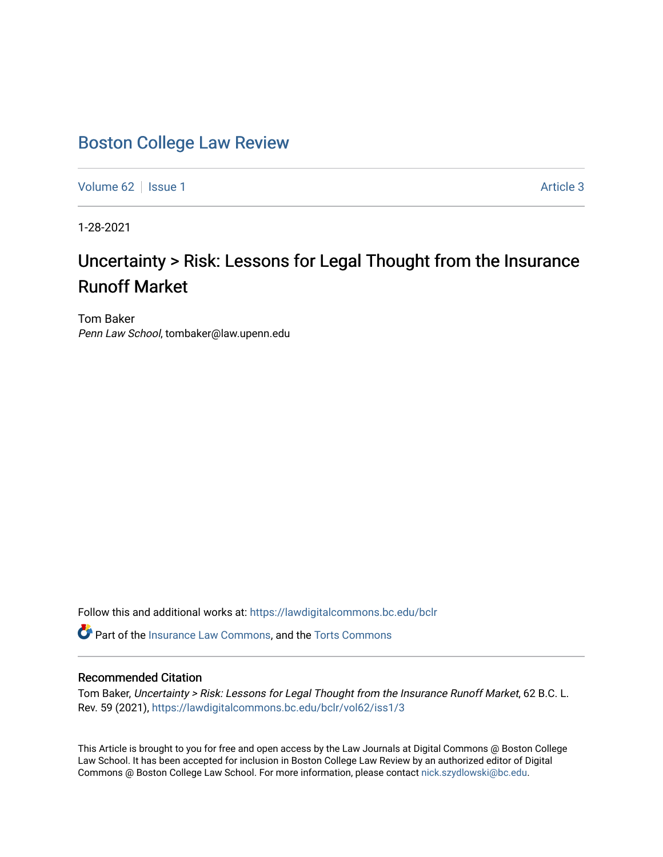## [Boston College Law Review](https://lawdigitalcommons.bc.edu/bclr)

[Volume 62](https://lawdigitalcommons.bc.edu/bclr/vol62) | [Issue 1](https://lawdigitalcommons.bc.edu/bclr/vol62/iss1) Article 3

1-28-2021

# Uncertainty > Risk: Lessons for Legal Thought from the Insurance Runoff Market

Tom Baker Penn Law School, tombaker@law.upenn.edu

Follow this and additional works at: [https://lawdigitalcommons.bc.edu/bclr](https://lawdigitalcommons.bc.edu/bclr?utm_source=lawdigitalcommons.bc.edu%2Fbclr%2Fvol62%2Fiss1%2F3&utm_medium=PDF&utm_campaign=PDFCoverPages) 

Part of the [Insurance Law Commons](http://network.bepress.com/hgg/discipline/607?utm_source=lawdigitalcommons.bc.edu%2Fbclr%2Fvol62%2Fiss1%2F3&utm_medium=PDF&utm_campaign=PDFCoverPages), and the [Torts Commons](http://network.bepress.com/hgg/discipline/913?utm_source=lawdigitalcommons.bc.edu%2Fbclr%2Fvol62%2Fiss1%2F3&utm_medium=PDF&utm_campaign=PDFCoverPages)

### Recommended Citation

Tom Baker, Uncertainty > Risk: Lessons for Legal Thought from the Insurance Runoff Market, 62 B.C. L. Rev. 59 (2021), [https://lawdigitalcommons.bc.edu/bclr/vol62/iss1/3](https://lawdigitalcommons.bc.edu/bclr/vol62/iss1/3?utm_source=lawdigitalcommons.bc.edu%2Fbclr%2Fvol62%2Fiss1%2F3&utm_medium=PDF&utm_campaign=PDFCoverPages) 

This Article is brought to you for free and open access by the Law Journals at Digital Commons @ Boston College Law School. It has been accepted for inclusion in Boston College Law Review by an authorized editor of Digital Commons @ Boston College Law School. For more information, please contact [nick.szydlowski@bc.edu.](mailto:nick.szydlowski@bc.edu)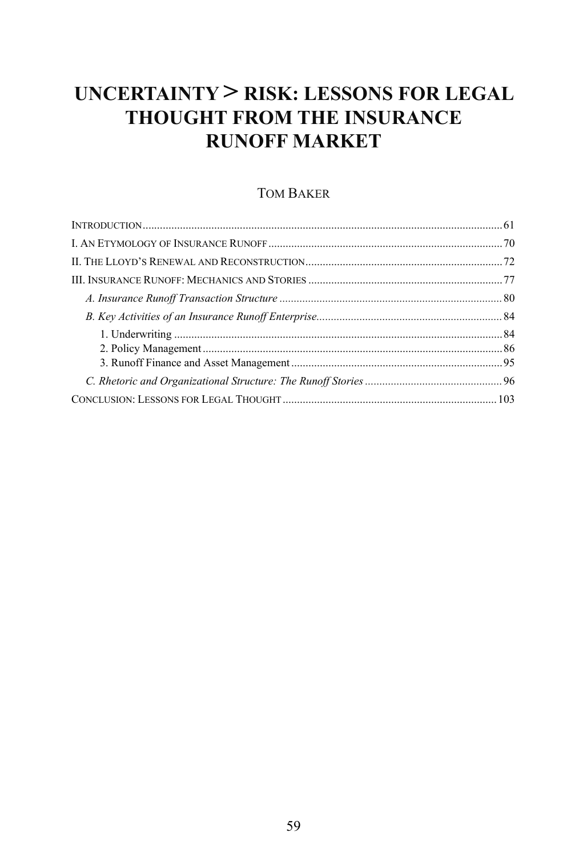## **UNCERTAINTY > RISK: LESSONS FOR LEGAL THOUGHT FROM THE INSURANCE RUNOFF MARKET**

### TOM BAKER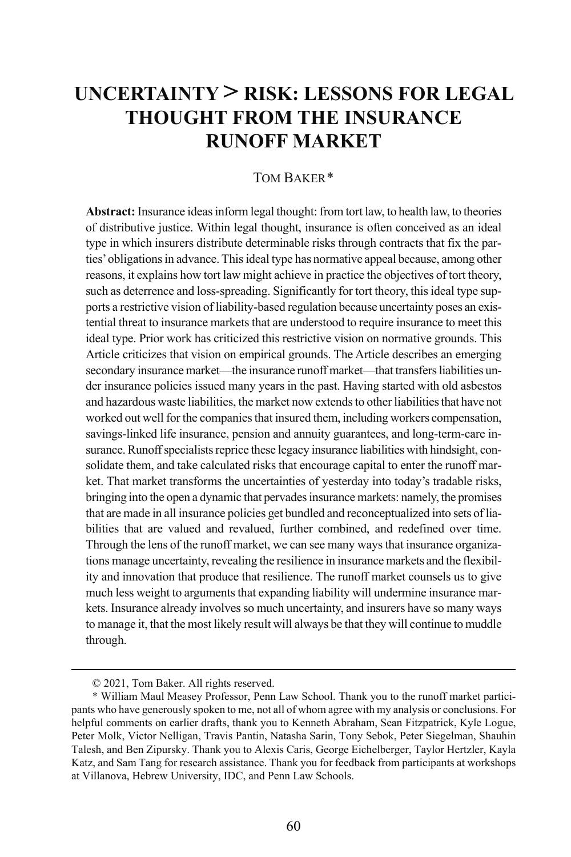### **UNCERTAINTY > RISK: LESSONS FOR LEGAL THOUGHT FROM THE INSURANCE RUNOFF MARKET**

#### TOM BAKER[\\*](#page-2-0)

**Abstract:** Insurance ideas inform legal thought: from tort law, to health law, to theories of distributive justice. Within legal thought, insurance is often conceived as an ideal type in which insurers distribute determinable risks through contracts that fix the parties' obligations in advance. This ideal type has normative appeal because, among other reasons, it explains how tort law might achieve in practice the objectives of tort theory, such as deterrence and loss-spreading. Significantly for tort theory, this ideal type supports a restrictive vision of liability-based regulation because uncertainty poses an existential threat to insurance markets that are understood to require insurance to meet this ideal type. Prior work has criticized this restrictive vision on normative grounds. This Article criticizes that vision on empirical grounds. The Article describes an emerging secondary insurance market—the insurance runoff market—that transfers liabilities under insurance policies issued many years in the past. Having started with old asbestos and hazardous waste liabilities, the market now extends to other liabilities that have not worked out well for the companies that insured them, including workers compensation, savings-linked life insurance, pension and annuity guarantees, and long-term-care insurance.Runoff specialists reprice these legacy insurance liabilities with hindsight, consolidate them, and take calculated risks that encourage capital to enter the runoff market. That market transforms the uncertainties of yesterday into today's tradable risks, bringing into the open a dynamic that pervades insurance markets: namely, the promises that are made in all insurance policies get bundled and reconceptualized into sets of liabilities that are valued and revalued, further combined, and redefined over time. Through the lens of the runoff market, we can see many ways that insurance organizations manage uncertainty, revealing the resilience in insurance markets and the flexibility and innovation that produce that resilience. The runoff market counsels us to give much less weight to arguments that expanding liability will undermine insurance markets. Insurance already involves so much uncertainty, and insurers have so many ways to manage it, that the most likely result will always be that they will continue to muddle through.

 <sup>© 2021,</sup> Tom Baker. All rights reserved.

<span id="page-2-0"></span><sup>\*</sup> William Maul Measey Professor, Penn Law School. Thank you to the runoff market participants who have generously spoken to me, not all of whom agree with my analysis or conclusions. For helpful comments on earlier drafts, thank you to Kenneth Abraham, Sean Fitzpatrick, Kyle Logue, Peter Molk, Victor Nelligan, Travis Pantin, Natasha Sarin, Tony Sebok, Peter Siegelman, Shauhin Talesh, and Ben Zipursky. Thank you to Alexis Caris, George Eichelberger, Taylor Hertzler, Kayla Katz, and Sam Tang for research assistance. Thank you for feedback from participants at workshops at Villanova, Hebrew University, IDC, and Penn Law Schools.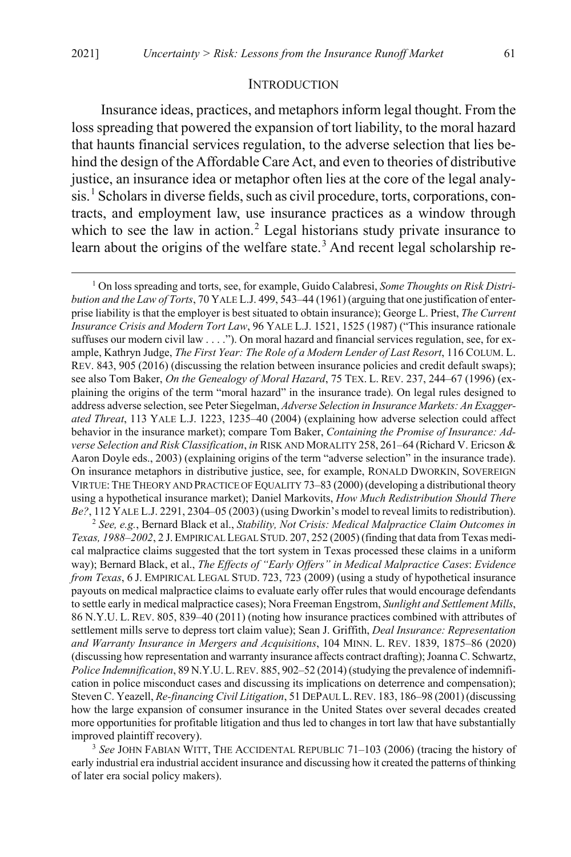#### <span id="page-3-4"></span>INTRODUCTION

<span id="page-3-3"></span>Insurance ideas, practices, and metaphors inform legal thought. From the loss spreading that powered the expansion of tort liability, to the moral hazard that haunts financial services regulation, to the adverse selection that lies behind the design of the Affordable Care Act, and even to theories of distributive justice, an insurance idea or metaphor often lies at the core of the legal analy-sis.<sup>[1](#page-3-0)</sup> Scholars in diverse fields, such as civil procedure, torts, corporations, contracts, and employment law, use insurance practices as a window through which to see the law in action.<sup>[2](#page-3-1)</sup> Legal historians study private insurance to learn about the origins of the welfare state.<sup>[3](#page-3-2)</sup> And recent legal scholarship re-

<span id="page-3-0"></span> 1 On loss spreading and torts, see, for example, Guido Calabresi, *Some Thoughts on Risk Distribution and the Law of Torts*, 70 YALE L.J. 499, 543–44 (1961) (arguing that one justification of enterprise liability is that the employer is best situated to obtain insurance); George L. Priest, *The Current Insurance Crisis and Modern Tort Law*, 96 YALE L.J. 1521, 1525 (1987) ("This insurance rationale suffuses our modern civil law . . . ."). On moral hazard and financial services regulation, see, for example, Kathryn Judge, *The First Year: The Role of a Modern Lender of Last Resort*, 116 COLUM. L. REV. 843, 905 (2016) (discussing the relation between insurance policies and credit default swaps); see also Tom Baker, *On the Genealogy of Moral Hazard*, 75 TEX. L. REV. 237, 244–67 (1996) (explaining the origins of the term "moral hazard" in the insurance trade). On legal rules designed to address adverse selection, see Peter Siegelman, *Adverse Selection in Insurance Markets: An Exaggerated Threat*, 113 YALE L.J. 1223, 1235–40 (2004) (explaining how adverse selection could affect behavior in the insurance market); compare Tom Baker, *Containing the Promise of Insurance: Adverse Selection and Risk Classification*, *in* RISK AND MORALITY 258, 261–64 (Richard V. Ericson & Aaron Doyle eds., 2003) (explaining origins of the term "adverse selection" in the insurance trade). On insurance metaphors in distributive justice, see, for example, RONALD DWORKIN, SOVEREIGN VIRTUE:THE THEORY AND PRACTICE OF EQUALITY 73–83 (2000) (developing a distributional theory using a hypothetical insurance market); Daniel Markovits, *How Much Redistribution Should There Be?*, 112 YALE L.J. 2291, 2304–05 (2003) (using Dworkin's model to reveal limits to redistribution).

<span id="page-3-1"></span><sup>2</sup> *See, e.g.*, Bernard Black et al., *Stability, Not Crisis: Medical Malpractice Claim Outcomes in Texas, 1988–2002*, 2 J.EMPIRICAL LEGAL STUD. 207, 252 (2005) (finding that data from Texas medical malpractice claims suggested that the tort system in Texas processed these claims in a uniform way); Bernard Black, et al., *The Effects of "Early Offers" in Medical Malpractice Cases*: *Evidence from Texas*, 6 J. EMPIRICAL LEGAL STUD. 723, 723 (2009) (using a study of hypothetical insurance payouts on medical malpractice claims to evaluate early offer rules that would encourage defendants to settle early in medical malpractice cases); Nora Freeman Engstrom, *Sunlight and Settlement Mills*, 86 N.Y.U. L. REV. 805, 839–40 (2011) (noting how insurance practices combined with attributes of settlement mills serve to depress tort claim value); Sean J. Griffith, *Deal Insurance: Representation and Warranty Insurance in Mergers and Acquisitions*, 104 MINN. L. REV. 1839, 1875–86 (2020) (discussing how representation and warranty insurance affects contract drafting); Joanna C. Schwartz, *Police Indemnification*, 89 N.Y.U.L.REV. 885, 902–52 (2014) (studying the prevalence of indemnification in police misconduct cases and discussing its implications on deterrence and compensation); Steven C. Yeazell, *Re-financing Civil Litigation*, 51 DEPAUL L.REV. 183, 186–98 (2001) (discussing how the large expansion of consumer insurance in the United States over several decades created more opportunities for profitable litigation and thus led to changes in tort law that have substantially improved plaintiff recovery).

<span id="page-3-2"></span>3  *See* JOHN FABIAN WITT, THE ACCIDENTAL REPUBLIC 71–103 (2006) (tracing the history of early industrial era industrial accident insurance and discussing how it created the patterns of thinking of later era social policy makers).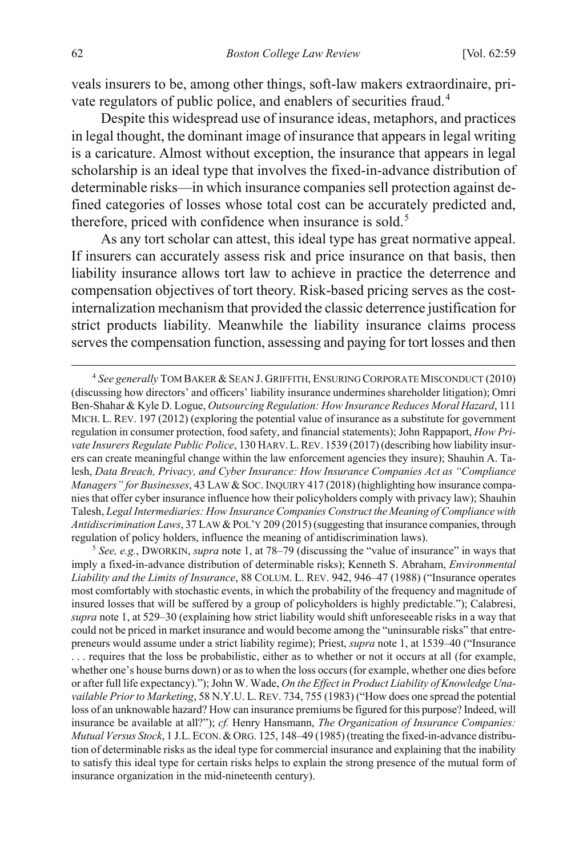<span id="page-4-3"></span>veals insurers to be, among other things, soft-law makers extraordinaire, pri-vate regulators of public police, and enablers of securities fraud.<sup>[4](#page-4-0)</sup>

Despite this widespread use of insurance ideas, metaphors, and practices in legal thought, the dominant image of insurance that appears in legal writing is a caricature. Almost without exception, the insurance that appears in legal scholarship is an ideal type that involves the fixed-in-advance distribution of determinable risks—in which insurance companies sell protection against defined categories of losses whose total cost can be accurately predicted and, therefore, priced with confidence when insurance is sold.<sup>[5](#page-4-1)</sup>

<span id="page-4-2"></span>As any tort scholar can attest, this ideal type has great normative appeal. If insurers can accurately assess risk and price insurance on that basis, then liability insurance allows tort law to achieve in practice the deterrence and compensation objectives of tort theory. Risk-based pricing serves as the costinternalization mechanism that provided the classic deterrence justification for strict products liability. Meanwhile the liability insurance claims process serves the compensation function, assessing and paying for tort losses and then

<span id="page-4-1"></span><sup>5</sup> *See, e.g.*, DWORKIN, *supra* not[e 1,](#page-3-3) at 78–79 (discussing the "value of insurance" in ways that imply a fixed-in-advance distribution of determinable risks); Kenneth S. Abraham, *Environmental Liability and the Limits of Insurance*, 88 COLUM. L. REV. 942, 946–47 (1988) ("Insurance operates most comfortably with stochastic events, in which the probability of the frequency and magnitude of insured losses that will be suffered by a group of policyholders is highly predictable."); Calabresi, *supra* note [1,](#page-3-3) at 529–30 (explaining how strict liability would shift unforeseeable risks in a way that could not be priced in market insurance and would become among the "uninsurable risks" that entrepreneurs would assume under a strict liability regime); Priest, *supra* not[e 1,](#page-3-3) at 1539–40 ("Insurance . . . requires that the loss be probabilistic, either as to whether or not it occurs at all (for example, whether one's house burns down) or as to when the loss occurs (for example, whether one dies before or after full life expectancy)."); John W. Wade, *On the Effect in Product Liability of Knowledge Unavailable Prior to Marketing*, 58 N.Y.U. L. REV. 734, 755 (1983) ("How does one spread the potential loss of an unknowable hazard? How can insurance premiums be figured for this purpose? Indeed, will insurance be available at all?"); *cf.* Henry Hansmann, *The Organization of Insurance Companies: Mutual Versus Stock*, 1 J.L.ECON.&ORG. 125, 148–49 (1985) (treating the fixed-in-advance distribution of determinable risks as the ideal type for commercial insurance and explaining that the inability to satisfy this ideal type for certain risks helps to explain the strong presence of the mutual form of insurance organization in the mid-nineteenth century).

<span id="page-4-0"></span> $\overline{4}$  *See generally* TOM BAKER &SEAN J. GRIFFITH, ENSURING CORPORATE MISCONDUCT (2010) (discussing how directors' and officers' liability insurance undermines shareholder litigation); Omri Ben-Shahar & Kyle D. Logue, *Outsourcing Regulation: How Insurance Reduces Moral Hazard*, 111 MICH. L. REV. 197 (2012) (exploring the potential value of insurance as a substitute for government regulation in consumer protection, food safety, and financial statements); John Rappaport, *How Private Insurers Regulate Public Police*, 130 HARV.L.REV. 1539 (2017) (describing how liability insurers can create meaningful change within the law enforcement agencies they insure); Shauhin A. Talesh, *Data Breach, Privacy, and Cyber Insurance: How Insurance Companies Act as "Compliance Managers" for Businesses*, 43 LAW & SOC. INQUIRY 417 (2018) (highlighting how insurance companies that offer cyber insurance influence how their policyholders comply with privacy law); Shauhin Talesh, *Legal Intermediaries: How Insurance Companies Construct the Meaning of Compliance with Antidiscrimination Laws*, 37 LAW &POL'Y 209 (2015) (suggesting that insurance companies, through regulation of policy holders, influence the meaning of antidiscrimination laws).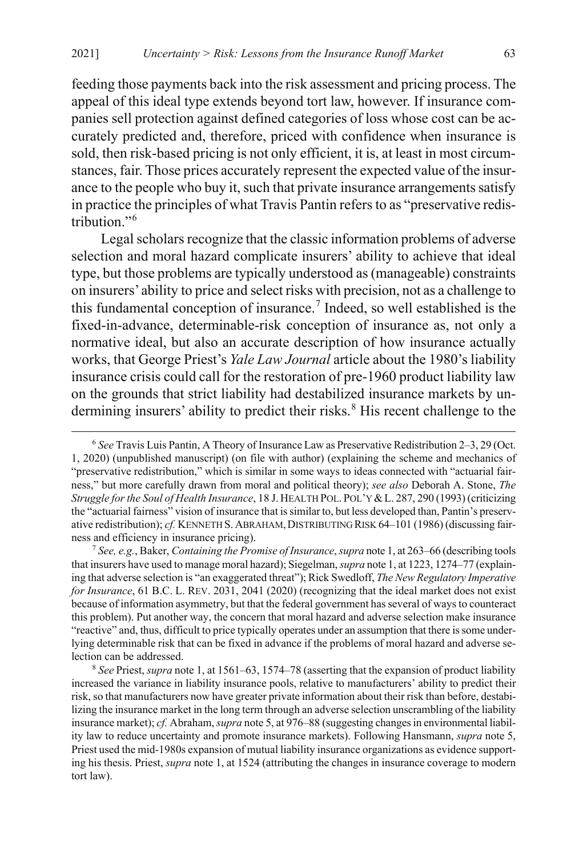feeding those payments back into the risk assessment and pricing process. The appeal of this ideal type extends beyond tort law, however. If insurance companies sell protection against defined categories of loss whose cost can be accurately predicted and, therefore, priced with confidence when insurance is sold, then risk-based pricing is not only efficient, it is, at least in most circumstances, fair. Those prices accurately represent the expected value of the insurance to the people who buy it, such that private insurance arrangements satisfy in practice the principles of what Travis Pantin refers to as "preservative redistribution."[6](#page-5-0)

<span id="page-5-3"></span>Legal scholars recognize that the classic information problems of adverse selection and moral hazard complicate insurers' ability to achieve that ideal type, but those problems are typically understood as (manageable) constraints on insurers' ability to price and select risks with precision, not as a challenge to this fundamental conception of insurance.<sup>[7](#page-5-1)</sup> Indeed, so well established is the fixed-in-advance, determinable-risk conception of insurance as, not only a normative ideal, but also an accurate description of how insurance actually works, that George Priest's *Yale Law Journal* article about the 1980's liability insurance crisis could call for the restoration of pre-1960 product liability law on the grounds that strict liability had destabilized insurance markets by un-dermining insurers' ability to predict their risks.<sup>[8](#page-5-2)</sup> His recent challenge to the

<span id="page-5-0"></span> <sup>6</sup>  *See* Travis Luis Pantin, A Theory of Insurance Law as Preservative Redistribution 2–3, 29 (Oct. 1, 2020) (unpublished manuscript) (on file with author) (explaining the scheme and mechanics of "preservative redistribution," which is similar in some ways to ideas connected with "actuarial fairness," but more carefully drawn from moral and political theory); *see also* Deborah A. Stone, *The Struggle for the Soul of Health Insurance*, 18 J. HEALTH POL. POL'Y &L. 287, 290 (1993) (criticizing the "actuarial fairness" vision of insurance that is similar to, but less developed than, Pantin's preservative redistribution); *cf.* KENNETH S. ABRAHAM, DISTRIBUTING RISK 64-101 (1986) (discussing fairness and efficiency in insurance pricing). 7 *See, e.g.*, Baker, *Containing the Promise of Insurance*, *supra* not[e 1,](#page-3-3) at 263–66 (describing tools

<span id="page-5-1"></span>that insurers have used to manage moral hazard); Siegelman, *supra* not[e 1,](#page-3-3) at 1223, 1274–77 (explaining that adverse selection is "an exaggerated threat"); Rick Swedloff, *The New Regulatory Imperative for Insurance*, 61 B.C. L. REV. 2031, 2041 (2020) (recognizing that the ideal market does not exist because of information asymmetry, but that the federal government has several of ways to counteract this problem). Put another way, the concern that moral hazard and adverse selection make insurance "reactive" and, thus, difficult to price typically operates under an assumption that there is some underlying determinable risk that can be fixed in advance if the problems of moral hazard and adverse selection can be addressed.

<span id="page-5-2"></span><sup>8</sup>  *See* Priest, *supra* not[e 1,](#page-3-3) at 1561–63, 1574–78 (asserting that the expansion of product liability increased the variance in liability insurance pools, relative to manufacturers' ability to predict their risk, so that manufacturers now have greater private information about their risk than before, destabilizing the insurance market in the long term through an adverse selection unscrambling of the liability insurance market); *cf.* Abraham, *supra* not[e 5,](#page-4-2) at 976–88 (suggesting changes in environmental liability law to reduce uncertainty and promote insurance markets). Following Hansmann, *supra* note [5,](#page-4-2) Priest used the mid-1980s expansion of mutual liability insurance organizations as evidence supporting his thesis. Priest, *supra* not[e 1,](#page-3-3) at 1524 (attributing the changes in insurance coverage to modern tort law).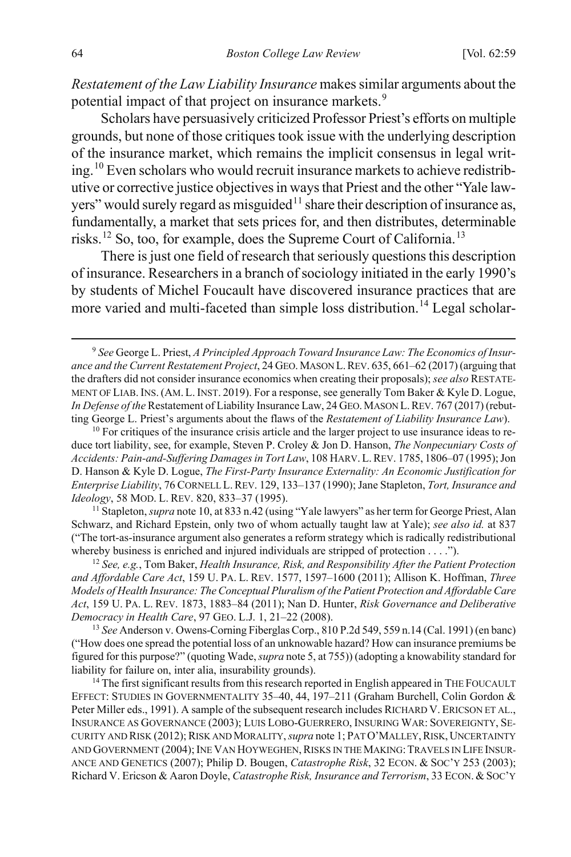*Restatement of the Law Liability Insurance* makes similar arguments about the potential impact of that project on insurance markets.<sup>[9](#page-6-1)</sup>

<span id="page-6-0"></span>Scholars have persuasively criticized Professor Priest's efforts on multiple grounds, but none of those critiques took issue with the underlying description of the insurance market, which remains the implicit consensus in legal writ-ing.<sup>[10](#page-6-2)</sup> Even scholars who would recruit insurance markets to achieve redistributive or corrective justice objectivesin ways that Priest and the other "Yale law-yers" would surely regard as misguided<sup>[11](#page-6-3)</sup> share their description of insurance as, fundamentally, a market that sets prices for, and then distributes, determinable risks.[12](#page-6-4) So, too, for example, does the Supreme Court of California.[13](#page-6-5)

<span id="page-6-8"></span>There is just one field of research that seriously questions this description of insurance. Researchers in a branch of sociology initiated in the early 1990's by students of Michel Foucault have discovered insurance practices that are more varied and multi-faceted than simple loss distribution.<sup>[14](#page-6-6)</sup> Legal scholar-

<span id="page-6-2"></span><sup>10</sup> For critiques of the insurance crisis article and the larger project to use insurance ideas to reduce tort liability, see, for example, Steven P. Croley & Jon D. Hanson, *The Nonpecuniary Costs of Accidents: Pain-and-Suffering Damages in Tort Law*, 108 HARV.L.REV. 1785, 1806–07 (1995); Jon D. Hanson & Kyle D. Logue, *The First-Party Insurance Externality: An Economic Justification for Enterprise Liability*, 76 CORNELL L.REV. 129, 133–137 (1990); Jane Stapleton, *Tort, Insurance and Ideology*, 58 MOD. L. REV. [820](#page-6-0), 833–37 (1995).<br><sup>11</sup> Stapleton, *supra* note 10, at 833 n.42 (using "Yale lawyers" as her term for George Priest, Alan

<span id="page-6-3"></span>Schwarz, and Richard Epstein, only two of whom actually taught law at Yale); *see also id.* at 837 ("The tort-as-insurance argument also generates a reform strategy which is radically redistributional whereby business is enriched and injured individuals are stripped of protection . . . .").

<span id="page-6-4"></span><sup>12</sup> *See, e.g.*, Tom Baker, *Health Insurance, Risk, and Responsibility After the Patient Protection and Affordable Care Act*, 159 U. PA. L. REV. 1577, 1597–1600 (2011); Allison K. Hoffman, *Three Models of Health Insurance: The Conceptual Pluralism of the Patient Protection and Affordable Care Act*, 159 U. PA. L. REV. 1873, 1883–84 (2011); Nan D. Hunter, *Risk Governance and Deliberative Democracy in Health Care*, 97 GEO. L.J. 1, 21–22 (2008).

<span id="page-6-5"></span><sup>13</sup> *See* Anderson v. Owens-Corning Fiberglas Corp., 810 P.2d 549, 559 n.14 (Cal. 1991) (en banc) ("How does one spread the potential loss of an unknowable hazard? How can insurance premiums be figured for this purpose?" (quoting Wade, *supra* not[e 5,](#page-4-2) at 755)) (adopting a knowability standard for liability for failure on, inter alia, insurability grounds).

<span id="page-6-6"></span> $<sup>14</sup>$  The first significant results from this research reported in English appeared in THE FOUCAULT</sup> EFFECT: STUDIES IN GOVERNMENTALITY 35–40, 44, 197–211 (Graham Burchell, Colin Gordon & Peter Miller eds., 1991). A sample of the subsequent research includes RICHARD V. ERICSON ET AL., INSURANCE AS GOVERNANCE (2003); LUIS LOBO-GUERRERO, INSURING WAR: SOVEREIGNTY, SE-CURITY AND RISK (2012); RISK AND MORALITY, *supra* note 1; PAT O'MALLEY, RISK, UNCERTAINTY AND GOVERNMENT (2004); INE VAN HOYWEGHEN, RISKS IN THE MAKING: TRAVELS IN LIFE INSUR-ANCE AND GENETICS (2007); Philip D. Bougen, *Catastrophe Risk*, 32 ECON. & SOC'Y 253 (2003); Richard V. Ericson & Aaron Doyle, *Catastrophe Risk, Insurance and Terrorism*, 33 ECON. & SOC'Y

<span id="page-6-7"></span><span id="page-6-1"></span> <sup>9</sup> <sup>9</sup> See George L. Priest, *A Principled Approach Toward Insurance Law: The Economics of Insurance and the Current Restatement Project*, 24 GEO.MASON L.REV. 635, 661–62 (2017) (arguing that the drafters did not consider insurance economics when creating their proposals); *see also* RESTATE-MENT OF LIAB.INS.(AM. L.INST. 2019). For a response, see generally Tom Baker & Kyle D. Logue, *In Defense of the* Restatement of Liability Insurance Law, 24 GEO.MASON L.REV. 767 (2017) (rebutting George L. Priest's arguments about the flaws of the *Restatement of Liability Insurance Law*).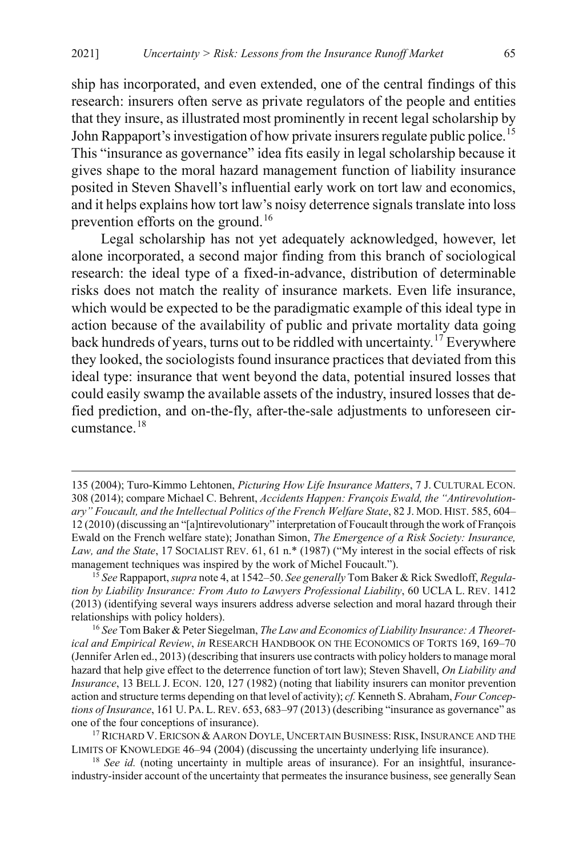ship has incorporated, and even extended, one of the central findings of this research: insurers often serve as private regulators of the people and entities that they insure, as illustrated most prominently in recent legal scholarship by John Rappaport's investigation of how private insurers regulate public police.<sup>[15](#page-7-0)</sup> This "insurance as governance" idea fits easily in legal scholarship because it gives shape to the moral hazard management function of liability insurance posited in Steven Shavell's influential early work on tort law and economics, and it helps explains how tort law's noisy deterrence signals translate into loss prevention efforts on the ground.<sup>[16](#page-7-1)</sup>

<span id="page-7-6"></span><span id="page-7-4"></span>Legal scholarship has not yet adequately acknowledged, however, let alone incorporated, a second major finding from this branch of sociological research: the ideal type of a fixed-in-advance, distribution of determinable risks does not match the reality of insurance markets. Even life insurance, which would be expected to be the paradigmatic example of this ideal type in action because of the availability of public and private mortality data going back hundreds of years, turns out to be riddled with uncertainty. [17](#page-7-2) Everywhere they looked, the sociologists found insurance practices that deviated from this ideal type: insurance that went beyond the data, potential insured losses that could easily swamp the available assets of the industry, insured losses that defied prediction, and on-the-fly, after-the-sale adjustments to unforeseen circumstance.[18](#page-7-3)

<span id="page-7-5"></span> $\overline{a}$ 

<sup>135 (2004);</sup> Turo-Kimmo Lehtonen, *Picturing How Life Insurance Matters*, 7 J. CULTURAL ECON. 308 (2014); compare Michael C. Behrent, *Accidents Happen: François Ewald, the "Antirevolutionary" Foucault, and the Intellectual Politics of the French Welfare State*, 82 J. MOD. HIST. 585, 604– 12 (2010) (discussing an "[a]ntirevolutionary" interpretation of Foucault through the work of François Ewald on the French welfare state); Jonathan Simon, *The Emergence of a Risk Society: Insurance, Law, and the State*, 17 SOCIALIST REV. 61, 61 n.\* (1987) ("My interest in the social effects of risk management techniques was inspired by the work of Michel Foucault.").

<span id="page-7-0"></span><sup>15</sup> *See* Rappaport, *supra* not[e 4,](#page-4-3) at 1542–50. *See generally* Tom Baker & Rick Swedloff, *Regulation by Liability Insurance: From Auto to Lawyers Professional Liability*, 60 UCLA L. REV. 1412 (2013) (identifying several ways insurers address adverse selection and moral hazard through their relationships with policy holders).

<span id="page-7-1"></span><sup>16</sup> *See* Tom Baker & Peter Siegelman, *The Law and Economics of Liability Insurance: A Theoretical and Empirical Review*, *in* RESEARCH HANDBOOK ON THE ECONOMICS OF TORTS 169, 169–70 (Jennifer Arlen ed., 2013) (describing that insurers use contracts with policy holders to manage moral hazard that help give effect to the deterrence function of tort law); Steven Shavell, *On Liability and Insurance*, 13 BELL J. ECON. 120, 127 (1982) (noting that liability insurers can monitor prevention action and structure terms depending on that level of activity); *cf.* Kenneth S. Abraham, *Four Conceptions of Insurance*, 161 U. PA. L. REV. 653, 683-97 (2013) (describing "insurance as governance" as one of the four conceptions of insurance).

<span id="page-7-2"></span> $^{17}$  RICHARD V. ERICSON  $\&$  Aaron Doyle, Uncertain Business: Risk, Insurance and the LIMITS OF KNOWLEDGE 46–94 (2004) (discussing the uncertainty underlying life insurance).<br><sup>18</sup> See id. (noting uncertainty in multiple areas of insurance). For an insightful, insurance-

<span id="page-7-3"></span>industry-insider account of the uncertainty that permeates the insurance business, see generally Sean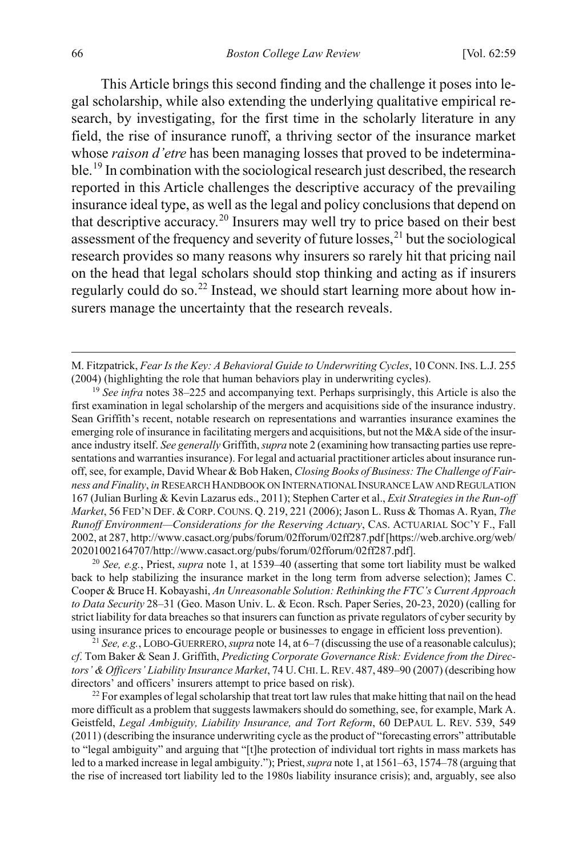<span id="page-8-5"></span>This Article brings this second finding and the challenge it poses into legal scholarship, while also extending the underlying qualitative empirical research, by investigating, for the first time in the scholarly literature in any field, the rise of insurance runoff, a thriving sector of the insurance market whose *raison d'etre* has been managing losses that proved to be indetermina-ble.<sup>[19](#page-8-0)</sup> In combination with the sociological research just described, the research reported in this Article challenges the descriptive accuracy of the prevailing insurance ideal type, as well as the legal and policy conclusions that depend on that descriptive accuracy.<sup>[20](#page-8-1)</sup> Insurers may well try to price based on their best assessment of the frequency and severity of future losses,  $^{21}$  $^{21}$  $^{21}$  but the sociological research provides so many reasons why insurers so rarely hit that pricing nail on the head that legal scholars should stop thinking and acting as if insurers regularly could do so.<sup>[22](#page-8-3)</sup> Instead, we should start learning more about how insurers manage the uncertainty that the research reveals.

<span id="page-8-0"></span><sup>19</sup> *See infra* note[s 38](#page-12-0)[–225](#page-50-0) and accompanying text. Perhaps surprisingly, this Article is also the first examination in legal scholarship of the mergers and acquisitions side of the insurance industry. Sean Griffith's recent, notable research on representations and warranties insurance examines the emerging role of insurance in facilitating mergers and acquisitions, but not the M&A side of the insurance industry itself. *See generally* Griffith, *supra* not[e 2](#page-3-4) (examining how transacting parties use representations and warranties insurance). For legal and actuarial practitioner articles about insurance runoff, see, for example, David Whear & Bob Haken, *Closing Books of Business: The Challenge of Fairness and Finality*, *in* RESEARCH HANDBOOK ON INTERNATIONAL INSURANCE LAWAND REGULATION 167 (Julian Burling & Kevin Lazarus eds., 2011); Stephen Carter et al., *Exit Strategies in the Run-off Market*, 56 FED'N DEF. & CORP.COUNS. Q. 219, 221 (2006); Jason L. Russ & Thomas A. Ryan, *The Runoff Environment—Considerations for the Reserving Actuary*, CAS. ACTUARIAL SOC'Y F., Fall 2002, at 287, http://www.casact.org/pubs/forum/02fforum/02ff287.pdf [https://web.archive.org/web/ 20201002164707/http://www.casact.org/pubs/forum/02fforum/02ff287.pdf]. 20 *See, e.g.*, Priest, *supra* not[e 1,](#page-3-3) at 1539–40 (asserting that some tort liability must be walked

<span id="page-8-1"></span>back to help stabilizing the insurance market in the long term from adverse selection); James C. Cooper & Bruce H. Kobayashi, *An Unreasonable Solution: Rethinking the FTC's Current Approach to Data Security* 28–31 (Geo. Mason Univ. L. & Econ. Rsch. Paper Series, 20-23, 2020) (calling for strict liability for data breaches so that insurers can function as private regulators of cyber security by using insurance prices to encourage people or businesses to engage in efficient loss prevention).

<span id="page-8-2"></span><sup>21</sup> *See, e.g.*, LOBO-GUERRERO, *supra* not[e 14,](#page-6-7) at 6–7 (discussing the use of a reasonable calculus); *cf*. Tom Baker & Sean J. Griffith, *Predicting Corporate Governance Risk: Evidence from the Directors' & Officers' Liability Insurance Market*, 74 U.CHI. L.REV. 487, 489–90 (2007) (describing how directors' and officers' insurers attempt to price based on risk).

<span id="page-8-3"></span><sup>22</sup> For examples of legal scholarship that treat tort law rules that make hitting that nail on the head more difficult as a problem that suggests lawmakers should do something, see, for example, Mark A. Geistfeld, *Legal Ambiguity, Liability Insurance, and Tort Reform*, 60 DEPAUL L. REV. 539, 549 (2011) (describing the insurance underwriting cycle as the product of "forecasting errors" attributable to "legal ambiguity" and arguing that "[t]he protection of individual tort rights in mass markets has led to a marked increase in legal ambiguity."); Priest, *supra* note [1,](#page-3-3) at 1561–63, 1574–78 (arguing that the rise of increased tort liability led to the 1980s liability insurance crisis); and, arguably, see also

<span id="page-8-6"></span><span id="page-8-4"></span> $\overline{a}$ 

M. Fitzpatrick, *Fear Is the Key: A Behavioral Guide to Underwriting Cycles*, 10 CONN.INS. L.J. 255 (2004) (highlighting the role that human behaviors play in underwriting cycles).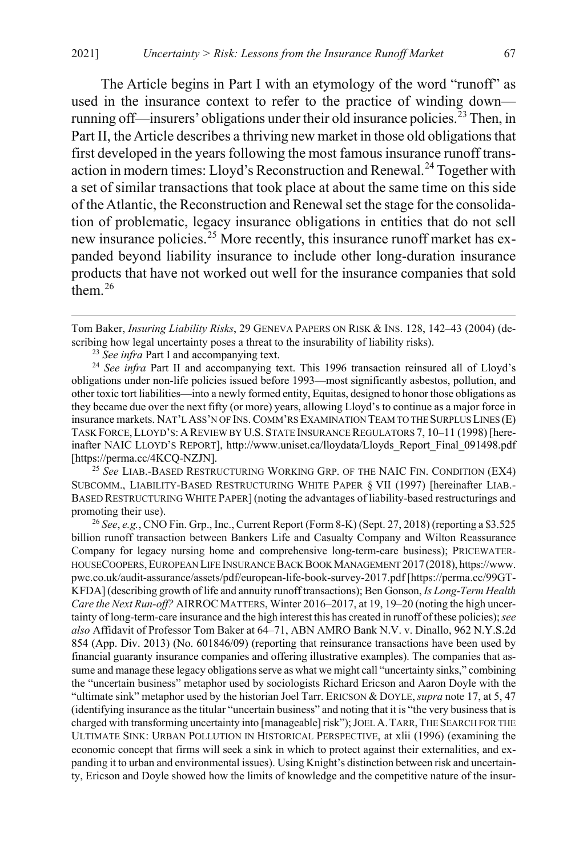<span id="page-9-4"></span>The Article begins in Part I with an etymology of the word "runoff" as used in the insurance context to refer to the practice of winding down— running off—insurers' obligations under their old insurance policies.<sup>[23](#page-9-0)</sup> Then, in Part II, the Article describes a thriving new market in those old obligations that first developed in the years following the most famous insurance runoff trans-action in modern times: Lloyd's Reconstruction and Renewal.<sup>[24](#page-9-1)</sup> Together with a set of similar transactions that took place at about the same time on this side of the Atlantic, the Reconstruction and Renewal set the stage for the consolidation of problematic, legacy insurance obligations in entities that do not sell new insurance policies.<sup>[25](#page-9-2)</sup> More recently, this insurance runoff market has expanded beyond liability insurance to include other long-duration insurance products that have not worked out well for the insurance companies that sold them. [26](#page-9-3)

<span id="page-9-6"></span><span id="page-9-5"></span> $\overline{a}$ 

<span id="page-9-1"></span><span id="page-9-0"></span><sup>24</sup> *See infra* Part II and accompanying text. This 1996 transaction reinsured all of Lloyd's obligations under non-life policies issued before 1993—most significantly asbestos, pollution, and other toxic tort liabilities—into a newly formed entity, Equitas, designed to honor those obligations as they became due over the next fifty (or more) years, allowing Lloyd's to continue as a major force in insurance markets. NAT'L ASS'N OF INS.COMM'RS EXAMINATION TEAM TO THE SURPLUS LINES (E) TASK FORCE, LLOYD'S: A REVIEW BY U.S. STATE INSURANCE REGULATORS 7, 10–11 (1998) [hereinafter NAIC LLOYD'S REPORT], http://www.uniset.ca/lloydata/Lloyds\_Report\_Final\_091498.pdf [https://perma.cc/4KCQ-NZJN].

<span id="page-9-2"></span><sup>25</sup> *See* LIAB.-BASED RESTRUCTURING WORKING GRP. OF THE NAIC FIN. CONDITION (EX4) SUBCOMM., LIABILITY-BASED RESTRUCTURING WHITE PAPER § VII (1997) [hereinafter LIAB.- BASED RESTRUCTURING WHITE PAPER] (noting the advantages of liability-based restructurings and promoting their use).<br><sup>26</sup> See, e.g., CNO Fin. Grp., Inc., Current Report (Form 8-K) (Sept. 27, 2018) (reporting a \$3.525

<span id="page-9-3"></span>billion runoff transaction between Bankers Life and Casualty Company and Wilton Reassurance Company for legacy nursing home and comprehensive long-term-care business); PRICEWATER-HOUSECOOPERS,EUROPEAN LIFE INSURANCE BACK BOOK MANAGEMENT 2017 (2018), https://www. pwc.co.uk/audit-assurance/assets/pdf/european-life-book-survey-2017.pdf [https://perma.cc/99GT-KFDA] (describing growth of life and annuity runoff transactions); Ben Gonson, *Is Long-Term Health Care the Next Run-off?* AIRROC MATTERS, Winter 2016–2017, at 19, 19–20 (noting the high uncertainty of long-term-care insurance and the high interest this has created in runoff of these policies); *see also* Affidavit of Professor Tom Baker at 64–71, ABN AMRO Bank N.V. v. Dinallo, 962 N.Y.S.2d 854 (App. Div. 2013) (No. 601846/09) (reporting that reinsurance transactions have been used by financial guaranty insurance companies and offering illustrative examples). The companies that assume and manage these legacy obligations serve as what we might call "uncertainty sinks," combining the "uncertain business" metaphor used by sociologists Richard Ericson and Aaron Doyle with the "ultimate sink" metaphor used by the historian Joel Tarr. ERICSON & DOYLE,*supra* not[e 17,](#page-7-4) at 5, 47 (identifying insurance as the titular "uncertain business" and noting that it is "the very business that is charged with transforming uncertainty into [manageable] risk"); JOEL A.TARR,THE SEARCH FOR THE ULTIMATE SINK: URBAN POLLUTION IN HISTORICAL PERSPECTIVE, at xlii (1996) (examining the economic concept that firms will seek a sink in which to protect against their externalities, and expanding it to urban and environmental issues). Using Knight's distinction between risk and uncertainty, Ericson and Doyle showed how the limits of knowledge and the competitive nature of the insur-

Tom Baker, *Insuring Liability Risks*, 29 GENEVA PAPERS ON RISK & INS. 128, 142–43 (2004) (describing how legal uncertainty poses a threat to the insurability of liability risks).

<sup>23</sup> *See infra* Part I and accompanying text.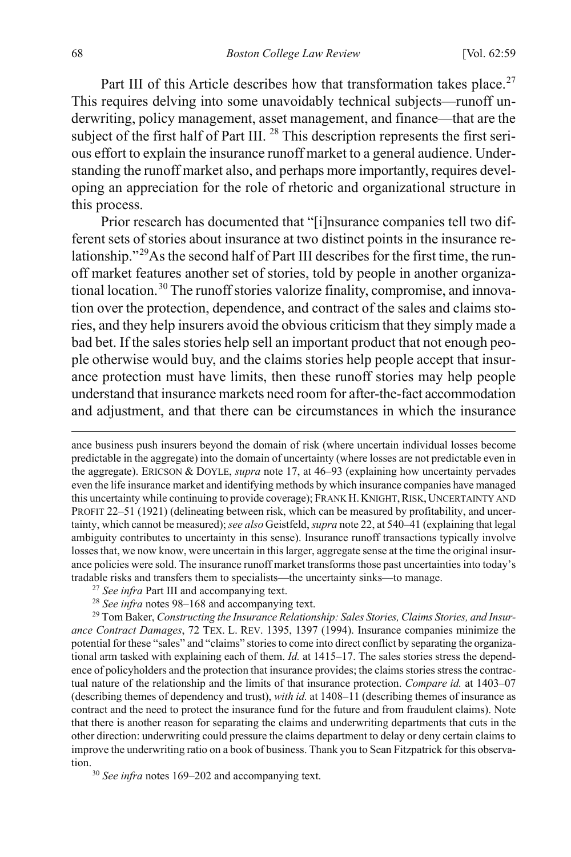Part III of this Article describes how that transformation takes place.<sup>[27](#page-10-0)</sup> This requires delving into some unavoidably technical subjects—runoff underwriting, policy management, asset management, and finance—that are the subject of the first half of Part III.<sup>[28](#page-10-1)</sup> This description represents the first serious effort to explain the insurance runoff market to a general audience. Understanding the runoff market also, and perhaps more importantly, requires developing an appreciation for the role of rhetoric and organizational structure in this process.

<span id="page-10-4"></span>Prior research has documented that "[i]nsurance companies tell two different sets of stories about insurance at two distinct points in the insurance relationship."[29A](#page-10-2)s the second half of Part III describes for the first time, the runoff market features another set of stories, told by people in another organiza-tional location.<sup>[30](#page-10-3)</sup> The runoff stories valorize finality, compromise, and innovation over the protection, dependence, and contract of the sales and claims stories, and they help insurers avoid the obvious criticism that they simply made a bad bet. If the sales stories help sell an important product that not enough people otherwise would buy, and the claims stories help people accept that insurance protection must have limits, then these runoff stories may help people understand that insurance markets need room for after-the-fact accommodation and adjustment, and that there can be circumstances in which the insurance

ance business push insurers beyond the domain of risk (where uncertain individual losses become predictable in the aggregate) into the domain of uncertainty (where losses are not predictable even in the aggregate). ERICSON & DOYLE, *supra* not[e 17,](#page-7-4) at 46–93 (explaining how uncertainty pervades even the life insurance market and identifying methods by which insurance companies have managed this uncertainty while continuing to provide coverage); FRANK H. KNIGHT, RISK, UNCERTAINTY AND PROFIT 22–51 (1921) (delineating between risk, which can be measured by profitability, and uncertainty, which cannot be measured); *see also* Geistfeld, *supra* not[e 22,](#page-8-4) at 540–41 (explaining that legal ambiguity contributes to uncertainty in this sense). Insurance runoff transactions typically involve losses that, we now know, were uncertain in this larger, aggregate sense at the time the original insurance policies were sold. The insurance runoff market transforms those past uncertainties into today's tradable risks and transfers them to specialists—the uncertainty sinks—to manage.

- <sup>27</sup> *See infra* Part III and accompanying text.
- <sup>28</sup> *See infra* note[s 98–](#page-22-0)[168](#page-38-0) and accompanying text.

<span id="page-10-2"></span><span id="page-10-1"></span><span id="page-10-0"></span><sup>29</sup> Tom Baker, *Constructing the Insurance Relationship: Sales Stories, Claims Stories, and Insurance Contract Damages*, 72 TEX. L. REV. 1395, 1397 (1994). Insurance companies minimize the potential for these "sales" and "claims" stories to come into direct conflict by separating the organizational arm tasked with explaining each of them. *Id.* at 1415–17. The sales stories stress the dependence of policyholders and the protection that insurance provides; the claims stories stress the contractual nature of the relationship and the limits of that insurance protection. *Compare id.* at 1403–07 (describing themes of dependency and trust), *with id.* at 1408–11 (describing themes of insurance as contract and the need to protect the insurance fund for the future and from fraudulent claims). Note that there is another reason for separating the claims and underwriting departments that cuts in the other direction: underwriting could pressure the claims department to delay or deny certain claims to improve the underwriting ratio on a book of business. Thank you to Sean Fitzpatrick for this observation.<br><sup>30</sup> *See infra* note[s 169](#page-38-1)[–202](#page-45-0) and accompanying text.

<span id="page-10-3"></span>

 $\overline{a}$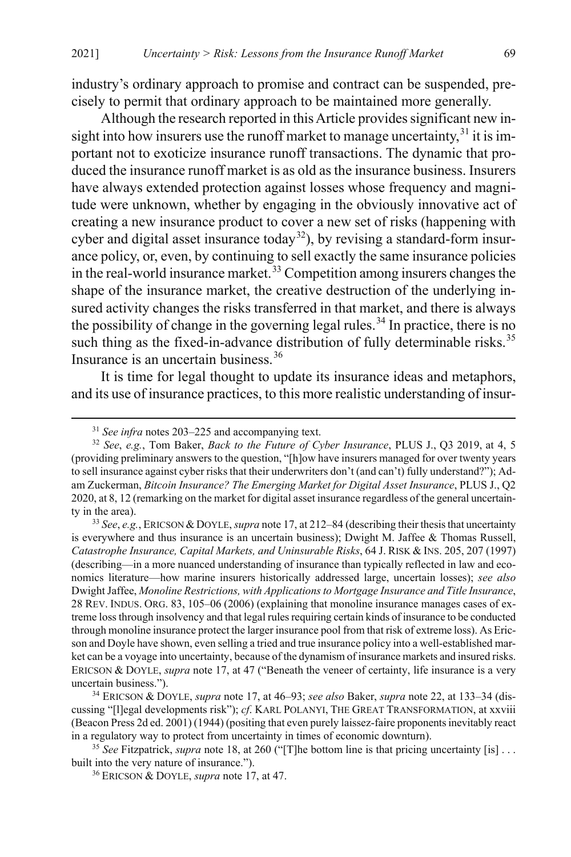industry's ordinary approach to promise and contract can be suspended, precisely to permit that ordinary approach to be maintained more generally.

Although the research reported in this Article provides significant new insight into how insurers use the runoff market to manage uncertainty, $^{31}$  $^{31}$  $^{31}$  it is important not to exoticize insurance runoff transactions. The dynamic that produced the insurance runoff market is as old as the insurance business. Insurers have always extended protection against losses whose frequency and magnitude were unknown, whether by engaging in the obviously innovative act of creating a new insurance product to cover a new set of risks (happening with cyber and digital asset insurance today<sup>[32](#page-11-1)</sup>), by revising a standard-form insurance policy, or, even, by continuing to sell exactly the same insurance policies in the real-world insurance market.<sup>[33](#page-11-2)</sup> Competition among insurers changes the shape of the insurance market, the creative destruction of the underlying insured activity changes the risks transferred in that market, and there is always the possibility of change in the governing legal rules.<sup>[34](#page-11-3)</sup> In practice, there is no such thing as the fixed-in-advance distribution of fully determinable risks.<sup>[35](#page-11-4)</sup> Insurance is an uncertain business.<sup>[36](#page-11-5)</sup>

<span id="page-11-6"></span>It is time for legal thought to update its insurance ideas and metaphors, and its use of insurance practices, to this more realistic understanding of insur-

<span id="page-11-2"></span><sup>33</sup> *See*, *e.g.*, ERICSON &DOYLE, *supra* not[e 17,](#page-7-4) at 212–84 (describing their thesis that uncertainty is everywhere and thus insurance is an uncertain business); Dwight M. Jaffee & Thomas Russell, *Catastrophe Insurance, Capital Markets, and Uninsurable Risks*, 64 J. RISK & INS. 205, 207 (1997) (describing—in a more nuanced understanding of insurance than typically reflected in law and economics literature—how marine insurers historically addressed large, uncertain losses); *see also* Dwight Jaffee, *Monoline Restrictions, with Applications to Mortgage Insurance and Title Insurance*, 28 REV. INDUS. ORG. 83, 105–06 (2006) (explaining that monoline insurance manages cases of extreme loss through insolvency and that legal rules requiring certain kinds of insurance to be conducted through monoline insurance protect the larger insurance pool from that risk of extreme loss). As Ericson and Doyle have shown, even selling a tried and true insurance policy into a well-established market can be a voyage into uncertainty, because of the dynamism of insurance markets and insured risks. ERICSON & DOYLE, *supra* note [17,](#page-7-4) at 47 ("Beneath the veneer of certainty, life insurance is a very uncertain business.").

<span id="page-11-3"></span><sup>34</sup> ERICSON & DOYLE, *supra* not[e 17,](#page-7-4) at 46–93; *see also* Baker, *supra* note [22,](#page-8-4) at 133–34 (discussing "[l]egal developments risk"); *cf*. KARL POLANYI, THE GREAT TRANSFORMATION, at xxviii (Beacon Press 2d ed. 2001) (1944) (positing that even purely laissez-faire proponents inevitably react in a regulatory way to protect from uncertainty in times of economic downturn).

<span id="page-11-5"></span><span id="page-11-4"></span><sup>35</sup> *See* Fitzpatrick, *supra* not[e 18,](#page-7-5) at 260 ("[T]he bottom line is that pricing uncertainty [is] . . . built into the very nature of insurance.").

<sup>36</sup> ERICSON & DOYLE, *supra* not[e 17,](#page-7-4) at 47.

 <sup>31</sup> *See infra* note[s 203](#page-45-1)[–225](#page-50-0) and accompanying text.

<span id="page-11-1"></span><span id="page-11-0"></span><sup>32</sup> *See*, *e.g.*, Tom Baker, *Back to the Future of Cyber Insurance*, PLUS J., Q3 2019, at 4, 5 (providing preliminary answers to the question, "[h]ow have insurers managed for over twenty years to sell insurance against cyber risks that their underwriters don't (and can't) fully understand?"); Adam Zuckerman, *Bitcoin Insurance? The Emerging Market for Digital Asset Insurance*, PLUS J., Q2 2020, at 8, 12 (remarking on the market for digital asset insurance regardless of the general uncertainty in the area).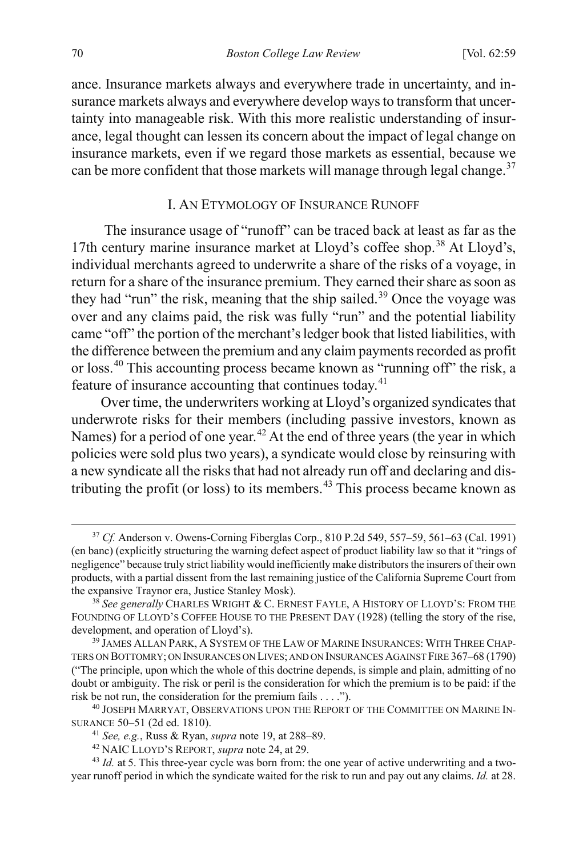ance. Insurance markets always and everywhere trade in uncertainty, and insurance markets always and everywhere develop ways to transform that uncertainty into manageable risk. With this more realistic understanding of insurance, legal thought can lessen its concern about the impact of legal change on insurance markets, even if we regard those markets as essential, because we can be more confident that those markets will manage through legal change.<sup>[37](#page-12-1)</sup>

#### <span id="page-12-0"></span>I. AN ETYMOLOGY OF INSURANCE RUNOFF

 The insurance usage of "runoff" can be traced back at least as far as the 17th century marine insurance market at Lloyd's coffee shop.<sup>[38](#page-12-2)</sup> At Lloyd's, individual merchants agreed to underwrite a share of the risks of a voyage, in return for a share of the insurance premium. They earned their share as soon as they had "run" the risk, meaning that the ship sailed.<sup>[39](#page-12-3)</sup> Once the voyage was over and any claims paid, the risk was fully "run" and the potential liability came "off" the portion of the merchant's ledger book that listed liabilities, with the difference between the premium and any claim payments recorded as profit or loss.[40](#page-12-4) This accounting process became known as "running off" the risk, a feature of insurance accounting that continues today.<sup>[41](#page-12-5)</sup>

<span id="page-12-8"></span>Over time, the underwriters working at Lloyd's organized syndicates that underwrote risks for their members (including passive investors, known as Names) for a period of one year.<sup>[42](#page-12-6)</sup> At the end of three years (the year in which policies were sold plus two years), a syndicate would close by reinsuring with a new syndicate all the risks that had not already run off and declaring and distributing the profit (or loss) to its members.[43](#page-12-7) This process became known as

<span id="page-12-1"></span> <sup>37</sup> *Cf.* Anderson v. Owens-Corning Fiberglas Corp., 810 P.2d 549, 557–59, 561–63 (Cal. 1991) (en banc) (explicitly structuring the warning defect aspect of product liability law so that it "rings of negligence" because truly strict liability would inefficiently make distributors the insurers of their own products, with a partial dissent from the last remaining justice of the California Supreme Court from the expansive Traynor era, Justice Stanley Mosk).

<span id="page-12-2"></span><sup>38</sup> *See generally* CHARLES WRIGHT & C. ERNEST FAYLE, A HISTORY OF LLOYD'S: FROM THE FOUNDING OF LLOYD'S COFFEE HOUSE TO THE PRESENT DAY (1928) (telling the story of the rise, development, and operation of Lloyd's).

<span id="page-12-3"></span><sup>&</sup>lt;sup>39</sup> JAMES ALLAN PARK, A SYSTEM OF THE LAW OF MARINE INSURANCES: WITH THREE CHAP-TERS ON BOTTOMRY; ON INSURANCES ON LIVES; AND ON INSURANCES AGAINST FIRE 367–68 (1790) ("The principle, upon which the whole of this doctrine depends, is simple and plain, admitting of no doubt or ambiguity. The risk or peril is the consideration for which the premium is to be paid: if the risk be not run, the consideration for the premium fails . . . .").

<span id="page-12-5"></span><span id="page-12-4"></span><sup>40</sup> JOSEPH MARRYAT, OBSERVATIONS UPON THE REPORT OF THE COMMITTEE ON MARINE IN-SURANCE 50–51 (2d ed. 1810).

<sup>41</sup> *See, e.g.*, Russ & Ryan, *supra* note [19,](#page-8-5) at 288–89.

<sup>42</sup> NAIC LLOYD'S REPORT, *supra* note [24,](#page-9-4) at 29.

<span id="page-12-7"></span><span id="page-12-6"></span><sup>&</sup>lt;sup>43</sup> *Id.* at 5. This three-year cycle was born from: the one year of active underwriting and a twoyear runoff period in which the syndicate waited for the risk to run and pay out any claims. *Id.* at 28.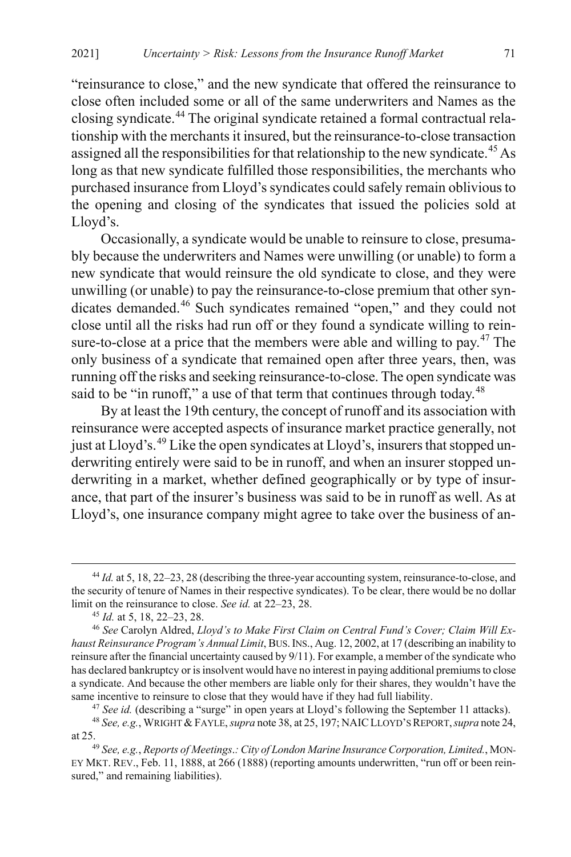<span id="page-13-6"></span>"reinsurance to close," and the new syndicate that offered the reinsurance to close often included some or all of the same underwriters and Names as the closing syndicate.[44](#page-13-0) The original syndicate retained a formal contractual relationship with the merchants it insured, but the reinsurance-to-close transaction assigned all the responsibilities for that relationship to the new syndicate.<sup>[45](#page-13-1)</sup> As long as that new syndicate fulfilled those responsibilities, the merchants who purchased insurance from Lloyd's syndicates could safely remain oblivious to the opening and closing of the syndicates that issued the policies sold at Lloyd's.

Occasionally, a syndicate would be unable to reinsure to close, presumably because the underwriters and Names were unwilling (or unable) to form a new syndicate that would reinsure the old syndicate to close, and they were unwilling (or unable) to pay the reinsurance-to-close premium that other syndicates demanded.[46](#page-13-2) Such syndicates remained "open," and they could not close until all the risks had run off or they found a syndicate willing to rein-sure-to-close at a price that the members were able and willing to pay.<sup>[47](#page-13-3)</sup> The only business of a syndicate that remained open after three years, then, was running off the risks and seeking reinsurance-to-close. The open syndicate was said to be "in runoff," a use of that term that continues through today.<sup>[48](#page-13-4)</sup>

By at least the 19th century, the concept of runoff and its association with reinsurance were accepted aspects of insurance market practice generally, not just at Lloyd's.<sup>[49](#page-13-5)</sup> Like the open syndicates at Lloyd's, insurers that stopped underwriting entirely were said to be in runoff, and when an insurer stopped underwriting in a market, whether defined geographically or by type of insurance, that part of the insurer's business was said to be in runoff as well. As at Lloyd's, one insurance company might agree to take over the business of an-

<sup>47</sup> See id. (describing a "surge" in open years at Lloyd's following the September 11 attacks).

<span id="page-13-0"></span> <sup>44</sup> *Id.* at 5, 18, 22–23, 28 (describing the three-year accounting system, reinsurance-to-close, and the security of tenure of Names in their respective syndicates). To be clear, there would be no dollar limit on the reinsurance to close. *See id.* at 22–23, 28.<br><sup>45</sup> *Id.* at 5, 18, 22–23, 28.

<span id="page-13-2"></span><span id="page-13-1"></span><sup>&</sup>lt;sup>46</sup> See Carolyn Aldred, *Lloyd's to Make First Claim on Central Fund's Cover; Claim Will Exhaust Reinsurance Program's Annual Limit*, BUS.INS., Aug. 12, 2002, at 17 (describing an inability to reinsure after the financial uncertainty caused by 9/11). For example, a member of the syndicate who has declared bankruptcy or is insolvent would have no interest in paying additional premiums to close a syndicate. And because the other members are liable only for their shares, they wouldn't have the same incentive to reinsure to close that they would have if they had full liability.

<span id="page-13-4"></span><span id="page-13-3"></span><sup>48</sup> *See, e.g.*, WRIGHT &FAYLE, *supra* not[e 38,](#page-12-0) at 25, 197; NAICLLOYD'S REPORT,*supra* not[e 24,](#page-9-4) at 25. 49 *See, e.g.*, *Reports of Meetings*.*: City of London Marine Insurance Corporation, Limited.*, MON-

<span id="page-13-5"></span>EY MKT. REV., Feb. 11, 1888, at 266 (1888) (reporting amounts underwritten, "run off or been reinsured," and remaining liabilities).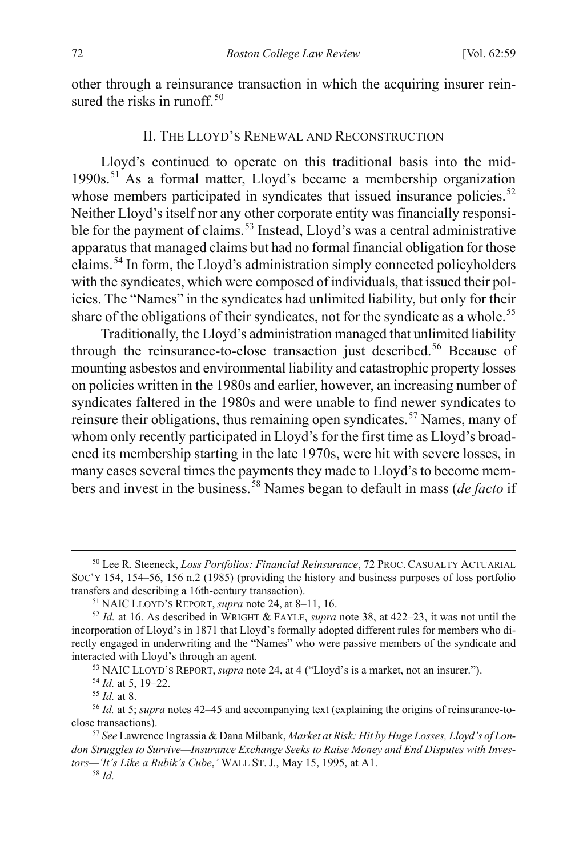other through a reinsurance transaction in which the acquiring insurer rein-sured the risks in runoff.<sup>[50](#page-14-0)</sup>

#### <span id="page-14-11"></span>II. THE LLOYD'S RENEWAL AND RECONSTRUCTION

<span id="page-14-10"></span>Lloyd's continued to operate on this traditional basis into the mid-1990s.[51](#page-14-1) As a formal matter, Lloyd's became a membership organization whose members participated in syndicates that issued insurance policies.<sup>[52](#page-14-2)</sup> Neither Lloyd's itself nor any other corporate entity was financially responsi-ble for the payment of claims.<sup>[53](#page-14-3)</sup> Instead, Lloyd's was a central administrative apparatus that managed claims but had no formal financial obligation for those claims.[54](#page-14-4) In form, the Lloyd's administration simply connected policyholders with the syndicates, which were composed of individuals, that issued their policies. The "Names" in the syndicates had unlimited liability, but only for their share of the obligations of their syndicates, not for the syndicate as a whole.<sup>[55](#page-14-5)</sup>

<span id="page-14-9"></span>Traditionally, the Lloyd's administration managed that unlimited liability through the reinsurance-to-close transaction just described.<sup>[56](#page-14-6)</sup> Because of mounting asbestos and environmental liability and catastrophic property losses on policies written in the 1980s and earlier, however, an increasing number of syndicates faltered in the 1980s and were unable to find newer syndicates to reinsure their obligations, thus remaining open syndicates.<sup>[57](#page-14-7)</sup> Names, many of whom only recently participated in Lloyd's for the first time as Lloyd's broadened its membership starting in the late 1970s, were hit with severe losses, in many cases several times the payments they made to Lloyd's to become members and invest in the business. [58](#page-14-8) Names began to default in mass (*de facto* if

<span id="page-14-0"></span> <sup>50</sup> Lee R. Steeneck, *Loss Portfolios: Financial Reinsurance*, 72 PROC. CASUALTY ACTUARIAL SOC'Y 154, 154–56, 156 n.2 (1985) (providing the history and business purposes of loss portfolio transfers and describing a 16th-century transaction).

<sup>51</sup> NAIC LLOYD'S REPORT, *supra* not[e 24,](#page-9-4) at 8–11, 16.

<span id="page-14-2"></span><span id="page-14-1"></span><sup>52</sup> *Id.* at 16. As described in WRIGHT & FAYLE, *supra* note [38,](#page-12-0) at 422–23, it was not until the incorporation of Lloyd's in 1871 that Lloyd's formally adopted different rules for members who directly engaged in underwriting and the "Names" who were passive members of the syndicate and interacted with Lloyd's through an agent.

<sup>53</sup> NAIC LLOYD'S REPORT, *supra* not[e 24,](#page-9-4) at 4 ("Lloyd's is a market, not an insurer.").

<sup>54</sup> *Id.* at 5, 19–22.

<sup>55</sup> *Id.* at 8.

<span id="page-14-6"></span><span id="page-14-5"></span><span id="page-14-4"></span><span id="page-14-3"></span><sup>56</sup> *Id.* at 5; *supra* notes [42](#page-12-8)[–45](#page-13-6) and accompanying text (explaining the origins of reinsurance-toclose transactions).

<span id="page-14-8"></span><span id="page-14-7"></span><sup>57</sup> *See* Lawrence Ingrassia & Dana Milbank, *Market at Risk: Hit by Huge Losses, Lloyd's of London Struggles to Survive—Insurance Exchange Seeks to Raise Money and End Disputes with Investors—'It's Like a Rubik's Cube*,*'* WALL ST. J., May 15, 1995, at A1.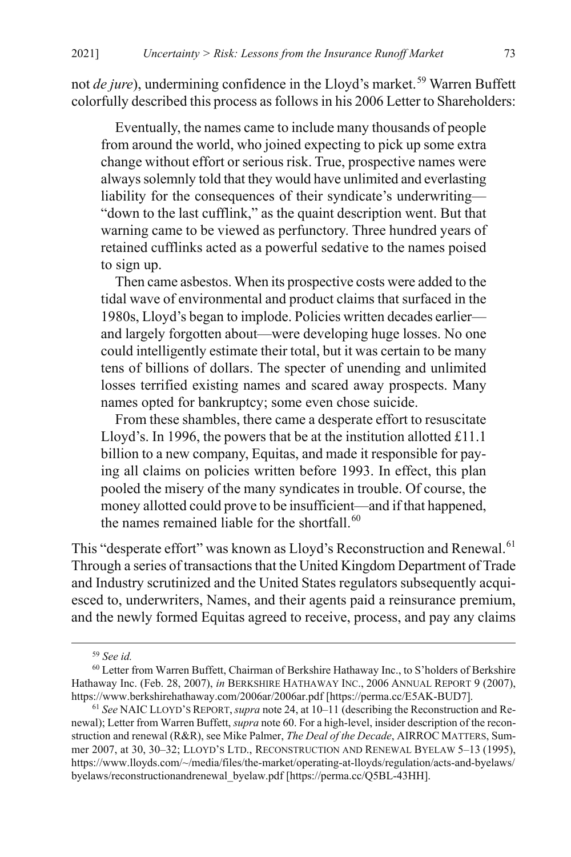not *de jure*), undermining confidence in the Lloyd's market.<sup>[59](#page-15-1)</sup> Warren Buffett colorfully described this process as follows in his 2006 Letter to Shareholders:

Eventually, the names came to include many thousands of people from around the world, who joined expecting to pick up some extra change without effort or serious risk. True, prospective names were always solemnly told that they would have unlimited and everlasting liability for the consequences of their syndicate's underwriting— "down to the last cufflink," as the quaint description went. But that warning came to be viewed as perfunctory. Three hundred years of retained cufflinks acted as a powerful sedative to the names poised to sign up.

 Then came asbestos. When its prospective costs were added to the tidal wave of environmental and product claims that surfaced in the 1980s, Lloyd's began to implode. Policies written decades earlier and largely forgotten about—were developing huge losses. No one could intelligently estimate their total, but it was certain to be many tens of billions of dollars. The specter of unending and unlimited losses terrified existing names and scared away prospects. Many names opted for bankruptcy; some even chose suicide.

<span id="page-15-0"></span> From these shambles, there came a desperate effort to resuscitate Lloyd's. In 1996, the powers that be at the institution allotted £11.1 billion to a new company, Equitas, and made it responsible for paying all claims on policies written before 1993. In effect, this plan pooled the misery of the many syndicates in trouble. Of course, the money allotted could prove to be insufficient—and if that happened, the names remained liable for the shortfall. $60$ 

This "desperate effort" was known as Lloyd's Reconstruction and Renewal.<sup>[61](#page-15-3)</sup> Through a series of transactions that the United Kingdom Department of Trade and Industry scrutinized and the United States regulators subsequently acquiesced to, underwriters, Names, and their agents paid a reinsurance premium, and the newly formed Equitas agreed to receive, process, and pay any claims

 <sup>59</sup> *See id.*

<span id="page-15-2"></span><span id="page-15-1"></span><sup>60</sup> Letter from Warren Buffett, Chairman of Berkshire Hathaway Inc., to S'holders of Berkshire Hathaway Inc. (Feb. 28, 2007), *in* BERKSHIRE HATHAWAY INC., 2006 ANNUAL REPORT 9 (2007), https://www.berkshirehathaway.com/2006ar/2006ar.pdf [https://perma.cc/E5AK-BUD7].

<span id="page-15-3"></span><sup>61</sup> *See* NAIC LLOYD'S REPORT,*supra* not[e 24,](#page-9-4) at 10–11 (describing the Reconstruction and Renewal); Letter from Warren Buffett, *supra* not[e 60.](#page-15-0) For a high-level, insider description of the reconstruction and renewal (R&R), see Mike Palmer, *The Deal of the Decade*, AIRROC MATTERS, Summer 2007, at 30, 30–32; LLOYD'S LTD., RECONSTRUCTION AND RENEWAL BYELAW 5–13 (1995), https://www.lloyds.com/~/media/files/the-market/operating-at-lloyds/regulation/acts-and-byelaws/ byelaws/reconstructionandrenewal\_byelaw.pdf [https://perma.cc/Q5BL-43HH].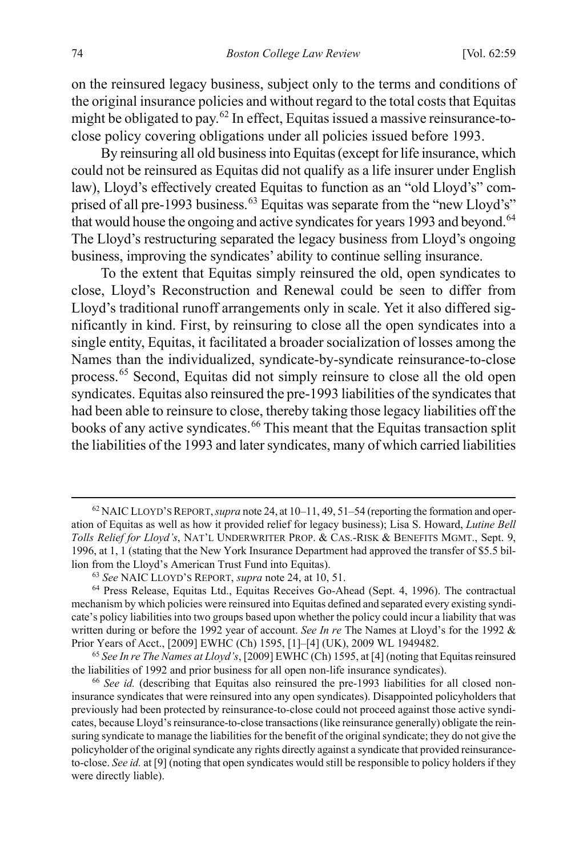on the reinsured legacy business, subject only to the terms and conditions of the original insurance policies and without regard to the total costs that Equitas might be obligated to pay.[62](#page-16-0) In effect, Equitas issued a massive reinsurance-toclose policy covering obligations under all policies issued before 1993.

By reinsuring all old business into Equitas (except for life insurance, which could not be reinsured as Equitas did not qualify as a life insurer under English law), Lloyd's effectively created Equitas to function as an "old Lloyd's" com-prised of all pre-1993 business.<sup>[63](#page-16-1)</sup> Equitas was separate from the "new Lloyd's" that would house the ongoing and active syndicates for years 1993 and beyond.<sup>[64](#page-16-2)</sup> The Lloyd's restructuring separated the legacy business from Lloyd's ongoing business, improving the syndicates' ability to continue selling insurance.

<span id="page-16-5"></span>To the extent that Equitas simply reinsured the old, open syndicates to close, Lloyd's Reconstruction and Renewal could be seen to differ from Lloyd's traditional runoff arrangements only in scale. Yet it also differed significantly in kind. First, by reinsuring to close all the open syndicates into a single entity, Equitas, it facilitated a broader socialization of losses among the Names than the individualized, syndicate-by-syndicate reinsurance-to-close process.[65](#page-16-3) Second, Equitas did not simply reinsure to close all the old open syndicates. Equitas also reinsured the pre-1993 liabilities of the syndicates that had been able to reinsure to close, thereby taking those legacy liabilities off the books of any active syndicates.<sup>[66](#page-16-4)</sup> This meant that the Equitas transaction split the liabilities of the 1993 and later syndicates, many of which carried liabilities

<span id="page-16-0"></span> <sup>62</sup> NAICLLOYD'S REPORT,*supra* not[e 24,](#page-9-4) at 10–11, 49, 51–54 (reporting the formation and operation of Equitas as well as how it provided relief for legacy business); Lisa S. Howard, *Lutine Bell Tolls Relief for Lloyd's*, NAT'L UNDERWRITER PROP. & CAS.-RISK & BENEFITS MGMT., Sept. 9, 1996, at 1, 1 (stating that the New York Insurance Department had approved the transfer of \$5.5 billion from the Lloyd's American Trust Fund into Equitas).

<sup>63</sup> *See* NAIC LLOYD'S REPORT, *supra* not[e 24,](#page-9-4) at 10, 51.

<span id="page-16-2"></span><span id="page-16-1"></span><sup>64</sup> Press Release, Equitas Ltd., Equitas Receives Go-Ahead (Sept. 4, 1996). The contractual mechanism by which policies were reinsured into Equitas defined and separated every existing syndicate's policy liabilities into two groups based upon whether the policy could incur a liability that was written during or before the 1992 year of account. *See In re* The Names at Lloyd's for the 1992 & Prior Years of Acct., [2009] EWHC (Ch) 1595, [1]–[4] (UK), 2009 WL 1949482. 65 *See In re The Names at Lloyd's*, [2009] EWHC (Ch) 1595, at [4] (noting that Equitas reinsured

<span id="page-16-3"></span>the liabilities of 1992 and prior business for all open non-life insurance syndicates).

<span id="page-16-4"></span><sup>66</sup> *See id.* (describing that Equitas also reinsured the pre-1993 liabilities for all closed noninsurance syndicates that were reinsured into any open syndicates). Disappointed policyholders that previously had been protected by reinsurance-to-close could not proceed against those active syndicates, because Lloyd's reinsurance-to-close transactions (like reinsurance generally) obligate the reinsuring syndicate to manage the liabilities for the benefit of the original syndicate; they do not give the policyholder of the original syndicate any rights directly against a syndicate that provided reinsuranceto-close. *See id.* at [9] (noting that open syndicates would still be responsible to policy holders if they were directly liable).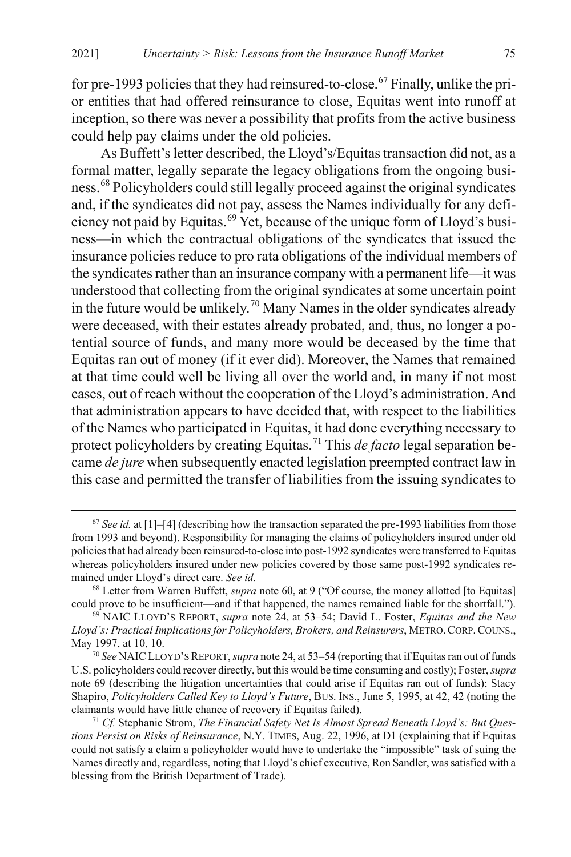for pre-1993 policies that they had reinsured-to-close.<sup>[67](#page-17-1)</sup> Finally, unlike the prior entities that had offered reinsurance to close, Equitas went into runoff at inception, so there was never a possibility that profits from the active business could help pay claims under the old policies.

<span id="page-17-0"></span>As Buffett's letter described, the Lloyd's/Equitas transaction did not, as a formal matter, legally separate the legacy obligations from the ongoing business.[68](#page-17-2) Policyholders could still legally proceed against the original syndicates and, if the syndicates did not pay, assess the Names individually for any deficiency not paid by Equitas.[69](#page-17-3) Yet, because of the unique form of Lloyd's business—in which the contractual obligations of the syndicates that issued the insurance policies reduce to pro rata obligations of the individual members of the syndicates rather than an insurance company with a permanent life—it was understood that collecting from the original syndicates at some uncertain point in the future would be unlikely.<sup>[70](#page-17-4)</sup> Many Names in the older syndicates already were deceased, with their estates already probated, and, thus, no longer a potential source of funds, and many more would be deceased by the time that Equitas ran out of money (if it ever did). Moreover, the Names that remained at that time could well be living all over the world and, in many if not most cases, out of reach without the cooperation of the Lloyd's administration. And that administration appears to have decided that, with respect to the liabilities of the Names who participated in Equitas, it had done everything necessary to protect policyholders by creating Equitas.[71](#page-17-5) This *de facto* legal separation became *de jure* when subsequently enacted legislation preempted contract law in this case and permitted the transfer of liabilities from the issuing syndicates to

<span id="page-17-1"></span> <sup>67</sup> *See id.* at [1]–[4] (describing how the transaction separated the pre-1993 liabilities from those from 1993 and beyond). Responsibility for managing the claims of policyholders insured under old policies that had already been reinsured-to-close into post-1992 syndicates were transferred to Equitas whereas policyholders insured under new policies covered by those same post-1992 syndicates remained under Lloyd's direct care. *See id.*

<span id="page-17-2"></span><sup>68</sup> Letter from Warren Buffett, *supra* note [60,](#page-15-0) at 9 ("Of course, the money allotted [to Equitas] could prove to be insufficient—and if that happened, the names remained liable for the shortfall.").

<span id="page-17-3"></span><sup>69</sup> NAIC LLOYD'S REPORT, *supra* note [24,](#page-9-4) at 53–54; David L. Foster, *Equitas and the New Lloyd's: Practical Implications for Policyholders, Brokers, and Reinsurers*, METRO.CORP.COUNS., May 1997, at 10, 10.

<span id="page-17-4"></span><sup>70</sup> *See* NAICLLOYD'S REPORT, *supra* not[e 24,](#page-9-4) at 53–54 (reporting that if Equitas ran out of funds U.S. policyholders could recover directly, but this would be time consuming and costly); Foster, *supra*  note [69](#page-17-0) (describing the litigation uncertainties that could arise if Equitas ran out of funds); Stacy Shapiro, *Policyholders Called Key to Lloyd's Future*, BUS. INS., June 5, 1995, at 42, 42 (noting the claimants would have little chance of recovery if Equitas failed).

<span id="page-17-5"></span><sup>71</sup> *Cf.* Stephanie Strom, *The Financial Safety Net Is Almost Spread Beneath Lloyd's: But Questions Persist on Risks of Reinsurance*, N.Y. TIMES, Aug. 22, 1996, at D1 (explaining that if Equitas could not satisfy a claim a policyholder would have to undertake the "impossible" task of suing the Names directly and, regardless, noting that Lloyd's chief executive, Ron Sandler, was satisfied with a blessing from the British Department of Trade).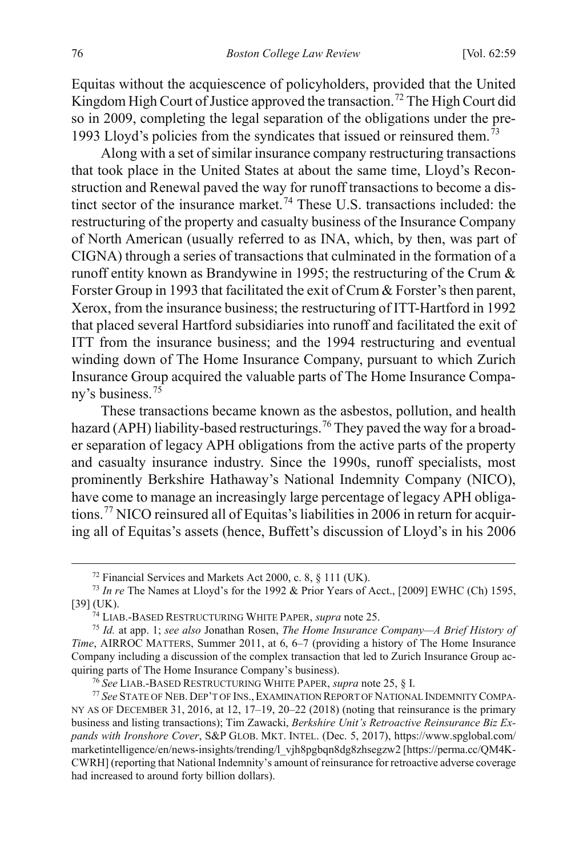Equitas without the acquiescence of policyholders, provided that the United Kingdom High Court of Justice approved the transaction.<sup>[72](#page-18-0)</sup> The High Court did so in 2009, completing the legal separation of the obligations under the pre-1993 Lloyd's policies from the syndicates that issued or reinsured them.<sup>[73](#page-18-1)</sup>

Along with a set of similar insurance company restructuring transactions that took place in the United States at about the same time, Lloyd's Reconstruction and Renewal paved the way for runoff transactions to become a dis-tinct sector of the insurance market.<sup>[74](#page-18-2)</sup> These U.S. transactions included: the restructuring of the property and casualty business of the Insurance Company of North American (usually referred to as INA, which, by then, was part of CIGNA) through a series of transactions that culminated in the formation of a runoff entity known as Brandywine in 1995; the restructuring of the Crum & Forster Group in 1993 that facilitated the exit of Crum & Forster's then parent, Xerox, from the insurance business; the restructuring of ITT-Hartford in 1992 that placed several Hartford subsidiaries into runoff and facilitated the exit of ITT from the insurance business; and the 1994 restructuring and eventual winding down of The Home Insurance Company, pursuant to which Zurich Insurance Group acquired the valuable parts of The Home Insurance Compa-ny's business.<sup>[75](#page-18-3)</sup>

These transactions became known as the asbestos, pollution, and health hazard (APH) liability-based restructurings.<sup>[76](#page-18-4)</sup> They paved the way for a broader separation of legacy APH obligations from the active parts of the property and casualty insurance industry. Since the 1990s, runoff specialists, most prominently Berkshire Hathaway's National Indemnity Company (NICO), have come to manage an increasingly large percentage of legacy APH obligations.[77](#page-18-5) NICO reinsured all of Equitas's liabilities in 2006 in return for acquiring all of Equitas's assets (hence, Buffett's discussion of Lloyd's in his 2006

<span id="page-18-6"></span> <sup>72</sup> Financial Services and Markets Act 2000, c. 8, § 111 (UK).

<span id="page-18-1"></span><span id="page-18-0"></span><sup>73</sup> *In re* The Names at Lloyd's for the 1992 & Prior Years of Acct., [2009] EWHC (Ch) 1595, [39] (UK). 74 LIAB.-BASED RESTRUCTURING WHITE PAPER, *supra* note [25.](#page-9-5) 75 *Id.* at app. 1; *see also* Jonathan Rosen, *The Home Insurance Company—A Brief History of* 

<span id="page-18-3"></span><span id="page-18-2"></span>*Time*, AIRROC MATTERS, Summer 2011, at 6, 6–7 (providing a history of The Home Insurance Company including a discussion of the complex transaction that led to Zurich Insurance Group acquiring parts of The Home Insurance Company's business).

<sup>76</sup> *See* LIAB.-BASED RESTRUCTURING WHITE PAPER, *supra* not[e 25,](#page-9-5) § I.

<span id="page-18-5"></span><span id="page-18-4"></span><sup>77</sup> *See* STATE OF NEB. DEP'T OF INS.,EXAMINATION REPORT OF NATIONAL INDEMNITY COMPA-NY AS OF DECEMBER 31, 2016, at 12, 17–19, 20–22 (2018) (noting that reinsurance is the primary business and listing transactions); Tim Zawacki, *Berkshire Unit's Retroactive Reinsurance Biz Expands with Ironshore Cover*, S&P GLOB. MKT. INTEL. (Dec. 5, 2017), https://www.spglobal.com/ marketintelligence/en/news-insights/trending/l\_vjh8pgbqn8dg8zhsegzw2 [https://perma.cc/QM4K-CWRH] (reporting that National Indemnity's amount of reinsurance for retroactive adverse coverage had increased to around forty billion dollars).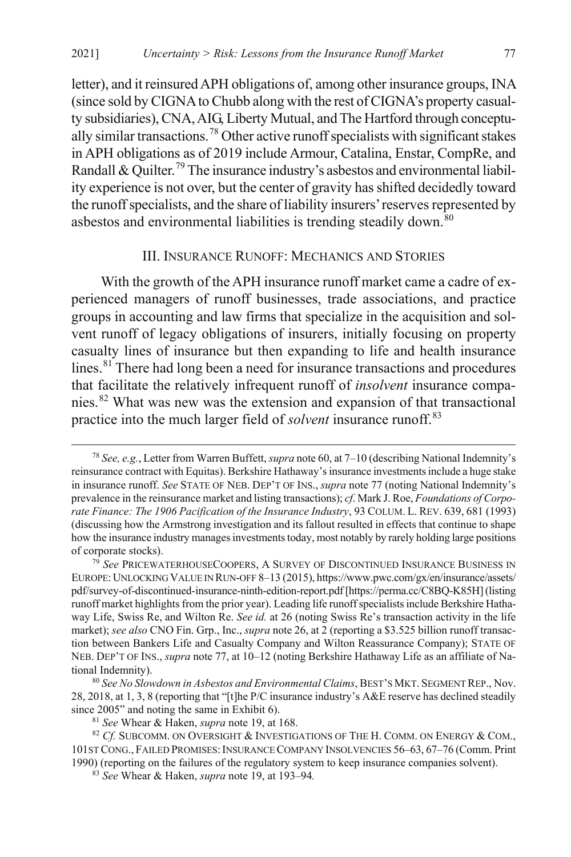letter), and it reinsured APH obligations of, among other insurance groups, INA (since sold by CIGNA to Chubb along with the rest of CIGNA's property casualty subsidiaries), CNA, AIG, Liberty Mutual, and The Hartford through conceptu-ally similar transactions.<sup>[78](#page-19-0)</sup> Other active runoff specialists with significant stakes in APH obligations as of 2019 include Armour, Catalina, Enstar, CompRe, and Randall & Quilter.<sup>[79](#page-19-1)</sup> The insurance industry's asbestos and environmental liability experience is not over, but the center of gravity has shifted decidedly toward the runoff specialists, and the share of liability insurers' reserves represented by asbestos and environmental liabilities is trending steadily down.<sup>[80](#page-19-2)</sup>

#### <span id="page-19-8"></span><span id="page-19-6"></span>III. INSURANCE RUNOFF: MECHANICS AND STORIES

<span id="page-19-7"></span>With the growth of the APH insurance runoff market came a cadre of experienced managers of runoff businesses, trade associations, and practice groups in accounting and law firms that specialize in the acquisition and solvent runoff of legacy obligations of insurers, initially focusing on property casualty lines of insurance but then expanding to life and health insurance lines.<sup>[81](#page-19-3)</sup> There had long been a need for insurance transactions and procedures that facilitate the relatively infrequent runoff of *insolvent* insurance companies.[82](#page-19-4) What was new was the extension and expansion of that transactional practice into the much larger field of *solvent* insurance runoff.<sup>[83](#page-19-5)</sup>

<span id="page-19-0"></span> <sup>78</sup> *See, e.g.*, Letter from Warren Buffett, *supra* not[e 60,](#page-15-0) at 7–10 (describing National Indemnity's reinsurance contract with Equitas). Berkshire Hathaway's insurance investments include a huge stake in insurance runoff. *See* STATE OF NEB. DEP'T OF INS., *supra* not[e 77](#page-18-6) (noting National Indemnity's prevalence in the reinsurance market and listing transactions); *cf*. Mark J. Roe, *Foundations of Corporate Finance: The 1906 Pacification of the Insurance Industry*, 93 COLUM. L. REV. 639, 681 (1993) (discussing how the Armstrong investigation and its fallout resulted in effects that continue to shape how the insurance industry manages investments today, most notably by rarely holding large positions of corporate stocks).

<span id="page-19-1"></span><sup>79</sup> *See* PRICEWATERHOUSECOOPERS, A SURVEY OF DISCONTINUED INSURANCE BUSINESS IN EUROPE:UNLOCKING VALUE IN RUN-OFF 8–13 (2015), https://www.pwc.com/gx/en/insurance/assets/ pdf/survey-of-discontinued-insurance-ninth-edition-report.pdf [https://perma.cc/C8BQ-K85H] (listing runoff market highlights from the prior year). Leading life runoff specialists include Berkshire Hathaway Life, Swiss Re, and Wilton Re. *See id.* at 26 (noting Swiss Re's transaction activity in the life market); *see also* CNO Fin. Grp., Inc., *supra* not[e 26,](#page-9-6) at 2 (reporting a \$3.525 billion runoff transaction between Bankers Life and Casualty Company and Wilton Reassurance Company); STATE OF NEB. DEP'T OF INS., *supra* not[e 77,](#page-18-6) at 10–12 (noting Berkshire Hathaway Life as an affiliate of National Indemnity).

<span id="page-19-2"></span><sup>80</sup> *See No Slowdown in Asbestos and Environmental Claims*, BEST'S MKT. SEGMENT REP., Nov. 28, 2018, at 1, 3, 8 (reporting that "[t]he P/C insurance industry's A&E reserve has declined steadily since 2005" and noting the same in Exhibit 6).

<sup>81</sup> *See* Whear & Haken, *supra* not[e 19,](#page-8-5) at 168.

<span id="page-19-5"></span><span id="page-19-4"></span><span id="page-19-3"></span><sup>82</sup> *Cf.* SUBCOMM. ON OVERSIGHT & INVESTIGATIONS OF THE H. COMM. ON ENERGY & COM., 101ST CONG., FAILED PROMISES:INSURANCE COMPANY INSOLVENCIES 56–63, 67–76 (Comm. Print 1990) (reporting on the failures of the regulatory system to keep insurance companies solvent). 83 *See* Whear & Haken, *supra* note 19, at 193–94*.*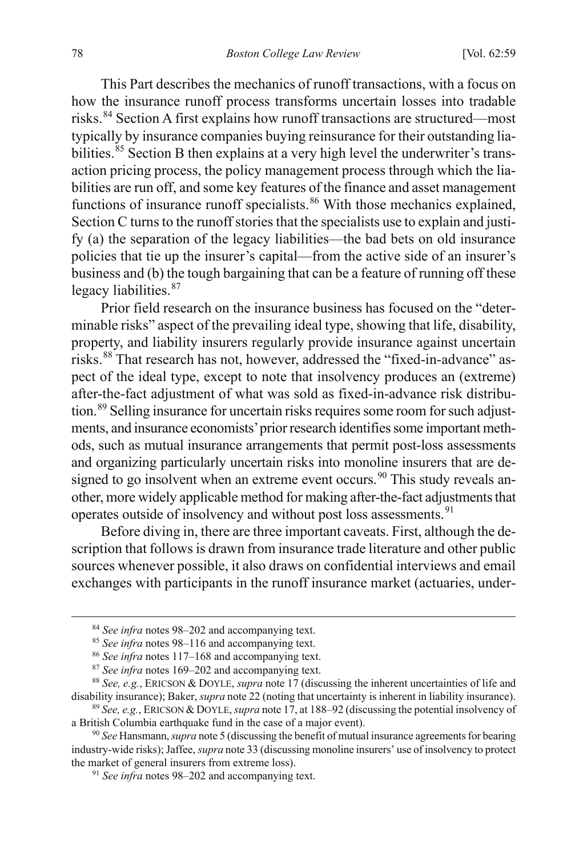This Part describes the mechanics of runoff transactions, with a focus on how the insurance runoff process transforms uncertain losses into tradable risks.[84](#page-20-0) Section A first explains how runoff transactions are structured—most typically by insurance companies buying reinsurance for their outstanding lia-bilities.<sup>[85](#page-20-1)</sup> Section B then explains at a very high level the underwriter's transaction pricing process, the policy management process through which the liabilities are run off, and some key features of the finance and asset management functions of insurance runoff specialists.<sup>[86](#page-20-2)</sup> With those mechanics explained, Section C turns to the runoff stories that the specialists use to explain and justify (a) the separation of the legacy liabilities—the bad bets on old insurance policies that tie up the insurer's capital—from the active side of an insurer's business and (b) the tough bargaining that can be a feature of running off these legacy liabilities.<sup>[87](#page-20-3)</sup>

Prior field research on the insurance business has focused on the "determinable risks" aspect of the prevailing ideal type, showing that life, disability, property, and liability insurers regularly provide insurance against uncertain risks.[88](#page-20-4) That research has not, however, addressed the "fixed-in-advance" aspect of the ideal type, except to note that insolvency produces an (extreme) after-the-fact adjustment of what was sold as fixed-in-advance risk distribu-tion.<sup>[89](#page-20-5)</sup> Selling insurance for uncertain risks requires some room for such adjustments, and insurance economists' prior research identifies some important methods, such as mutual insurance arrangements that permit post-loss assessments and organizing particularly uncertain risks into monoline insurers that are de-signed to go insolvent when an extreme event occurs.<sup>[90](#page-20-6)</sup> This study reveals another, more widely applicable method for making after-the-fact adjustments that operates outside of insolvency and without post loss assessments.<sup>[91](#page-20-7)</sup>

Before diving in, there are three important caveats. First, although the description that follows is drawn from insurance trade literature and other public sources whenever possible, it also draws on confidential interviews and email exchanges with participants in the runoff insurance market (actuaries, under-

 <sup>84</sup> *See infra* note[s 98–](#page-22-0)[202](#page-45-0) and accompanying text.

<sup>85</sup> *See infra* note[s 98–](#page-22-0)[116](#page-26-0) and accompanying text.

<sup>86</sup> *See infra* note[s 117](#page-26-1)[–168](#page-38-0) and accompanying text.

<sup>87</sup> *See infra* note[s 169](#page-38-1)[–202](#page-45-0) and accompanying text.

<span id="page-20-4"></span><span id="page-20-3"></span><span id="page-20-2"></span><span id="page-20-1"></span><span id="page-20-0"></span><sup>88</sup> *See, e.g.*, ERICSON & DOYLE, *supra* not[e 17](#page-7-4) (discussing the inherent uncertainties of life and disability insurance); Baker, *supra* not[e 22](#page-8-4) (noting that uncertainty is inherent in liability insurance).

<span id="page-20-5"></span><sup>89</sup> *See, e.g.*, ERICSON &DOYLE, *supra* not[e 17,](#page-7-4) at 188–92 (discussing the potential insolvency of a British Columbia earthquake fund in the case of a major event).

<span id="page-20-7"></span><span id="page-20-6"></span><sup>90</sup> *See* Hansmann, *supra* not[e 5](#page-4-2) (discussing the benefit of mutual insurance agreements for bearing industry-wide risks); Jaffee, *supra* not[e 33](#page-11-6) (discussing monoline insurers' use of insolvency to protect the market of general insurers from extreme loss).

<sup>91</sup> *See infra* note[s 98–](#page-22-0)[202](#page-45-0) and accompanying text.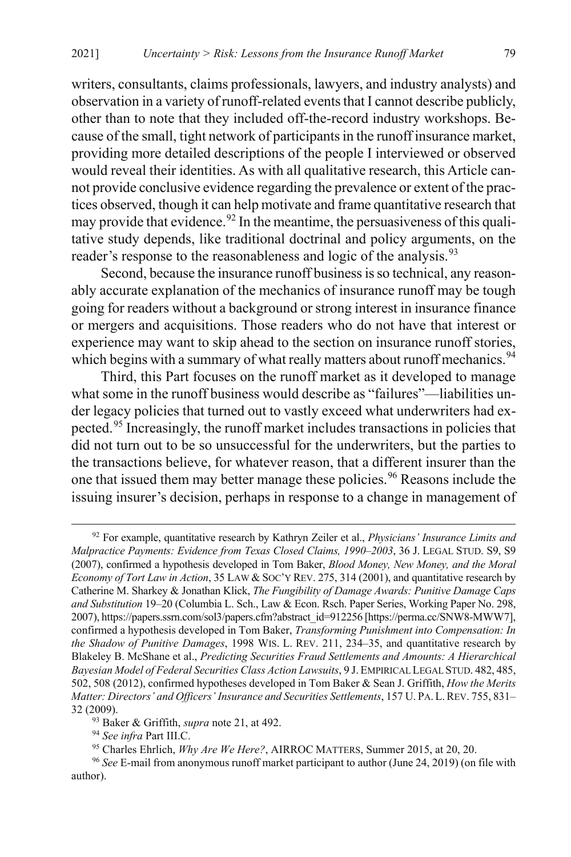writers, consultants, claims professionals, lawyers, and industry analysts) and observation in a variety of runoff-related events that I cannot describe publicly, other than to note that they included off-the-record industry workshops. Because of the small, tight network of participants in the runoff insurance market, providing more detailed descriptions of the people I interviewed or observed would reveal their identities. As with all qualitative research, this Article cannot provide conclusive evidence regarding the prevalence or extent of the practices observed, though it can help motivate and frame quantitative research that may provide that evidence.<sup>[92](#page-21-0)</sup> In the meantime, the persuasiveness of this qualitative study depends, like traditional doctrinal and policy arguments, on the reader's response to the reasonableness and logic of the analysis.<sup>[93](#page-21-1)</sup>

<span id="page-21-8"></span><span id="page-21-7"></span>Second, because the insurance runoff business is so technical, any reasonably accurate explanation of the mechanics of insurance runoff may be tough going for readers without a background or strong interest in insurance finance or mergers and acquisitions. Those readers who do not have that interest or experience may want to skip ahead to the section on insurance runoff stories, which begins with a summary of what really matters about runoff mechanics.<sup>[94](#page-21-2)</sup>

<span id="page-21-6"></span>Third, this Part focuses on the runoff market as it developed to manage what some in the runoff business would describe as "failures"—liabilities under legacy policies that turned out to vastly exceed what underwriters had expected.[95](#page-21-3) Increasingly, the runoff market includes transactions in policies that did not turn out to be so unsuccessful for the underwriters, but the parties to the transactions believe, for whatever reason, that a different insurer than the one that issued them may better manage these policies.<sup>[96](#page-21-4)</sup> Reasons include the issuing insurer's decision, perhaps in response to a change in management of

<span id="page-21-5"></span><span id="page-21-0"></span> <sup>92</sup> For example, quantitative research by Kathryn Zeiler et al., *Physicians' Insurance Limits and Malpractice Payments: Evidence from Texas Closed Claims, 1990–2003*, 36 J. LEGAL STUD. S9, S9 (2007), confirmed a hypothesis developed in Tom Baker, *Blood Money, New Money, and the Moral Economy of Tort Law in Action*, 35 LAW & SOC'Y REV. 275, 314 (2001), and quantitative research by Catherine M. Sharkey & Jonathan Klick, *The Fungibility of Damage Awards: Punitive Damage Caps and Substitution* 19–20 (Columbia L. Sch., Law & Econ. Rsch. Paper Series, Working Paper No. 298, 2007), https://papers.ssrn.com/sol3/papers.cfm?abstract\_id=912256 [https://perma.cc/SNW8-MWW7], confirmed a hypothesis developed in Tom Baker, *Transforming Punishment into Compensation: In the Shadow of Punitive Damages*, 1998 WIS. L. REV. 211, 234–35, and quantitative research by Blakeley B. McShane et al., *Predicting Securities Fraud Settlements and Amounts: A Hierarchical Bayesian Model of Federal Securities Class Action Lawsuits*, 9 J.EMPIRICAL LEGAL STUD. 482, 485, 502, 508 (2012), confirmed hypotheses developed in Tom Baker & Sean J. Griffith, *How the Merits Matter: Directors' and Officers' Insurance and Securities Settlements*, 157 U. PA.L.REV. 755, 831– 32 (2009). 93 Baker & Griffith, *supra* not[e 21,](#page-8-6) at 492.

<sup>94</sup> *See infra* Part III.C.

<sup>95</sup> Charles Ehrlich, *Why Are We Here?*, AIRROC MATTERS, Summer 2015, at 20, 20.

<span id="page-21-4"></span><span id="page-21-3"></span><span id="page-21-2"></span><span id="page-21-1"></span><sup>96</sup> *See* E-mail from anonymous runoff market participant to author (June 24, 2019) (on file with author).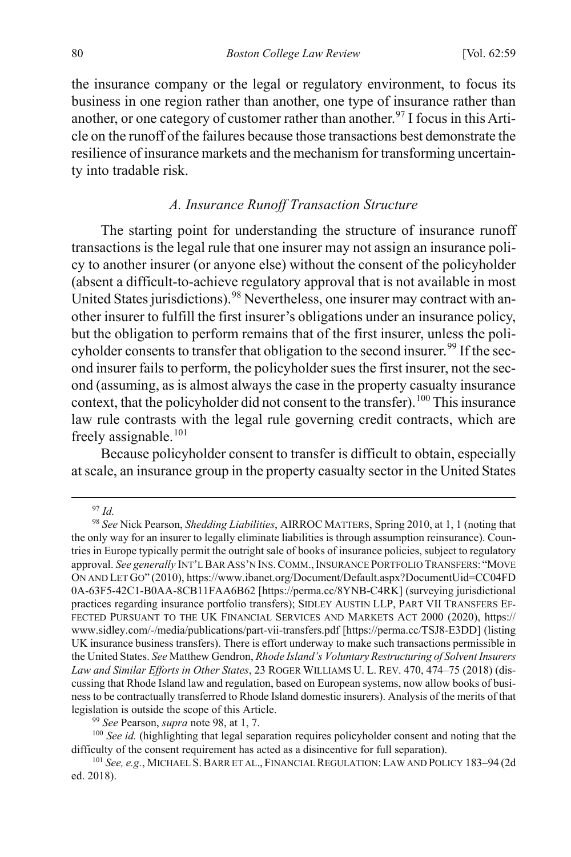the insurance company or the legal or regulatory environment, to focus its business in one region rather than another, one type of insurance rather than another, or one category of customer rather than another.<sup>97</sup> I focus in this Article on the runoff of the failures because those transactions best demonstrate the resilience of insurance markets and the mechanism for transforming uncertainty into tradable risk.

#### <span id="page-22-0"></span>*A. Insurance Runoff Transaction Structure*

The starting point for understanding the structure of insurance runoff transactions is the legal rule that one insurer may not assign an insurance policy to another insurer (or anyone else) without the consent of the policyholder (absent a difficult-to-achieve regulatory approval that is not available in most United States jurisdictions). <sup>[98](#page-22-2)</sup> Nevertheless, one insurer may contract with another insurer to fulfill the first insurer's obligations under an insurance policy, but the obligation to perform remains that of the first insurer, unless the poli-cyholder consents to transfer that obligation to the second insurer.<sup>[99](#page-22-3)</sup> If the second insurer fails to perform, the policyholder sues the first insurer, not the second (assuming, as is almost always the case in the property casualty insurance context, that the policyholder did not consent to the transfer).<sup>[100](#page-22-4)</sup> This insurance law rule contrasts with the legal rule governing credit contracts, which are freely assignable.<sup>[101](#page-22-5)</sup>

Because policyholder consent to transfer is difficult to obtain, especially at scale, an insurance group in the property casualty sector in the United States

#### 97 *Id.*

<span id="page-22-2"></span><span id="page-22-1"></span><sup>98</sup> *See* Nick Pearson, *Shedding Liabilities*, AIRROC MATTERS, Spring 2010, at 1, 1 (noting that the only way for an insurer to legally eliminate liabilities is through assumption reinsurance). Countries in Europe typically permit the outright sale of books of insurance policies, subject to regulatory approval. *See generally* INT'L BAR ASS'N INS.COMM.,INSURANCE PORTFOLIO TRANSFERS: "MOVE ON AND LET GO" (2010), https://www.ibanet.org/Document/Default.aspx?DocumentUid=CC04FD 0A-63F5-42C1-B0AA-8CB11FAA6B62 [https://perma.cc/8YNB-C4RK] (surveying jurisdictional practices regarding insurance portfolio transfers); SIDLEY AUSTIN LLP, PART VII TRANSFERS EF-FECTED PURSUANT TO THE UK FINANCIAL SERVICES AND MARKETS ACT 2000 (2020), https:// www.sidley.com/-/media/publications/part-vii-transfers.pdf [https://perma.cc/TSJ8-E3DD] (listing UK insurance business transfers). There is effort underway to make such transactions permissible in the United States. *See* Matthew Gendron, *Rhode Island's Voluntary Restructuring of Solvent Insurers Law and Similar Efforts in Other States*, 23 ROGER WILLIAMS U. L. REV. 470, 474–75 (2018) (discussing that Rhode Island law and regulation, based on European systems, now allow books of business to be contractually transferred to Rhode Island domestic insurers). Analysis of the merits of that legislation is outside the scope of this Article.

<sup>99</sup> *See* Pearson, *supra* note [98,](#page-22-0) at 1, 7.

<span id="page-22-4"></span><span id="page-22-3"></span><sup>&</sup>lt;sup>100</sup> See id. (highlighting that legal separation requires policyholder consent and noting that the difficulty of the consent requirement has acted as a disincentive for full separation).

<span id="page-22-5"></span><sup>101</sup> *See, e.g.*, MICHAEL S.BARR ET AL., FINANCIAL REGULATION:LAW AND POLICY 183–94 (2d ed. 2018).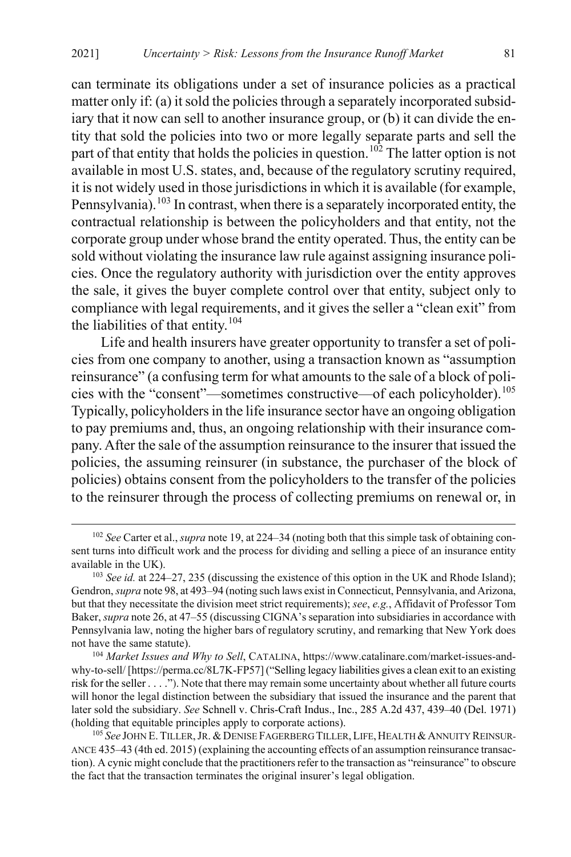can terminate its obligations under a set of insurance policies as a practical matter only if: (a) it sold the policies through a separately incorporated subsidiary that it now can sell to another insurance group, or (b) it can divide the entity that sold the policies into two or more legally separate parts and sell the part of that entity that holds the policies in question.<sup>[102](#page-23-0)</sup> The latter option is not available in most U.S. states, and, because of the regulatory scrutiny required, it is not widely used in those jurisdictions in which it is available (for example, Pennsylvania).<sup>[103](#page-23-1)</sup> In contrast, when there is a separately incorporated entity, the contractual relationship is between the policyholders and that entity, not the corporate group under whose brand the entity operated. Thus, the entity can be sold without violating the insurance law rule against assigning insurance policies. Once the regulatory authority with jurisdiction over the entity approves the sale, it gives the buyer complete control over that entity, subject only to compliance with legal requirements, and it gives the seller a "clean exit" from the liabilities of that entity.<sup>[104](#page-23-2)</sup>

<span id="page-23-4"></span>Life and health insurers have greater opportunity to transfer a set of policies from one company to another, using a transaction known as "assumption reinsurance" (a confusing term for what amounts to the sale of a block of policies with the "consent"—sometimes constructive—of each policyholder).[105](#page-23-3) Typically, policyholders in the life insurance sector have an ongoing obligation to pay premiums and, thus, an ongoing relationship with their insurance company. After the sale of the assumption reinsurance to the insurer that issued the policies, the assuming reinsurer (in substance, the purchaser of the block of policies) obtains consent from the policyholders to the transfer of the policies to the reinsurer through the process of collecting premiums on renewal or, in

<span id="page-23-0"></span> <sup>102</sup> *See* Carter et al., *supra* not[e 19,](#page-8-5) at 224–34 (noting both that this simple task of obtaining consent turns into difficult work and the process for dividing and selling a piece of an insurance entity available in the UK).

<span id="page-23-1"></span><sup>103</sup> *See id.* at 224–27, 235 (discussing the existence of this option in the UK and Rhode Island); Gendron, *supra* not[e 98,](#page-22-0) at 493–94 (noting such laws exist in Connecticut, Pennsylvania, and Arizona, but that they necessitate the division meet strict requirements); *see*, *e.g.*, Affidavit of Professor Tom Baker, *supra* not[e 26,](#page-9-6) at 47–55 (discussing CIGNA's separation into subsidiaries in accordance with Pennsylvania law, noting the higher bars of regulatory scrutiny, and remarking that New York does not have the same statute). 104 *Market Issues and Why to Sell*, CATALINA, https://www.catalinare.com/market-issues-and-

<span id="page-23-2"></span>why-to-sell/ [https://perma.cc/8L7K-FP57] ("Selling legacy liabilities gives a clean exit to an existing risk for the seller . . . ."). Note that there may remain some uncertainty about whether all future courts will honor the legal distinction between the subsidiary that issued the insurance and the parent that later sold the subsidiary. *See* Schnell v. Chris-Craft Indus., Inc., 285 A.2d 437, 439–40 (Del. 1971) (holding that equitable principles apply to corporate actions).

<span id="page-23-3"></span><sup>&</sup>lt;sup>105</sup> See JOHN E. TILLER, JR. & DENISE FAGERBERG TILLER, LIFE, HEALTH & ANNUITY REINSUR-ANCE 435–43 (4th ed. 2015) (explaining the accounting effects of an assumption reinsurance transaction). A cynic might conclude that the practitioners refer to the transaction as "reinsurance" to obscure the fact that the transaction terminates the original insurer's legal obligation.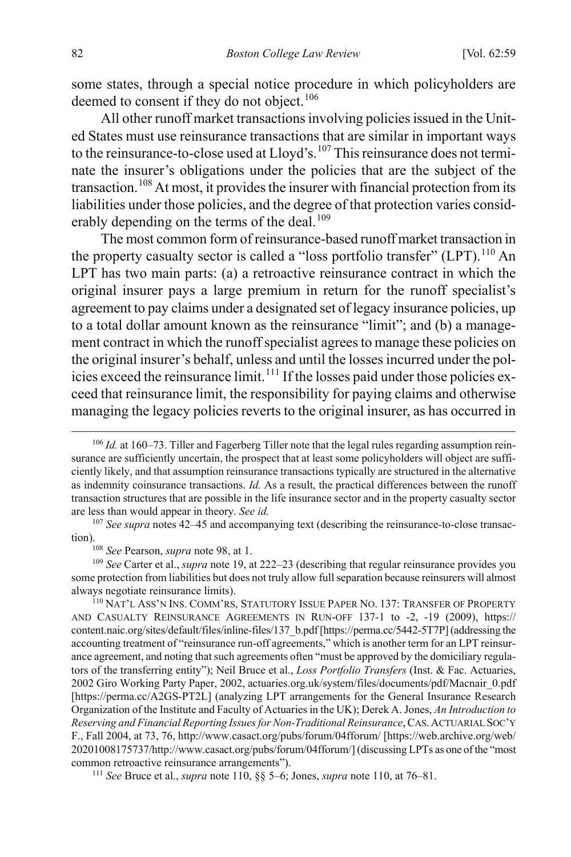<span id="page-24-7"></span>some states, through a special notice procedure in which policyholders are deemed to consent if they do not object.<sup>[106](#page-24-1)</sup>

All other runoff market transactions involving policies issued in the United States must use reinsurance transactions that are similar in important ways to the reinsurance-to-close used at Lloyd's.<sup>[107](#page-24-2)</sup> This reinsurance does not terminate the insurer's obligations under the policies that are the subject of the transaction.[108](#page-24-3) At most, it provides the insurer with financial protection from its liabilities under those policies, and the degree of that protection varies consid-erably depending on the terms of the deal.<sup>[109](#page-24-4)</sup>

<span id="page-24-0"></span>The most common form of reinsurance-based runoff market transaction in the property casualty sector is called a "loss portfolio transfer" (LPT).<sup>[110](#page-24-5)</sup> An LPT has two main parts: (a) a retroactive reinsurance contract in which the original insurer pays a large premium in return for the runoff specialist's agreement to pay claims under a designated set of legacy insurance policies, up to a total dollar amount known as the reinsurance "limit"; and (b) a management contract in which the runoff specialist agrees to manage these policies on the original insurer's behalf, unless and until the losses incurred under the pol-icies exceed the reinsurance limit.<sup>[111](#page-24-6)</sup> If the losses paid under those policies exceed that reinsurance limit, the responsibility for paying claims and otherwise managing the legacy policies reverts to the original insurer, as has occurred in

<span id="page-24-2"></span><sup>107</sup> See supra note[s 42](#page-12-8)[–45](#page-13-6) and accompanying text (describing the reinsurance-to-close transaction).

<sup>108</sup> See Pearson, *supra* not[e 98,](#page-22-0) at 1.

<span id="page-24-4"></span><span id="page-24-3"></span><sup>109</sup> *See* Carter et al., *supra* note 19, at 222–23 (describing that regular reinsurance provides you some protection from liabilities but does not truly allow full separation because reinsurers will almost always negotiate reinsurance limits).

<span id="page-24-5"></span><sup>110</sup> NAT'L ASS'N INS. COMM'RS, STATUTORY ISSUE PAPER NO. 137: TRANSFER OF PROPERTY AND CASUALTY REINSURANCE AGREEMENTS IN RUN-OFF 137-1 to -2, -19 (2009), https:// content.naic.org/sites/default/files/inline-files/137\_b.pdf [https://perma.cc/5442-5T7P] (addressing the accounting treatment of "reinsurance run-off agreements," which is another term for an LPT reinsurance agreement, and noting that such agreements often "must be approved by the domiciliary regulators of the transferring entity"); Neil Bruce et al., *Loss Portfolio Transfers* (Inst. & Fac. Actuaries, 2002 Giro Working Party Paper, 2002, actuaries.org.uk/system/files/documents/pdf/Macnair\_0.pdf [https://perma.cc/A2GS-PT2L] (analyzing LPT arrangements for the General Insurance Research Organization of the Institute and Faculty of Actuaries in the UK); Derek A. Jones, *An Introduction to Reserving and Financial Reporting Issues for Non-Traditional Reinsurance*, CAS.ACTUARIAL SOC'Y F., Fall 2004, at 73, 76, http://www.casact.org/pubs/forum/04fforum/ [https://web.archive.org/web/ 20201008175737/http://www.casact.org/pubs/forum/04fforum/] (discussing LPTs as one of the "most common retroactive reinsurance arrangements"). 111 *See* Bruce et al., *supra* not[e 110,](#page-24-0) §§ 5–6; Jones, *supra* note [110,](#page-24-0) at 76–81.

<span id="page-24-6"></span>

<span id="page-24-1"></span><sup>&</sup>lt;sup>106</sup> *Id.* at 160–73. Tiller and Fagerberg Tiller note that the legal rules regarding assumption reinsurance are sufficiently uncertain, the prospect that at least some policyholders will object are sufficiently likely, and that assumption reinsurance transactions typically are structured in the alternative as indemnity coinsurance transactions. *Id.* As a result, the practical differences between the runoff transaction structures that are possible in the life insurance sector and in the property casualty sector are less than would appear in theory. *See id.*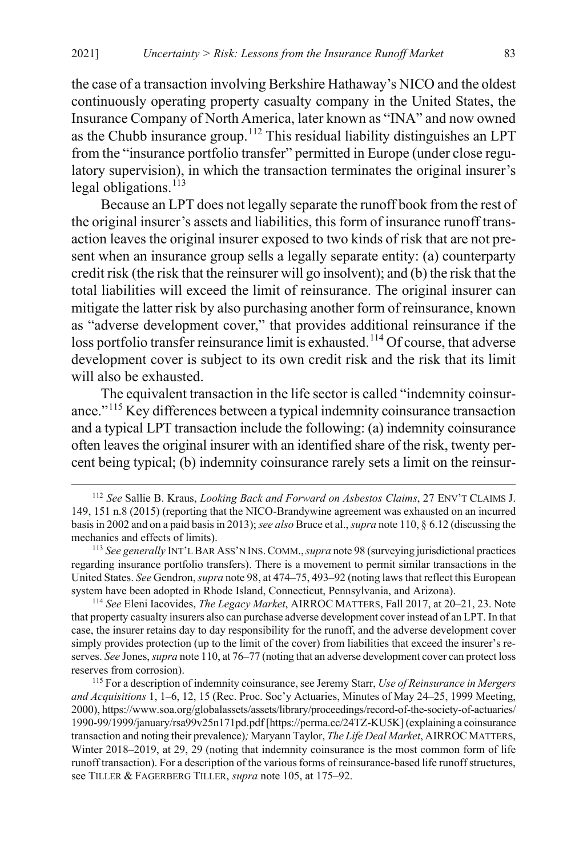the case of a transaction involving Berkshire Hathaway's NICO and the oldest continuously operating property casualty company in the United States, the Insurance Company of North America, later known as "INA" and now owned as the Chubb insurance group.<sup>[112](#page-25-0)</sup> This residual liability distinguishes an LPT from the "insurance portfolio transfer" permitted in Europe (under close regulatory supervision), in which the transaction terminates the original insurer's legal obligations.<sup>[113](#page-25-1)</sup>

Because an LPT does not legally separate the runoff book from the rest of the original insurer's assets and liabilities, this form of insurance runoff transaction leaves the original insurer exposed to two kinds of risk that are not present when an insurance group sells a legally separate entity: (a) counterparty credit risk (the risk that the reinsurer will go insolvent); and (b) the risk that the total liabilities will exceed the limit of reinsurance. The original insurer can mitigate the latter risk by also purchasing another form of reinsurance, known as "adverse development cover," that provides additional reinsurance if the loss portfolio transfer reinsurance limit is exhausted.<sup>[114](#page-25-2)</sup> Of course, that adverse development cover is subject to its own credit risk and the risk that its limit will also be exhausted.

<span id="page-25-4"></span>The equivalent transaction in the life sector is called "indemnity coinsurance."[115](#page-25-3) Key differences between a typical indemnity coinsurance transaction and a typical LPT transaction include the following: (a) indemnity coinsurance often leaves the original insurer with an identified share of the risk, twenty percent being typical; (b) indemnity coinsurance rarely sets a limit on the reinsur-

<span id="page-25-2"></span><sup>114</sup> *See* Eleni Iacovides, *The Legacy Market*, AIRROC MATTERS, Fall 2017, at 20–21, 23. Note that property casualty insurers also can purchase adverse development cover instead of an LPT. In that case, the insurer retains day to day responsibility for the runoff, and the adverse development cover simply provides protection (up to the limit of the cover) from liabilities that exceed the insurer's reserves. *See* Jones, *supra* not[e 110,](#page-24-0) at 76–77 (noting that an adverse development cover can protect loss reserves from corrosion).

<span id="page-25-0"></span> <sup>112</sup> *See* Sallie B. Kraus, *Looking Back and Forward on Asbestos Claims*, 27 ENV'T CLAIMS J. 149, 151 n.8 (2015) (reporting that the NICO-Brandywine agreement was exhausted on an incurred basis in 2002 and on a paid basis in 2013); *see also* Bruce et al., *supra* not[e 110,](#page-24-0) § 6.12 (discussing the mechanics and effects of limits).

<span id="page-25-1"></span><sup>113</sup> *See generally* INT'L BAR ASS'N INS.COMM.,*supra* not[e 98](#page-22-0) (surveying jurisdictional practices regarding insurance portfolio transfers). There is a movement to permit similar transactions in the United States. *See* Gendron, *supra* not[e 98,](#page-22-0) at 474–75, 493–92 (noting laws that reflect this European system have been adopted in Rhode Island, Connecticut, Pennsylvania, and Arizona).

<span id="page-25-3"></span><sup>115</sup> For a description of indemnity coinsurance, see Jeremy Starr, *Use of Reinsurance in Mergers and Acquisitions* 1, 1–6, 12, 15 (Rec. Proc. Soc'y Actuaries, Minutes of May 24–25, 1999 Meeting, 2000), https://www.soa.org/globalassets/assets/library/proceedings/record-of-the-society-of-actuaries/ 1990-99/1999/january/rsa99v25n171pd.pdf [https://perma.cc/24TZ-KU5K] (explaining a coinsurance transaction and noting their prevalence)*;* Maryann Taylor, *The Life Deal Market*, AIRROCMATTERS, Winter 2018–2019, at 29, 29 (noting that indemnity coinsurance is the most common form of life runoff transaction). For a description of the various forms of reinsurance-based life runoff structures, see TILLER & FAGERBERG TILLER, *supra* note [105,](#page-23-4) at 175–92.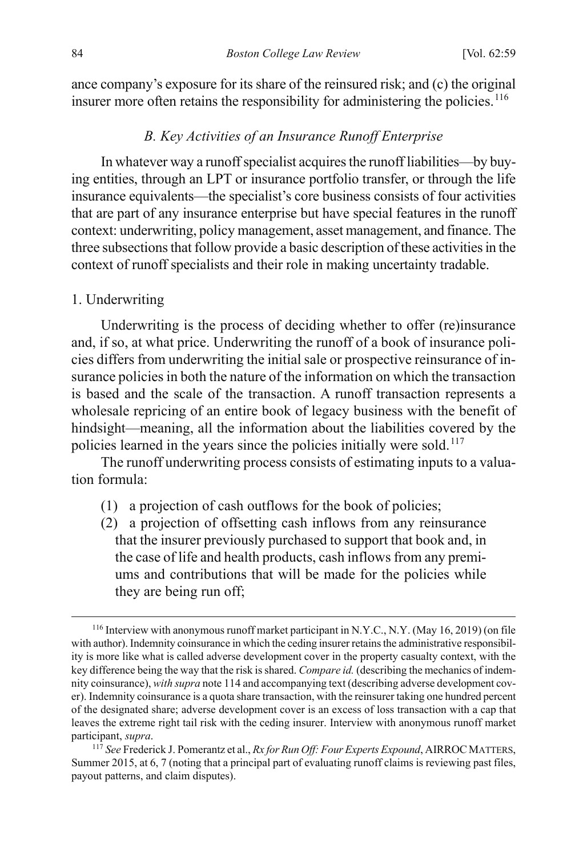ance company's exposure for its share of the reinsured risk; and (c) the original insurer more often retains the responsibility for administering the policies.<sup>[116](#page-26-2)</sup>

#### <span id="page-26-0"></span>*B. Key Activities of an Insurance Runoff Enterprise*

In whatever way a runoff specialist acquires the runoff liabilities—by buying entities, through an LPT or insurance portfolio transfer, or through the life insurance equivalents—the specialist's core business consists of four activities that are part of any insurance enterprise but have special features in the runoff context: underwriting, policy management, asset management, and finance. The three subsections that follow provide a basic description of these activities in the context of runoff specialists and their role in making uncertainty tradable.

#### 1. Underwriting

Underwriting is the process of deciding whether to offer (re)insurance and, if so, at what price. Underwriting the runoff of a book of insurance policies differs from underwriting the initial sale or prospective reinsurance of insurance policies in both the nature of the information on which the transaction is based and the scale of the transaction. A runoff transaction represents a wholesale repricing of an entire book of legacy business with the benefit of hindsight—meaning, all the information about the liabilities covered by the policies learned in the years since the policies initially were sold.<sup>[117](#page-26-3)</sup>

The runoff underwriting process consists of estimating inputs to a valuation formula:

- <span id="page-26-1"></span>(1) a projection of cash outflows for the book of policies;
- (2) a projection of offsetting cash inflows from any reinsurance that the insurer previously purchased to support that book and, in the case of life and health products, cash inflows from any premiums and contributions that will be made for the policies while they are being run off;

<span id="page-26-2"></span> <sup>116</sup> Interview with anonymous runoff market participant in N.Y.C., N.Y. (May 16, 2019) (on file with author). Indemnity coinsurance in which the ceding insurer retains the administrative responsibility is more like what is called adverse development cover in the property casualty context, with the key difference being the way that the risk is shared. *Compare id.* (describing the mechanics of indemnity coinsurance), *with supra* not[e 114](#page-25-4) and accompanying text (describing adverse development cover). Indemnity coinsurance is a quota share transaction, with the reinsurer taking one hundred percent of the designated share; adverse development cover is an excess of loss transaction with a cap that leaves the extreme right tail risk with the ceding insurer. Interview with anonymous runoff market participant, *supra*. 117 *See* Frederick J. Pomerantz et al., *Rx for Run Off: Four Experts Expound*, AIRROCMATTERS,

<span id="page-26-3"></span>Summer 2015, at 6, 7 (noting that a principal part of evaluating runoff claims is reviewing past files, payout patterns, and claim disputes).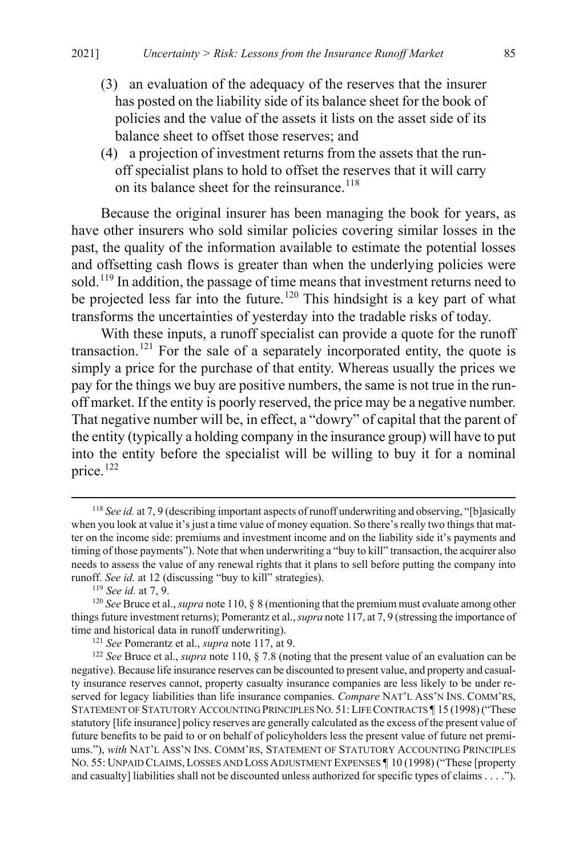- (3) an evaluation of the adequacy of the reserves that the insurer has posted on the liability side of its balance sheet for the book of policies and the value of the assets it lists on the asset side of its balance sheet to offset those reserves; and
- <span id="page-27-5"></span>(4) a projection of investment returns from the assets that the runoff specialist plans to hold to offset the reserves that it will carry on its balance sheet for the reinsurance.<sup>[118](#page-27-0)</sup>

Because the original insurer has been managing the book for years, as have other insurers who sold similar policies covering similar losses in the past, the quality of the information available to estimate the potential losses and offsetting cash flows is greater than when the underlying policies were sold.<sup>[119](#page-27-1)</sup> In addition, the passage of time means that investment returns need to be projected less far into the future.<sup>[120](#page-27-2)</sup> This hindsight is a key part of what transforms the uncertainties of yesterday into the tradable risks of today.

With these inputs, a runoff specialist can provide a quote for the runoff transaction.<sup>[121](#page-27-3)</sup> For the sale of a separately incorporated entity, the quote is simply a price for the purchase of that entity. Whereas usually the prices we pay for the things we buy are positive numbers, the same is not true in the runoff market. If the entity is poorly reserved, the price may be a negative number. That negative number will be, in effect, a "dowry" of capital that the parent of the entity (typically a holding company in the insurance group) will have to put into the entity before the specialist will be willing to buy it for a nominal price. [122](#page-27-4)

<span id="page-27-0"></span> <sup>118</sup> *See id.* at 7, 9 (describing important aspects of runoff underwriting and observing, "[b]asically when you look at value it's just a time value of money equation. So there's really two things that matter on the income side: premiums and investment income and on the liability side it's payments and timing of those payments"). Note that when underwriting a "buy to kill" transaction, the acquirer also needs to assess the value of any renewal rights that it plans to sell before putting the company into runoff. *See id.* at 12 (discussing "buy to kill" strategies).

<sup>119</sup> *See id.* at 7, 9.

<span id="page-27-2"></span><span id="page-27-1"></span><sup>120</sup> *See* Bruce et al., *supra* not[e 110,](#page-24-0) § 8 (mentioning that the premium must evaluate among other things future investment returns); Pomerantz et al., *supra* not[e 117,](#page-26-1) at 7, 9 (stressing the importance of time and historical data in runoff underwriting).

<sup>121</sup> *See* Pomerantz et al., *supra* not[e 117,](#page-26-1) at 9.

<span id="page-27-4"></span><span id="page-27-3"></span><sup>122</sup> *See* Bruce et al., *supra* note [110,](#page-24-0) § 7.8 (noting that the present value of an evaluation can be negative). Because life insurance reserves can be discounted to present value, and property and casualty insurance reserves cannot, property casualty insurance companies are less likely to be under reserved for legacy liabilities than life insurance companies. *Compare* NAT'L ASS'N INS. COMM'RS, STATEMENT OF STATUTORY ACCOUNTING PRINCIPLES NO. 51: LIFE CONTRACTS ¶ 15 (1998) ("These statutory [life insurance] policy reserves are generally calculated as the excess of the present value of future benefits to be paid to or on behalf of policyholders less the present value of future net premiums."), *with* NAT'L ASS'N INS. COMM'RS, STATEMENT OF STATUTORY ACCOUNTING PRINCIPLES NO. 55: UNPAID CLAIMS,LOSSES AND LOSS ADJUSTMENT EXPENSES ¶ 10 (1998) ("These [property and casualty] liabilities shall not be discounted unless authorized for specific types of claims . . . .").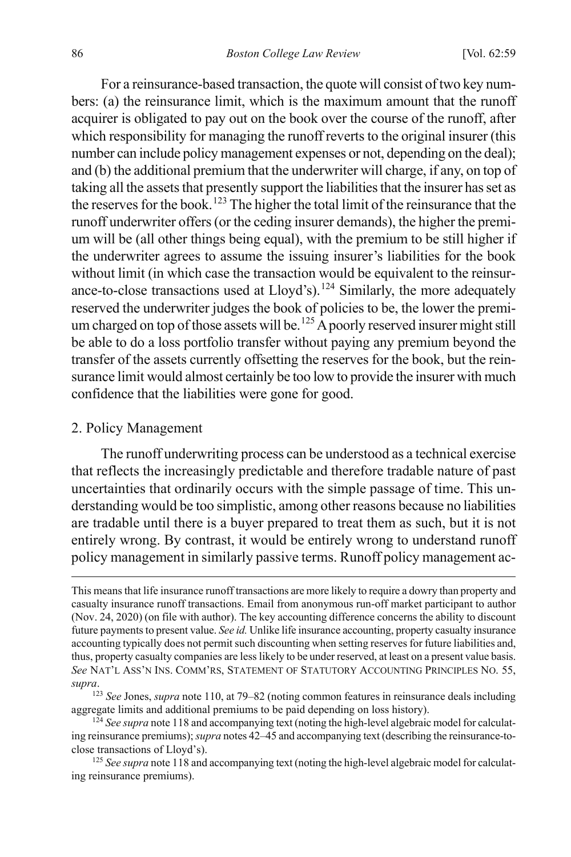For a reinsurance-based transaction, the quote will consist of two key numbers: (a) the reinsurance limit, which is the maximum amount that the runoff acquirer is obligated to pay out on the book over the course of the runoff, after which responsibility for managing the runoff reverts to the original insurer (this number can include policy management expenses or not, depending on the deal); and (b) the additional premium that the underwriter will charge, if any, on top of taking all the assets that presently support the liabilities that the insurer has set as the reserves for the book.<sup>[123](#page-28-0)</sup> The higher the total limit of the reinsurance that the runoff underwriter offers (or the ceding insurer demands), the higher the premium will be (all other things being equal), with the premium to be still higher if the underwriter agrees to assume the issuing insurer's liabilities for the book without limit (in which case the transaction would be equivalent to the reinsur-ance-to-close transactions used at Lloyd's).<sup>[124](#page-28-1)</sup> Similarly, the more adequately reserved the underwriter judges the book of policies to be, the lower the premi-um charged on top of those assets will be.<sup>[125](#page-28-2)</sup> A poorly reserved insurer might still be able to do a loss portfolio transfer without paying any premium beyond the transfer of the assets currently offsetting the reserves for the book, but the reinsurance limit would almost certainly be too low to provide the insurer with much confidence that the liabilities were gone for good.

#### 2. Policy Management

 $\overline{a}$ 

The runoff underwriting process can be understood as a technical exercise that reflects the increasingly predictable and therefore tradable nature of past uncertainties that ordinarily occurs with the simple passage of time. This understanding would be too simplistic, among other reasons because no liabilities are tradable until there is a buyer prepared to treat them as such, but it is not entirely wrong. By contrast, it would be entirely wrong to understand runoff policy management in similarly passive terms. Runoff policy management ac-

This means that life insurance runoff transactions are more likely to require a dowry than property and casualty insurance runoff transactions. Email from anonymous run-off market participant to author (Nov. 24, 2020) (on file with author). The key accounting difference concerns the ability to discount future payments to present value. *See id.* Unlike life insurance accounting, property casualty insurance accounting typically does not permit such discounting when setting reserves for future liabilities and, thus, property casualty companies are less likely to be under reserved, at least on a present value basis. *See* NAT'L ASS'N INS. COMM'RS, STATEMENT OF STATUTORY ACCOUNTING PRINCIPLES NO. 55, *supra*.

<span id="page-28-0"></span><sup>123</sup> *See* Jones, *supra* not[e 110,](#page-24-0) at 79–82 (noting common features in reinsurance deals including aggregate limits and additional premiums to be paid depending on loss history).

<span id="page-28-1"></span><sup>&</sup>lt;sup>124</sup> See supra not[e 118](#page-27-5) and accompanying text (noting the high-level algebraic model for calculating reinsurance premiums); *supra* note[s 42](#page-12-8)[–45](#page-13-6) and accompanying text (describing the reinsurance-toclose transactions of Lloyd's).

<span id="page-28-2"></span><sup>&</sup>lt;sup>125</sup> See supra not[e 118](#page-27-5) and accompanying text (noting the high-level algebraic model for calculating reinsurance premiums).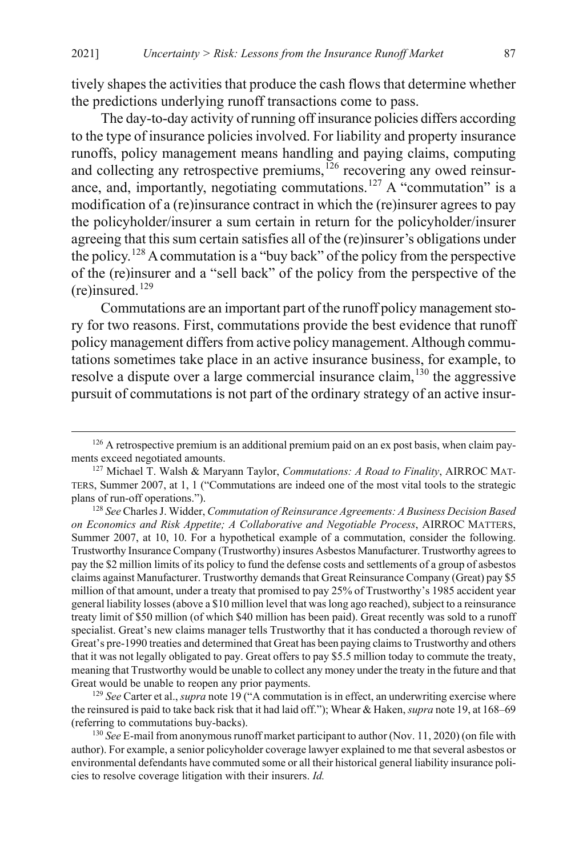tively shapes the activities that produce the cash flows that determine whether the predictions underlying runoff transactions come to pass.

<span id="page-29-7"></span><span id="page-29-5"></span>The day-to-day activity of running off insurance policies differs according to the type of insurance policies involved. For liability and property insurance runoffs, policy management means handling and paying claims, computing and collecting any retrospective premiums, $126$  recovering any owed reinsur-ance, and, importantly, negotiating commutations.<sup>[127](#page-29-1)</sup> A "commutation" is a modification of a (re)insurance contract in which the (re)insurer agrees to pay the policyholder/insurer a sum certain in return for the policyholder/insurer agreeing that this sum certain satisfies all of the (re)insurer's obligations under the policy.[128](#page-29-2) A commutation is a "buy back" of the policy from the perspective of the (re)insurer and a "sell back" of the policy from the perspective of the  $(re)$ insured.<sup>[129](#page-29-3)</sup>

<span id="page-29-6"></span>Commutations are an important part of the runoff policy management story for two reasons. First, commutations provide the best evidence that runoff policy management differs from active policy management. Although commutations sometimes take place in an active insurance business, for example, to resolve a dispute over a large commercial insurance claim,<sup>[130](#page-29-4)</sup> the aggressive pursuit of commutations is not part of the ordinary strategy of an active insur-

<span id="page-29-3"></span><sup>129</sup> *See* Carter et al., *supra* not[e 19](#page-8-5) ("A commutation is in effect, an underwriting exercise where the reinsured is paid to take back risk that it had laid off."); Whear & Haken, *supra* not[e 19,](#page-8-5) at 168–69 (referring to commutations buy-backs). 130 *See* E-mail from anonymous runoff market participant to author (Nov. 11, 2020) (on file with

<span id="page-29-4"></span>author). For example, a senior policyholder coverage lawyer explained to me that several asbestos or environmental defendants have commuted some or all their historical general liability insurance policies to resolve coverage litigation with their insurers. *Id.*

<span id="page-29-0"></span><sup>&</sup>lt;sup>126</sup> A retrospective premium is an additional premium paid on an ex post basis, when claim payments exceed negotiated amounts.

<span id="page-29-1"></span><sup>127</sup> Michael T. Walsh & Maryann Taylor, *Commutations: A Road to Finality*, AIRROC MAT-TERS, Summer 2007, at 1, 1 ("Commutations are indeed one of the most vital tools to the strategic plans of run-off operations."). 128 *See* Charles J. Widder, *Commutation of Reinsurance Agreements: A Business Decision Based* 

<span id="page-29-2"></span>*on Economics and Risk Appetite; A Collaborative and Negotiable Process*, AIRROC MATTERS, Summer 2007, at 10, 10. For a hypothetical example of a commutation, consider the following. Trustworthy Insurance Company (Trustworthy) insures Asbestos Manufacturer. Trustworthy agrees to pay the \$2 million limits of its policy to fund the defense costs and settlements of a group of asbestos claims against Manufacturer. Trustworthy demands that Great Reinsurance Company (Great) pay \$5 million of that amount, under a treaty that promised to pay 25% of Trustworthy's 1985 accident year general liability losses (above a \$10 million level that was long ago reached), subject to a reinsurance treaty limit of \$50 million (of which \$40 million has been paid). Great recently was sold to a runoff specialist. Great's new claims manager tells Trustworthy that it has conducted a thorough review of Great's pre-1990 treaties and determined that Great has been paying claims to Trustworthy and others that it was not legally obligated to pay. Great offers to pay \$5.5 million today to commute the treaty, meaning that Trustworthy would be unable to collect any money under the treaty in the future and that Great would be unable to reopen any prior payments.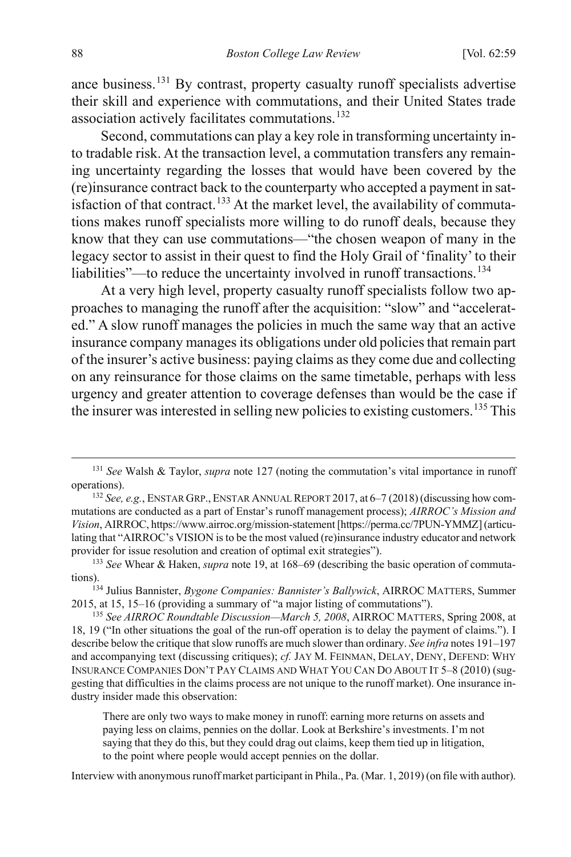ance business.[131](#page-30-0) By contrast, property casualty runoff specialists advertise their skill and experience with commutations, and their United States trade association actively facilitates commutations.<sup>[132](#page-30-1)</sup>

Second, commutations can play a key role in transforming uncertainty into tradable risk. At the transaction level, a commutation transfers any remaining uncertainty regarding the losses that would have been covered by the (re)insurance contract back to the counterparty who accepted a payment in sat-isfaction of that contract.<sup>[133](#page-30-2)</sup> At the market level, the availability of commutations makes runoff specialists more willing to do runoff deals, because they know that they can use commutations—"the chosen weapon of many in the legacy sector to assist in their quest to find the Holy Grail of 'finality' to their liabilities"—to reduce the uncertainty involved in runoff transactions.<sup>[134](#page-30-3)</sup>

<span id="page-30-6"></span>At a very high level, property casualty runoff specialists follow two approaches to managing the runoff after the acquisition: "slow" and "accelerated." A slow runoff manages the policies in much the same way that an active insurance company manages its obligations under old policies that remain part of the insurer's active business: paying claims as they come due and collecting on any reinsurance for those claims on the same timetable, perhaps with less urgency and greater attention to coverage defenses than would be the case if the insurer was interested in selling new policies to existing customers.<sup>[135](#page-30-4)</sup> This

<span id="page-30-3"></span><sup>134</sup> Julius Bannister, *Bygone Companies: Bannister's Ballywick*, AIRROC MATTERS, Summer 2015, at 15, 15–16 (providing a summary of "a major listing of commutations").

There are only two ways to make money in runoff: earning more returns on assets and paying less on claims, pennies on the dollar. Look at Berkshire's investments. I'm not saying that they do this, but they could drag out claims, keep them tied up in litigation, to the point where people would accept pennies on the dollar.

Interview with anonymous runoff market participant in Phila., Pa. (Mar. 1, 2019) (on file with author).

<span id="page-30-5"></span><span id="page-30-0"></span> <sup>131</sup> *See* Walsh & Taylor, *supra* not[e 127](#page-29-5) (noting the commutation's vital importance in runoff operations). 132 *See, e.g.*, ENSTAR GRP.,ENSTAR ANNUAL REPORT 2017, at 6–7 (2018) (discussing how com-

<span id="page-30-1"></span>mutations are conducted as a part of Enstar's runoff management process); *AIRROC's Mission and Vision*, AIRROC, https://www.airroc.org/mission-statement [https://perma.cc/7PUN-YMMZ] (articulating that "AIRROC's VISION is to be the most valued (re)insurance industry educator and network provider for issue resolution and creation of optimal exit strategies").

<span id="page-30-2"></span><sup>133</sup> *See* Whear & Haken, *supra* note 19, at 168–69 (describing the basic operation of commutations).

<span id="page-30-4"></span><sup>135</sup> *See AIRROC Roundtable Discussion—March 5, 2008*, AIRROC MATTERS, Spring 2008, at 18, 19 ("In other situations the goal of the run-off operation is to delay the payment of claims."). I describe below the critique that slow runoffs are much slower than ordinary. *See infra* note[s 191–](#page-42-0)[197](#page-44-0) and accompanying text (discussing critiques); *cf.* JAY M. FEINMAN, DELAY, DENY, DEFEND: WHY INSURANCE COMPANIES DON'T PAY CLAIMS AND WHAT YOU CAN DO ABOUT IT 5–8 (2010) (suggesting that difficulties in the claims process are not unique to the runoff market). One insurance industry insider made this observation: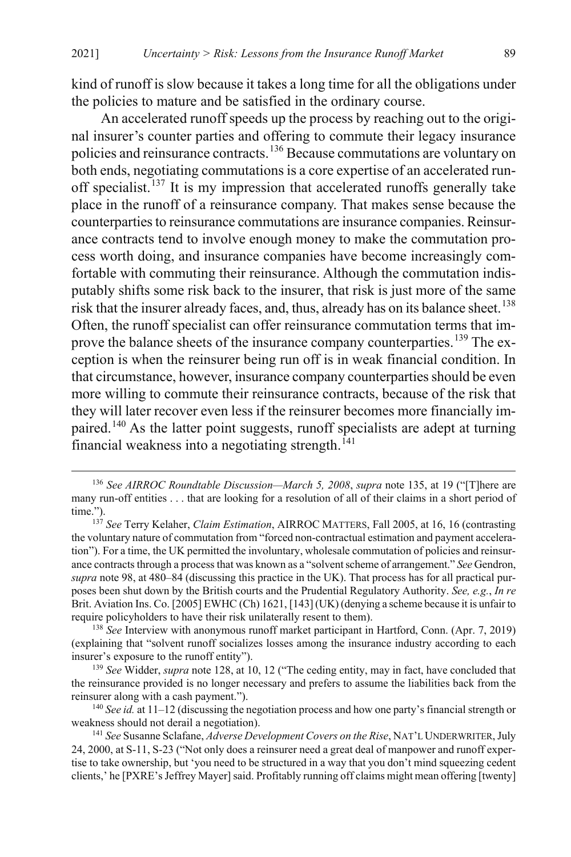kind of runoff is slow because it takes a long time for all the obligations under the policies to mature and be satisfied in the ordinary course.

An accelerated runoff speeds up the process by reaching out to the original insurer's counter parties and offering to commute their legacy insurance policies and reinsurance contracts.[136](#page-31-0) Because commutations are voluntary on both ends, negotiating commutations is a core expertise of an accelerated run-off specialist.<sup>[137](#page-31-1)</sup> It is my impression that accelerated runoffs generally take place in the runoff of a reinsurance company. That makes sense because the counterparties to reinsurance commutations are insurance companies. Reinsurance contracts tend to involve enough money to make the commutation process worth doing, and insurance companies have become increasingly comfortable with commuting their reinsurance. Although the commutation indisputably shifts some risk back to the insurer, that risk is just more of the same risk that the insurer already faces, and, thus, already has on its balance sheet.<sup>[138](#page-31-2)</sup> Often, the runoff specialist can offer reinsurance commutation terms that im-prove the balance sheets of the insurance company counterparties.<sup>[139](#page-31-3)</sup> The exception is when the reinsurer being run off is in weak financial condition. In that circumstance, however, insurance company counterparties should be even more willing to commute their reinsurance contracts, because of the risk that they will later recover even less if the reinsurer becomes more financially im-paired.<sup>[140](#page-31-4)</sup> As the latter point suggests, runoff specialists are adept at turning financial weakness into a negotiating strength. $141$ 

<span id="page-31-2"></span><sup>138</sup> *See* Interview with anonymous runoff market participant in Hartford, Conn. (Apr. 7, 2019) (explaining that "solvent runoff socializes losses among the insurance industry according to each insurer's exposure to the runoff entity").

<span id="page-31-3"></span><sup>139</sup> *See* Widder, *supra* note [128,](#page-29-6) at 10, 12 ("The ceding entity, may in fact, have concluded that the reinsurance provided is no longer necessary and prefers to assume the liabilities back from the reinsurer along with a cash payment.").

<span id="page-31-4"></span><sup>140</sup> *See id.* at 11–12 (discussing the negotiation process and how one party's financial strength or weakness should not derail a negotiation).

<span id="page-31-5"></span><sup>141</sup> *See* Susanne Sclafane, *Adverse Development Covers on the Rise*, NAT'L UNDERWRITER, July 24, 2000, at S-11, S-23 ("Not only does a reinsurer need a great deal of manpower and runoff expertise to take ownership, but 'you need to be structured in a way that you don't mind squeezing cedent clients,' he [PXRE's Jeffrey Mayer] said. Profitably running off claims might mean offering [twenty]

<span id="page-31-8"></span><span id="page-31-7"></span><span id="page-31-6"></span><span id="page-31-0"></span> <sup>136</sup> *See AIRROC Roundtable Discussion—March 5, 2008*, *supra* not[e 135,](#page-30-5) at 19 ("[T]here are many run-off entities . . . that are looking for a resolution of all of their claims in a short period of time.").

<span id="page-31-1"></span><sup>137</sup> *See* Terry Kelaher, *Claim Estimation*, AIRROC MATTERS, Fall 2005, at 16, 16 (contrasting the voluntary nature of commutation from "forced non-contractual estimation and payment acceleration"). For a time, the UK permitted the involuntary, wholesale commutation of policies and reinsurance contracts through a process that was known as a "solvent scheme of arrangement." *See* Gendron, *supra* not[e 98,](#page-22-0) at 480–84 (discussing this practice in the UK). That process has for all practical purposes been shut down by the British courts and the Prudential Regulatory Authority. *See, e.g.*, *In re* Brit. Aviation Ins. Co. [2005] EWHC (Ch) 1621, [143] (UK) (denying a scheme because it is unfair to require policyholders to have their risk unilaterally resent to them).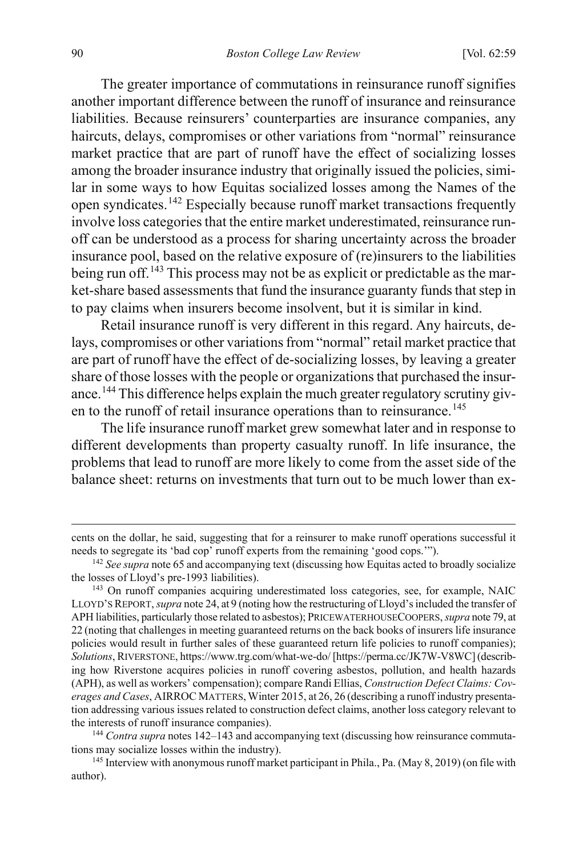<span id="page-32-0"></span>The greater importance of commutations in reinsurance runoff signifies another important difference between the runoff of insurance and reinsurance liabilities. Because reinsurers' counterparties are insurance companies, any haircuts, delays, compromises or other variations from "normal" reinsurance market practice that are part of runoff have the effect of socializing losses among the broader insurance industry that originally issued the policies, similar in some ways to how Equitas socialized losses among the Names of the open syndicates.[142](#page-32-2) Especially because runoff market transactions frequently involve loss categories that the entire market underestimated, reinsurance runoff can be understood as a process for sharing uncertainty across the broader insurance pool, based on the relative exposure of (re)insurers to the liabilities being run off.<sup>[143](#page-32-3)</sup> This process may not be as explicit or predictable as the market-share based assessments that fund the insurance guaranty funds that step in to pay claims when insurers become insolvent, but it is similar in kind.

<span id="page-32-1"></span>Retail insurance runoff is very different in this regard. Any haircuts, delays, compromises or other variations from "normal" retail market practice that are part of runoff have the effect of de-socializing losses, by leaving a greater share of those losses with the people or organizations that purchased the insur-ance.<sup>[144](#page-32-4)</sup> This difference helps explain the much greater regulatory scrutiny giv-en to the runoff of retail insurance operations than to reinsurance.<sup>[145](#page-32-5)</sup>

<span id="page-32-6"></span>The life insurance runoff market grew somewhat later and in response to different developments than property casualty runoff. In life insurance, the problems that lead to runoff are more likely to come from the asset side of the balance sheet: returns on investments that turn out to be much lower than ex-

 $\overline{a}$ 

cents on the dollar, he said, suggesting that for a reinsurer to make runoff operations successful it needs to segregate its 'bad cop' runoff experts from the remaining 'good cops.'").

<span id="page-32-2"></span><sup>&</sup>lt;sup>142</sup> See supra not[e 65](#page-16-5) and accompanying text (discussing how Equitas acted to broadly socialize the losses of Lloyd's pre-1993 liabilities).

<span id="page-32-3"></span><sup>&</sup>lt;sup>143</sup> On runoff companies acquiring underestimated loss categories, see, for example, NAIC LLOYD'S REPORT, *supra* not[e 24,](#page-9-4) at 9 (noting how the restructuring of Lloyd's included the transfer of APH liabilities, particularly those related to asbestos); PRICEWATERHOUSECOOPERS, *supra* not[e 79,](#page-19-6) at 22 (noting that challenges in meeting guaranteed returns on the back books of insurers life insurance policies would result in further sales of these guaranteed return life policies to runoff companies); *Solutions*, RIVERSTONE, https://www.trg.com/what-we-do/ [https://perma.cc/JK7W-V8WC] (describing how Riverstone acquires policies in runoff covering asbestos, pollution, and health hazards (APH), as well as workers' compensation); compare Randi Ellias, *Construction Defect Claims: Coverages and Cases*, AIRROC MATTERS, Winter 2015, at 26, 26 (describing a runoff industry presentation addressing various issues related to construction defect claims, another loss category relevant to the interests of runoff insurance companies).

<span id="page-32-4"></span><sup>144</sup> *Contra supra* note[s 142](#page-32-0)[–143](#page-32-1) and accompanying text (discussing how reinsurance commutations may socialize losses within the industry).

<span id="page-32-5"></span><sup>&</sup>lt;sup>145</sup> Interview with anonymous runoff market participant in Phila., Pa. (May 8, 2019) (on file with author).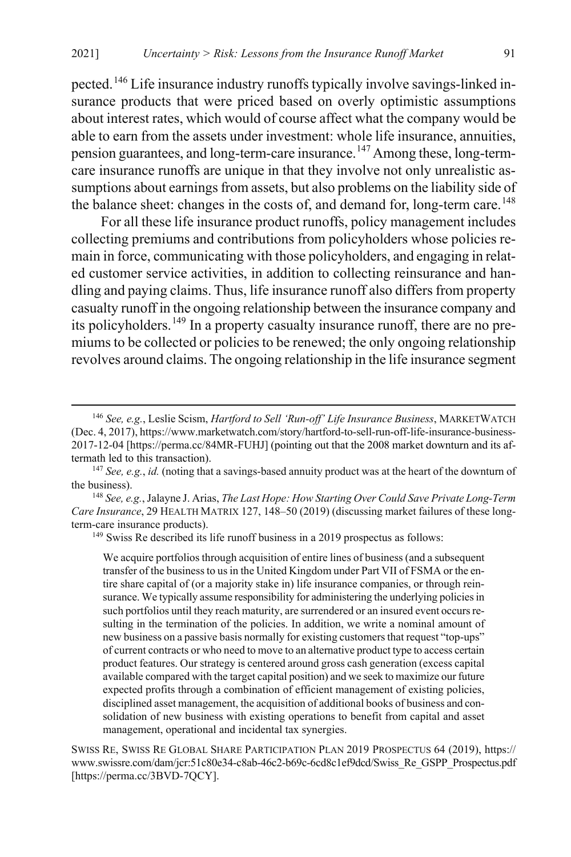<span id="page-33-4"></span>pected.[146](#page-33-0) Life insurance industry runoffs typically involve savings-linked insurance products that were priced based on overly optimistic assumptions about interest rates, which would of course affect what the company would be able to earn from the assets under investment: whole life insurance, annuities, pension guarantees, and long-term-care insurance.<sup>[147](#page-33-1)</sup> Among these, long-termcare insurance runoffs are unique in that they involve not only unrealistic assumptions about earnings from assets, but also problems on the liability side of the balance sheet: changes in the costs of, and demand for, long-term care.<sup>[148](#page-33-2)</sup>

For all these life insurance product runoffs, policy management includes collecting premiums and contributions from policyholders whose policies remain in force, communicating with those policyholders, and engaging in related customer service activities, in addition to collecting reinsurance and handling and paying claims. Thus, life insurance runoff also differs from property casualty runoff in the ongoing relationship between the insurance company and its policyholders.<sup>[149](#page-33-3)</sup> In a property casualty insurance runoff, there are no premiums to be collected or policies to be renewed; the only ongoing relationship revolves around claims. The ongoing relationship in the life insurance segment

We acquire portfolios through acquisition of entire lines of business (and a subsequent transfer of the business to us in the United Kingdom under Part VII of FSMA or the entire share capital of (or a majority stake in) life insurance companies, or through reinsurance. We typically assume responsibility for administering the underlying policies in such portfolios until they reach maturity, are surrendered or an insured event occurs resulting in the termination of the policies. In addition, we write a nominal amount of new business on a passive basis normally for existing customers that request "top-ups" of current contracts or who need to move to an alternative product type to access certain product features. Our strategy is centered around gross cash generation (excess capital available compared with the target capital position) and we seek to maximize our future expected profits through a combination of efficient management of existing policies, disciplined asset management, the acquisition of additional books of business and consolidation of new business with existing operations to benefit from capital and asset management, operational and incidental tax synergies.

SWISS RE, SWISS RE GLOBAL SHARE PARTICIPATION PLAN 2019 PROSPECTUS 64 (2019), https:// www.swissre.com/dam/jcr:51c80e34-c8ab-46c2-b69c-6cd8c1ef9dcd/Swiss\_Re\_GSPP\_Prospectus.pdf [https://perma.cc/3BVD-7QCY].

<span id="page-33-0"></span> <sup>146</sup> *See, e.g.*, Leslie Scism, *Hartford to Sell 'Run-off' Life Insurance Business*, MARKETWATCH (Dec. 4, 2017), https://www.marketwatch.com/story/hartford-to-sell-run-off-life-insurance-business-2017-12-04 [https://perma.cc/84MR-FUHJ] (pointing out that the 2008 market downturn and its aftermath led to this transaction).

<span id="page-33-1"></span><sup>147</sup> *See, e.g.*, *id.* (noting that a savings-based annuity product was at the heart of the downturn of the business).

<span id="page-33-3"></span><span id="page-33-2"></span><sup>148</sup> *See, e.g.*, Jalayne J. Arias, *The Last Hope: How Starting Over Could Save Private Long-Term Care Insurance*, 29 HEALTH MATRIX 127, 148–50 (2019) (discussing market failures of these longterm-care insurance products).

<sup>&</sup>lt;sup>149</sup> Swiss Re described its life runoff business in a 2019 prospectus as follows: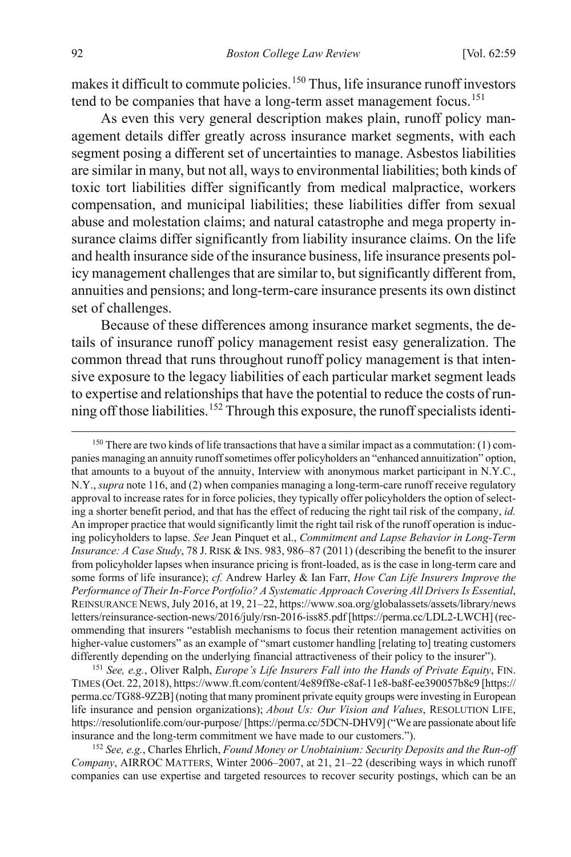<span id="page-34-4"></span>makes it difficult to commute policies.<sup>[150](#page-34-0)</sup> Thus, life insurance runoff investors tend to be companies that have a long-term asset management focus.<sup>[151](#page-34-1)</sup>

As even this very general description makes plain, runoff policy management details differ greatly across insurance market segments, with each segment posing a different set of uncertainties to manage. Asbestos liabilities are similar in many, but not all, ways to environmental liabilities; both kinds of toxic tort liabilities differ significantly from medical malpractice, workers compensation, and municipal liabilities; these liabilities differ from sexual abuse and molestation claims; and natural catastrophe and mega property insurance claims differ significantly from liability insurance claims. On the life and health insurance side of the insurance business, life insurance presents policy management challenges that are similar to, but significantly different from, annuities and pensions; and long-term-care insurance presents its own distinct set of challenges.

Because of these differences among insurance market segments, the details of insurance runoff policy management resist easy generalization. The common thread that runs throughout runoff policy management is that intensive exposure to the legacy liabilities of each particular market segment leads to expertise and relationships that have the potential to reduce the costs of run-ning off those liabilities.<sup>[152](#page-34-2)</sup> Through this exposure, the runoff specialists identi-

<span id="page-34-1"></span><sup>151</sup> *See, e.g.*, Oliver Ralph, *Europe's Life Insurers Fall into the Hands of Private Equity*, FIN. TIMES (Oct. 22, 2018), https://www.ft.com/content/4e89ff8e-c8af-11e8-ba8f-ee390057b8c9 [https:// perma.cc/TG88-9Z2B] (noting that many prominent private equity groups were investing in European life insurance and pension organizations); *About Us: Our Vision and Values*, RESOLUTION LIFE, https://resolutionlife.com/our-purpose/ [https://perma.cc/5DCN-DHV9] ("We are passionate about life insurance and the long-term commitment we have made to our customers.").

<span id="page-34-2"></span><sup>152</sup> *See, e.g.*, Charles Ehrlich, *Found Money or Unobtainium: Security Deposits and the Run-off Company*, AIRROC MATTERS, Winter 2006–2007, at 21, 21–22 (describing ways in which runoff companies can use expertise and targeted resources to recover security postings, which can be an

<span id="page-34-3"></span><span id="page-34-0"></span> $150$  There are two kinds of life transactions that have a similar impact as a commutation: (1) companies managing an annuity runoff sometimes offer policyholders an "enhanced annuitization" option, that amounts to a buyout of the annuity, Interview with anonymous market participant in N.Y.C., N.Y., *supra* not[e 116,](#page-26-0) and (2) when companies managing a long-term-care runoff receive regulatory approval to increase rates for in force policies, they typically offer policyholders the option of selecting a shorter benefit period, and that has the effect of reducing the right tail risk of the company, *id.* An improper practice that would significantly limit the right tail risk of the runoff operation is inducing policyholders to lapse. *See* Jean Pinquet et al., *Commitment and Lapse Behavior in Long-Term Insurance: A Case Study*, 78 J. RISK & INS. 983, 986–87 (2011) (describing the benefit to the insurer from policyholder lapses when insurance pricing is front-loaded, as is the case in long-term care and some forms of life insurance); *cf.* Andrew Harley & Ian Farr, *How Can Life Insurers Improve the Performance of Their In-Force Portfolio? A Systematic Approach Covering All Drivers Is Essential*, REINSURANCE NEWS, July 2016, at 19, 21–22, https://www.soa.org/globalassets/assets/library/news letters/reinsurance-section-news/2016/july/rsn-2016-iss85.pdf [https://perma.cc/LDL2-LWCH] (recommending that insurers "establish mechanisms to focus their retention management activities on higher-value customers" as an example of "smart customer handling [relating to] treating customers differently depending on the underlying financial attractiveness of their policy to the insurer").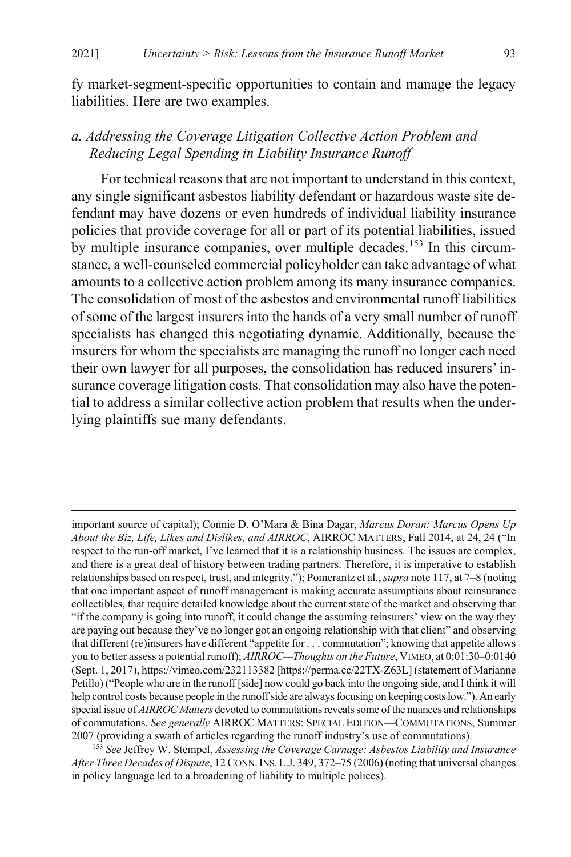fy market-segment-specific opportunities to contain and manage the legacy liabilities. Here are two examples.

### *a. Addressing the Coverage Litigation Collective Action Problem and Reducing Legal Spending in Liability Insurance Runoff*

<span id="page-35-1"></span>For technical reasons that are not important to understand in this context, any single significant asbestos liability defendant or hazardous waste site defendant may have dozens or even hundreds of individual liability insurance policies that provide coverage for all or part of its potential liabilities, issued by multiple insurance companies, over multiple decades.<sup>[153](#page-35-0)</sup> In this circumstance, a well-counseled commercial policyholder can take advantage of what amounts to a collective action problem among its many insurance companies. The consolidation of most of the asbestos and environmental runoff liabilities of some of the largest insurers into the hands of a very small number of runoff specialists has changed this negotiating dynamic. Additionally, because the insurers for whom the specialists are managing the runoff no longer each need their own lawyer for all purposes, the consolidation has reduced insurers' insurance coverage litigation costs. That consolidation may also have the potential to address a similar collective action problem that results when the underlying plaintiffs sue many defendants.

 $\overline{a}$ 

important source of capital); Connie D. O'Mara & Bina Dagar, *Marcus Doran: Marcus Opens Up About the Biz, Life, Likes and Dislikes, and AIRROC*, AIRROC MATTERS, Fall 2014, at 24, 24 ("In respect to the run-off market, I've learned that it is a relationship business. The issues are complex, and there is a great deal of history between trading partners. Therefore, it is imperative to establish relationships based on respect, trust, and integrity."); Pomerantz et al., *supra* not[e 117,](#page-26-1) at 7–8 (noting that one important aspect of runoff management is making accurate assumptions about reinsurance collectibles, that require detailed knowledge about the current state of the market and observing that "if the company is going into runoff, it could change the assuming reinsurers' view on the way they are paying out because they've no longer got an ongoing relationship with that client" and observing that different (re)insurers have different "appetite for . . . commutation"; knowing that appetite allows you to better assess a potential runoff); *AIRROC—Thoughts on the Future*, VIMEO, at 0:01:30–0:0140 (Sept. 1, 2017), https://vimeo.com/232113382 [https://perma.cc/22TX-Z63L] (statement of Marianne Petillo) ("People who are in the runoff [side] now could go back into the ongoing side, and I think it will help control costs because people in the runoff side are always focusing on keeping costs low."). An early special issue of *AIRROC Matters* devoted to commutations reveals some of the nuances and relationships of commutations. *See generally* AIRROC MATTERS: SPECIAL EDITION—COMMUTATIONS, Summer 2007 (providing a swath of articles regarding the runoff industry's use of commutations).

<span id="page-35-0"></span><sup>153</sup> *See* Jeffrey W. Stempel, *Assessing the Coverage Carnage: Asbestos Liability and Insurance After Three Decades of Dispute*, 12 CONN.INS.L.J. 349, 372–75 (2006) (noting that universal changes in policy language led to a broadening of liability to multiple polices).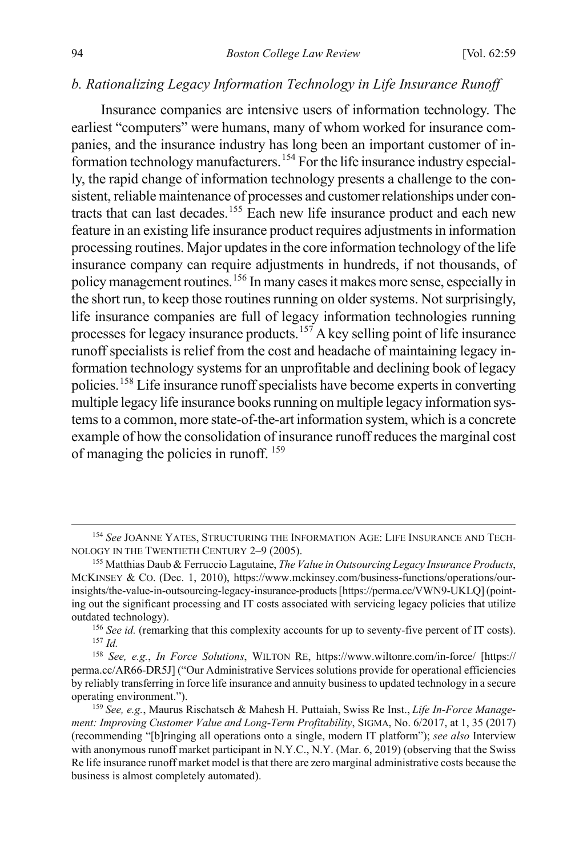#### *b. Rationalizing Legacy Information Technology in Life Insurance Runoff*

<span id="page-36-6"></span>Insurance companies are intensive users of information technology. The earliest "computers" were humans, many of whom worked for insurance companies, and the insurance industry has long been an important customer of information technology manufacturers.[154](#page-36-0) For the life insurance industry especially, the rapid change of information technology presents a challenge to the consistent, reliable maintenance of processes and customer relationships under contracts that can last decades.[155](#page-36-1) Each new life insurance product and each new feature in an existing life insurance product requires adjustments in information processing routines. Major updates in the core information technology of the life insurance company can require adjustments in hundreds, if not thousands, of policy management routines.[156](#page-36-2) In many cases it makes more sense, especially in the short run, to keep those routines running on older systems. Not surprisingly, life insurance companies are full of legacy information technologies running processes for legacy insurance products.[157](#page-36-3) A key selling point of life insurance runoff specialists is relief from the cost and headache of maintaining legacy information technology systems for an unprofitable and declining book of legacy policies.[158](#page-36-4) Life insurance runoff specialists have become experts in converting multiple legacy life insurance books running on multiple legacy information systems to a common, more state-of-the-art information system, which is a concrete example of how the consolidation of insurance runoff reduces the marginal cost of managing the policies in runoff. [159](#page-36-5)

<span id="page-36-7"></span><span id="page-36-0"></span><sup>&</sup>lt;sup>154</sup> See JOANNE YATES, STRUCTURING THE INFORMATION AGE: LIFE INSURANCE AND TECH-NOLOGY IN THE TWENTIETH CENTURY 2–9 (2005).

<span id="page-36-1"></span><sup>155</sup> Matthias Daub & Ferruccio Lagutaine, *The Value in Outsourcing Legacy Insurance Products*, MCKINSEY & CO. (Dec. 1, 2010), https://www.mckinsey.com/business-functions/operations/ourinsights/the-value-in-outsourcing-legacy-insurance-products [https://perma.cc/VWN9-UKLQ] (pointing out the significant processing and IT costs associated with servicing legacy policies that utilize outdated technology).

<sup>&</sup>lt;sup>156</sup> *See id.* (remarking that this complexity accounts for up to seventy-five percent of IT costs). <sup>157</sup> *Id.*

<span id="page-36-4"></span><span id="page-36-3"></span><span id="page-36-2"></span><sup>158</sup> *See, e.g.*, *In Force Solutions*, WILTON RE, https://www.wiltonre.com/in-force/ [https:// perma.cc/AR66-DR5J] ("Our Administrative Services solutions provide for operational efficiencies by reliably transferring in force life insurance and annuity business to updated technology in a secure operating environment."). 159 *See, e.g.*, Maurus Rischatsch & Mahesh H. Puttaiah, Swiss Re Inst., *Life In-Force Manage-*

<span id="page-36-5"></span>*ment: Improving Customer Value and Long-Term Profitability*, SIGMA, No. 6/2017, at 1, 35 (2017) (recommending "[b]ringing all operations onto a single, modern IT platform"); *see also* Interview with anonymous runoff market participant in N.Y.C., N.Y. (Mar. 6, 2019) (observing that the Swiss Re life insurance runoff market model is that there are zero marginal administrative costs because the business is almost completely automated).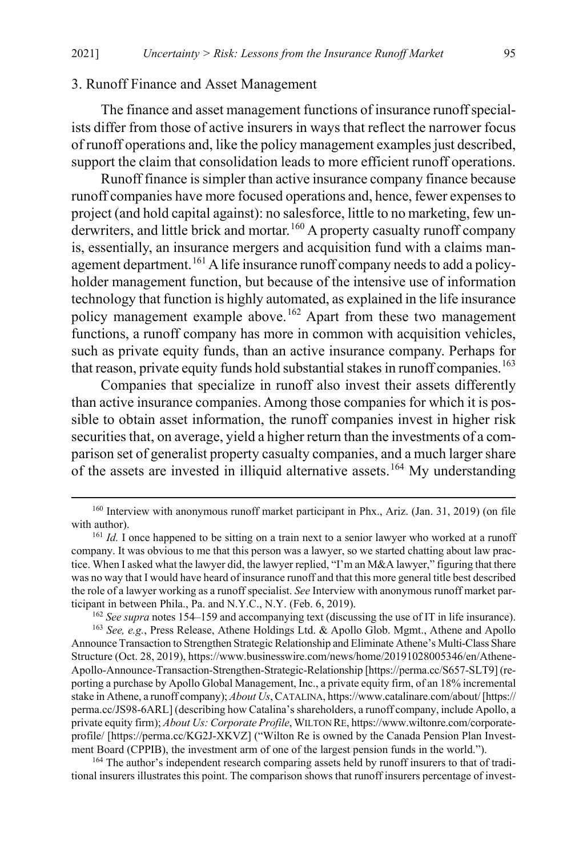#### 3. Runoff Finance and Asset Management

The finance and asset management functions of insurance runoff specialists differ from those of active insurers in ways that reflect the narrower focus of runoff operations and, like the policy management examples just described, support the claim that consolidation leads to more efficient runoff operations.

Runoff finance is simpler than active insurance company finance because runoff companies have more focused operations and, hence, fewer expenses to project (and hold capital against): no salesforce, little to no marketing, few un-derwriters, and little brick and mortar.<sup>[160](#page-37-0)</sup> A property casualty runoff company is, essentially, an insurance mergers and acquisition fund with a claims man-agement department.<sup>[161](#page-37-1)</sup> A life insurance runoff company needs to add a policyholder management function, but because of the intensive use of information technology that function is highly automated, as explained in the life insurance policy management example above.<sup>[162](#page-37-2)</sup> Apart from these two management functions, a runoff company has more in common with acquisition vehicles, such as private equity funds, than an active insurance company. Perhaps for that reason, private equity funds hold substantial stakes in runoff companies.<sup>[163](#page-37-3)</sup>

Companies that specialize in runoff also invest their assets differently than active insurance companies. Among those companies for which it is possible to obtain asset information, the runoff companies invest in higher risk securities that, on average, yield a higher return than the investments of a comparison set of generalist property casualty companies, and a much larger share of the assets are invested in illiquid alternative assets.<sup>[164](#page-37-4)</sup> My understanding

<span id="page-37-0"></span><sup>&</sup>lt;sup>160</sup> Interview with anonymous runoff market participant in Phx., Ariz. (Jan. 31, 2019) (on file with author).

<span id="page-37-1"></span><sup>&</sup>lt;sup>161</sup> *Id.* I once happened to be sitting on a train next to a senior lawyer who worked at a runoff company. It was obvious to me that this person was a lawyer, so we started chatting about law practice. When I asked what the lawyer did, the lawyer replied, "I'm an M&A lawyer," figuring that there was no way that I would have heard of insurance runoff and that this more general title best described the role of a lawyer working as a runoff specialist. *See* Interview with anonymous runoff market participant in between Phila., Pa. and N.Y.C., N.Y. (Feb. 6, 2019).

<sup>162</sup> *See supra* note[s 154](#page-36-6)[–159](#page-36-7) and accompanying text (discussing the use of IT in life insurance).

<span id="page-37-3"></span><span id="page-37-2"></span><sup>163</sup> *See, e.g.*, Press Release, Athene Holdings Ltd. & Apollo Glob. Mgmt., Athene and Apollo Announce Transaction to Strengthen Strategic Relationship and Eliminate Athene's Multi-Class Share Structure (Oct. 28, 2019), https://www.businesswire.com/news/home/20191028005346/en/Athene-Apollo-Announce-Transaction-Strengthen-Strategic-Relationship [https://perma.cc/S657-SLT9] (reporting a purchase by Apollo Global Management, Inc., a private equity firm, of an 18% incremental stake in Athene, a runoff company); *About Us*, CATALINA, https://www.catalinare.com/about/ [https:// perma.cc/JS98-6ARL] (describing how Catalina's shareholders, a runoff company, include Apollo, a private equity firm); *About Us: Corporate Profile*, WILTON RE, https://www.wiltonre.com/corporateprofile/ [https://perma.cc/KG2J-XKVZ] ("Wilton Re is owned by the Canada Pension Plan Investment Board (CPPIB), the investment arm of one of the largest pension funds in the world.").

<span id="page-37-4"></span><sup>&</sup>lt;sup>164</sup> The author's independent research comparing assets held by runoff insurers to that of traditional insurers illustrates this point. The comparison shows that runoff insurers percentage of invest-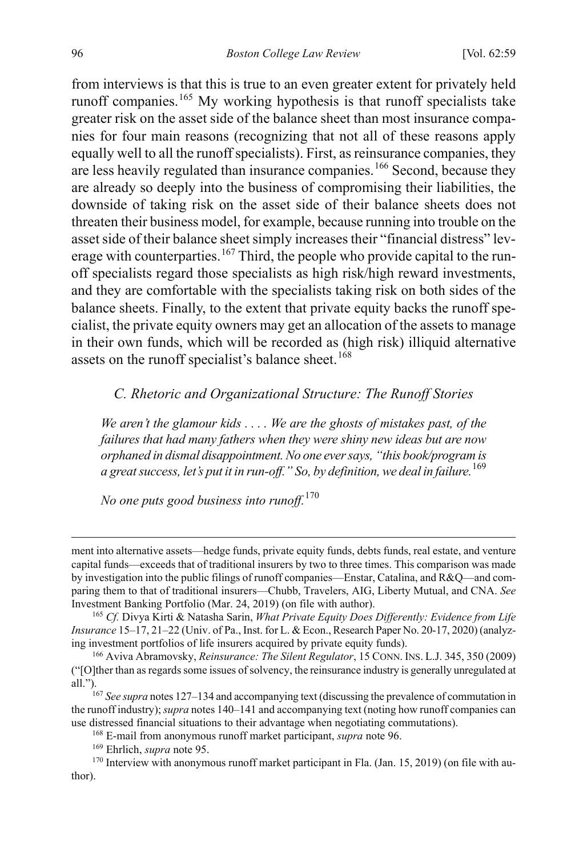from interviews is that this is true to an even greater extent for privately held runoff companies.[165](#page-38-2) My working hypothesis is that runoff specialists take greater risk on the asset side of the balance sheet than most insurance companies for four main reasons (recognizing that not all of these reasons apply equally well to all the runoff specialists). First, as reinsurance companies, they are less heavily regulated than insurance companies.[166](#page-38-3) Second, because they are already so deeply into the business of compromising their liabilities, the downside of taking risk on the asset side of their balance sheets does not threaten their business model, for example, because running into trouble on the asset side of their balance sheet simply increases their "financial distress" lev-erage with counterparties.<sup>[167](#page-38-4)</sup> Third, the people who provide capital to the runoff specialists regard those specialists as high risk/high reward investments, and they are comfortable with the specialists taking risk on both sides of the balance sheets. Finally, to the extent that private equity backs the runoff specialist, the private equity owners may get an allocation of the assets to manage in their own funds, which will be recorded as (high risk) illiquid alternative assets on the runoff specialist's balance sheet.<sup>[168](#page-38-5)</sup>

#### <span id="page-38-1"></span><span id="page-38-0"></span>*C. Rhetoric and Organizational Structure: The Runoff Stories*

*We aren't the glamour kids . . . . We are the ghosts of mistakes past, of the failures that had many fathers when they were shiny new ideas but are now orphaned in dismal disappointment. No one ever says, "this book/program is a great success, let's put it in run-off." So, by definition, we deal in failure.*[169](#page-38-6)

*No one puts good business into runoff.*[170](#page-38-7)

 $\overline{a}$ 

ment into alternative assets—hedge funds, private equity funds, debts funds, real estate, and venture capital funds—exceeds that of traditional insurers by two to three times. This comparison was made by investigation into the public filings of runoff companies—Enstar, Catalina, and R&Q—and comparing them to that of traditional insurers—Chubb, Travelers, AIG, Liberty Mutual, and CNA. *See*  Investment Banking Portfolio (Mar. 24, 2019) (on file with author). 165 *Cf.* Divya Kirti & Natasha Sarin, *What Private Equity Does Differently: Evidence from Life* 

<span id="page-38-2"></span>*Insurance* 15–17, 21–22 (Univ. of Pa., Inst. for L. & Econ., Research Paper No. 20-17, 2020) (analyzing investment portfolios of life insurers acquired by private equity funds).

<span id="page-38-3"></span><sup>166</sup> Aviva Abramovsky, *Reinsurance: The Silent Regulator*, 15 CONN. INS. L.J. 345, 350 (2009) ("[O]ther than as regards some issues of solvency, the reinsurance industry is generally unregulated at all.").<br><sup>167</sup> *See supra* note[s 127](#page-29-5)[–134](#page-30-6) and accompanying text (discussing the prevalence of commutation in

<span id="page-38-4"></span>the runoff industry); *supra* note[s 140](#page-31-6)[–141](#page-31-7) and accompanying text (noting how runoff companies can use distressed financial situations to their advantage when negotiating commutations).

<span id="page-38-7"></span><span id="page-38-6"></span><span id="page-38-5"></span><sup>&</sup>lt;sup>168</sup> E-mail from anonymous runoff market participant, *supra* not[e 96.](#page-21-5)<br><sup>169</sup> Ehrlich, *supra* not[e 95.](#page-21-6)<br><sup>170</sup> Interview with anonymous runoff market participant in Fla. (Jan. 15, 2019) (on file with author).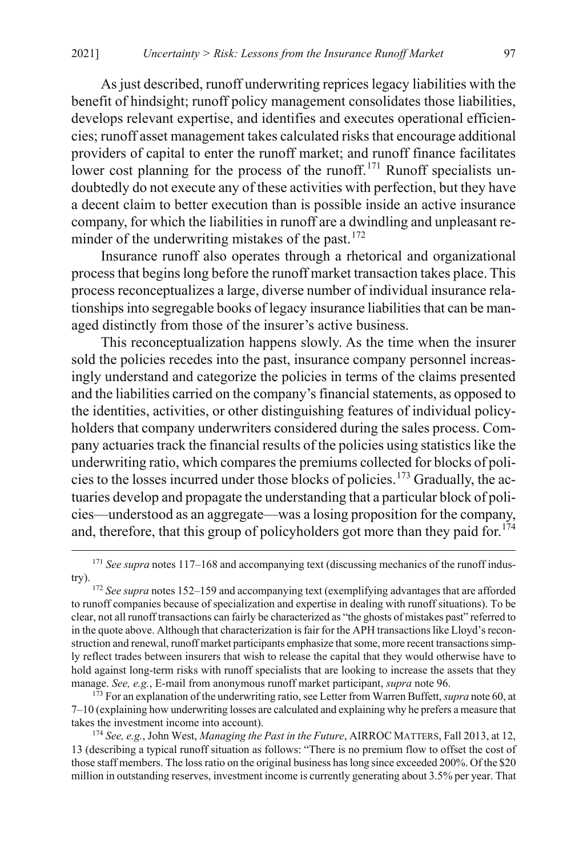As just described, runoff underwriting reprices legacy liabilities with the benefit of hindsight; runoff policy management consolidates those liabilities, develops relevant expertise, and identifies and executes operational efficiencies; runoff asset management takes calculated risks that encourage additional providers of capital to enter the runoff market; and runoff finance facilitates lower cost planning for the process of the runoff.<sup>[171](#page-39-0)</sup> Runoff specialists undoubtedly do not execute any of these activities with perfection, but they have a decent claim to better execution than is possible inside an active insurance company, for which the liabilities in runoff are a dwindling and unpleasant re-minder of the underwriting mistakes of the past.<sup>[172](#page-39-1)</sup>

Insurance runoff also operates through a rhetorical and organizational process that begins long before the runoff market transaction takes place. This process reconceptualizes a large, diverse number of individual insurance relationships into segregable books of legacy insurance liabilities that can be managed distinctly from those of the insurer's active business.

This reconceptualization happens slowly. As the time when the insurer sold the policies recedes into the past, insurance company personnel increasingly understand and categorize the policies in terms of the claims presented and the liabilities carried on the company's financial statements, as opposed to the identities, activities, or other distinguishing features of individual policyholders that company underwriters considered during the sales process. Company actuaries track the financial results of the policies using statistics like the underwriting ratio, which compares the premiums collected for blocks of policies to the losses incurred under those blocks of policies.[173](#page-39-2) Gradually, the actuaries develop and propagate the understanding that a particular block of policies—understood as an aggregate—was a losing proposition for the company, and, therefore, that this group of policyholders got more than they paid for.<sup>[174](#page-39-3)</sup>

<span id="page-39-2"></span>7–10 (explaining how underwriting losses are calculated and explaining why he prefers a measure that takes the investment income into account).

<span id="page-39-3"></span><sup>174</sup> *See, e.g.*, John West, *Managing the Past in the Future*, AIRROC MATTERS, Fall 2013, at 12, 13 (describing a typical runoff situation as follows: "There is no premium flow to offset the cost of those staff members. The loss ratio on the original business has long since exceeded 200%. Of the \$20 million in outstanding reserves, investment income is currently generating about 3.5% per year. That

<span id="page-39-4"></span><span id="page-39-0"></span><sup>&</sup>lt;sup>171</sup> See supra notes 117-[168](#page-38-0) and accompanying text (discussing mechanics of the runoff industry).

<span id="page-39-1"></span><sup>172</sup> *See supra* note[s 152](#page-34-3)[–159](#page-36-7) and accompanying text (exemplifying advantages that are afforded to runoff companies because of specialization and expertise in dealing with runoff situations). To be clear, not all runoff transactions can fairly be characterized as "the ghosts of mistakes past" referred to in the quote above. Although that characterization is fair for the APH transactions like Lloyd's reconstruction and renewal, runoff market participants emphasize that some, more recent transactions simply reflect trades between insurers that wish to release the capital that they would otherwise have to hold against long-term risks with runoff specialists that are looking to increase the assets that they manage. *See, e.g.*, E-mail from anonymous runoff market participant, *supra* not[e 96.](#page-21-5) <sup>173</sup> For an explanation of the underwriting ratio, see Letter from Warren Buffett, *supra* not[e 60,](#page-15-0) at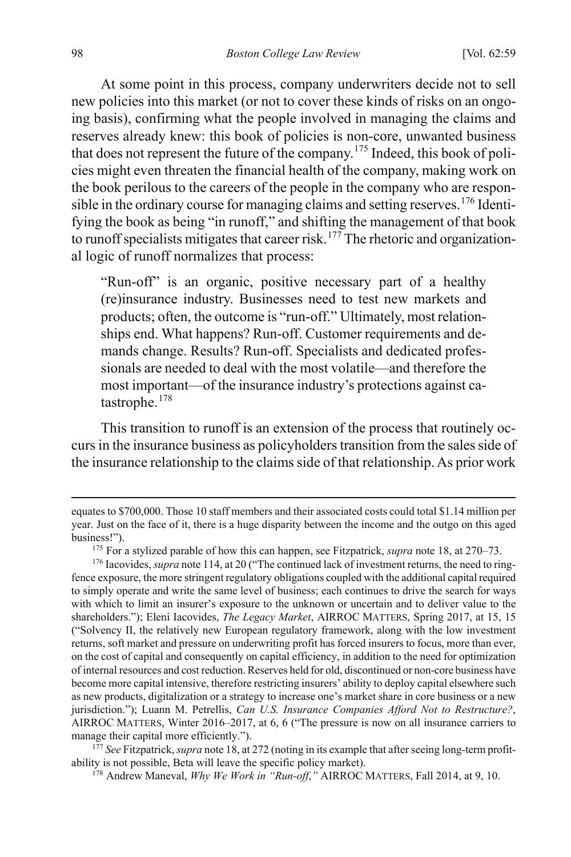At some point in this process, company underwriters decide not to sell new policies into this market (or not to cover these kinds of risks on an ongoing basis), confirming what the people involved in managing the claims and reserves already knew: this book of policies is non-core, unwanted business that does not represent the future of the company.[175](#page-40-0) Indeed, this book of policies might even threaten the financial health of the company, making work on the book perilous to the careers of the people in the company who are respon-sible in the ordinary course for managing claims and setting reserves.<sup>[176](#page-40-1)</sup> Identifying the book as being "in runoff," and shifting the management of that book to runoff specialists mitigates that career risk.<sup>[177](#page-40-2)</sup> The rhetoric and organizational logic of runoff normalizes that process:

<span id="page-40-4"></span>"Run-off" is an organic, positive necessary part of a healthy (re)insurance industry. Businesses need to test new markets and products; often, the outcome is "run-off." Ultimately, most relationships end. What happens? Run-off. Customer requirements and demands change. Results? Run-off. Specialists and dedicated professionals are needed to deal with the most volatile—and therefore the most important—of the insurance industry's protections against catastrophe.[178](#page-40-3)

This transition to runoff is an extension of the process that routinely occurs in the insurance business as policyholders transition from the sales side of the insurance relationship to the claims side of that relationship. As prior work

<span id="page-40-3"></span><span id="page-40-2"></span>ability is not possible, Beta will leave the specific policy market).

<sup>178</sup> Andrew Maneval, *Why We Work in "Run-off*,*"* AIRROC MATTERS, Fall 2014, at 9, 10.

 $\overline{a}$ 

equates to \$700,000. Those 10 staff members and their associated costs could total \$1.14 million per year. Just on the face of it, there is a huge disparity between the income and the outgo on this aged business!").

<sup>175</sup> For a stylized parable of how this can happen, see Fitzpatrick, *supra* not[e 18,](#page-7-5) at 270–73.

<span id="page-40-1"></span><span id="page-40-0"></span><sup>&</sup>lt;sup>176</sup> Iacovides, *supra* not[e 114,](#page-25-4) at 20 ("The continued lack of investment returns, the need to ringfence exposure, the more stringent regulatory obligations coupled with the additional capital required to simply operate and write the same level of business; each continues to drive the search for ways with which to limit an insurer's exposure to the unknown or uncertain and to deliver value to the shareholders."); Eleni Iacovides, *The Legacy Market*, AIRROC MATTERS, Spring 2017, at 15, 15 ("Solvency II, the relatively new European regulatory framework, along with the low investment returns, soft market and pressure on underwriting profit has forced insurers to focus, more than ever, on the cost of capital and consequently on capital efficiency, in addition to the need for optimization of internal resources and cost reduction. Reserves held for old, discontinued or non-core business have become more capital intensive, therefore restricting insurers' ability to deploy capital elsewhere such as new products, digitalization or a strategy to increase one's market share in core business or a new jurisdiction."); Luann M. Petrellis, *Can U.S. Insurance Companies Afford Not to Restructure?*, AIRROC MATTERS, Winter 2016–2017, at 6, 6 ("The pressure is now on all insurance carriers to manage their capital more efficiently.").<br><sup>177</sup> See Fitzpatrick, *supra* not[e 18,](#page-7-5) at 272 (noting in its example that after seeing long-term profit-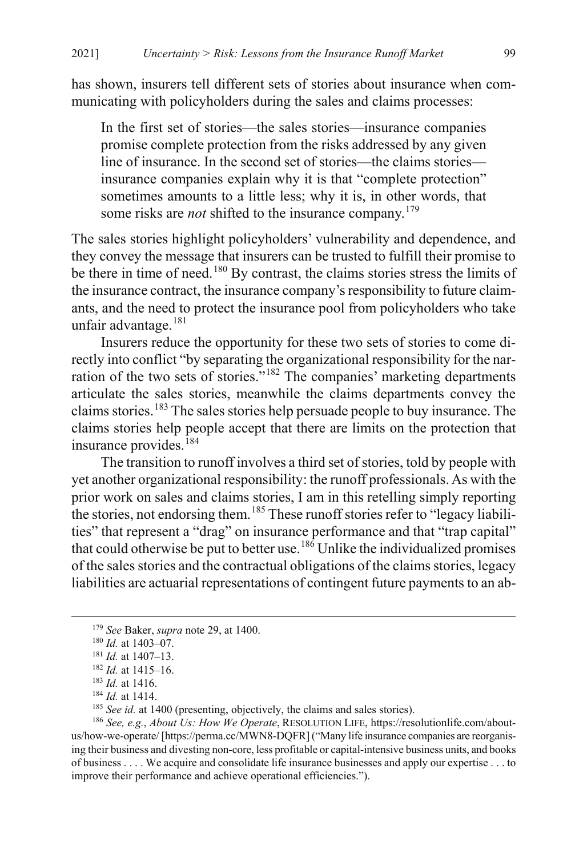has shown, insurers tell different sets of stories about insurance when communicating with policyholders during the sales and claims processes:

In the first set of stories—the sales stories—insurance companies promise complete protection from the risks addressed by any given line of insurance. In the second set of stories—the claims stories insurance companies explain why it is that "complete protection" sometimes amounts to a little less; why it is, in other words, that some risks are *not* shifted to the insurance company.<sup>[179](#page-41-0)</sup>

The sales stories highlight policyholders' vulnerability and dependence, and they convey the message that insurers can be trusted to fulfill their promise to be there in time of need.<sup>[180](#page-41-1)</sup> By contrast, the claims stories stress the limits of the insurance contract, the insurance company's responsibility to future claimants, and the need to protect the insurance pool from policyholders who take unfair advantage.<sup>[181](#page-41-2)</sup>

Insurers reduce the opportunity for these two sets of stories to come directly into conflict "by separating the organizational responsibility for the nar-ration of the two sets of stories."<sup>[182](#page-41-3)</sup> The companies' marketing departments articulate the sales stories, meanwhile the claims departments convey the claims stories.[183](#page-41-4) The sales stories help persuade people to buy insurance. The claims stories help people accept that there are limits on the protection that insurance provides.<sup>[184](#page-41-5)</sup>

The transition to runoff involves a third set of stories, told by people with yet another organizational responsibility: the runoff professionals. As with the prior work on sales and claims stories, I am in this retelling simply reporting the stories, not endorsing them.<sup>[185](#page-41-6)</sup> These runoff stories refer to "legacy liabilities" that represent a "drag" on insurance performance and that "trap capital" that could otherwise be put to better use.<sup>[186](#page-41-7)</sup> Unlike the individualized promises of the sales stories and the contractual obligations of the claims stories, legacy liabilities are actuarial representations of contingent future payments to an ab-

<span id="page-41-0"></span> <sup>179</sup> *See* Baker, *supra* note [29,](#page-10-4) at 1400.

<span id="page-41-1"></span><sup>180</sup> *Id.* at 1403–07.

<span id="page-41-2"></span><sup>181</sup> *Id.* at 1407–13.

<sup>182</sup> *Id.* at 1415–16.

<sup>183</sup> *Id.* at 1416.

<sup>184</sup> *Id.* at 1414.

<sup>&</sup>lt;sup>185</sup> *See id.* at 1400 (presenting, objectively, the claims and sales stories).

<span id="page-41-7"></span><span id="page-41-6"></span><span id="page-41-5"></span><span id="page-41-4"></span><span id="page-41-3"></span><sup>186</sup> *See, e.g.*, *About Us: How We Operate*, RESOLUTION LIFE, https://resolutionlife.com/aboutus/how-we-operate/ [https://perma.cc/MWN8-DQFR] ("Many life insurance companies are reorganising their business and divesting non-core, less profitable or capital-intensive business units, and books of business . . . . We acquire and consolidate life insurance businesses and apply our expertise . . . to improve their performance and achieve operational efficiencies.").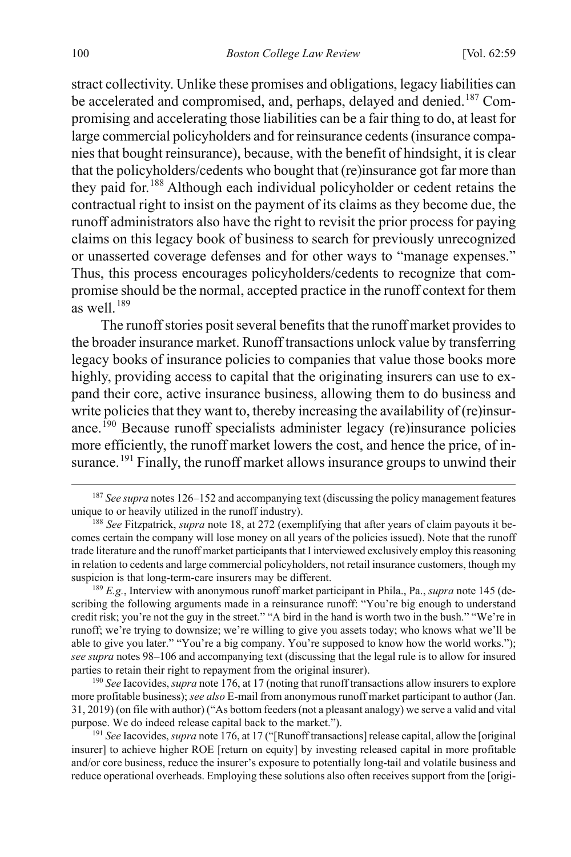stract collectivity. Unlike these promises and obligations, legacy liabilities can be accelerated and compromised, and, perhaps, delayed and denied.<sup>[187](#page-42-1)</sup> Compromising and accelerating those liabilities can be a fair thing to do, at least for large commercial policyholders and for reinsurance cedents (insurance companies that bought reinsurance), because, with the benefit of hindsight, it is clear that the policyholders/cedents who bought that (re)insurance got far more than they paid for.[188](#page-42-2) Although each individual policyholder or cedent retains the contractual right to insist on the payment of its claims as they become due, the runoff administrators also have the right to revisit the prior process for paying claims on this legacy book of business to search for previously unrecognized or unasserted coverage defenses and for other ways to "manage expenses." Thus, this process encourages policyholders/cedents to recognize that compromise should be the normal, accepted practice in the runoff context for them as well.<sup>[189](#page-42-3)</sup>

<span id="page-42-7"></span>The runoff stories posit several benefits that the runoff market provides to the broader insurance market. Runoff transactions unlock value by transferring legacy books of insurance policies to companies that value those books more highly, providing access to capital that the originating insurers can use to expand their core, active insurance business, allowing them to do business and write policies that they want to, thereby increasing the availability of (re)insurance.[190](#page-42-4) Because runoff specialists administer legacy (re)insurance policies more efficiently, the runoff market lowers the cost, and hence the price, of in-surance.<sup>[191](#page-42-5)</sup> Finally, the runoff market allows insurance groups to unwind their

<span id="page-42-3"></span><sup>189</sup> *E.g.*, Interview with anonymous runoff market participant in Phila., Pa., *supra* not[e 145 \(](#page-32-6)describing the following arguments made in a reinsurance runoff: "You're big enough to understand credit risk; you're not the guy in the street." "A bird in the hand is worth two in the bush." "We're in runoff; we're trying to downsize; we're willing to give you assets today; who knows what we'll be able to give you later." "You're a big company. You're supposed to know how the world works."); *see supra* note[s 98](#page-22-0)[–106](#page-24-7) and accompanying text (discussing that the legal rule is to allow for insured parties to retain their right to repayment from the original insurer).

<span id="page-42-4"></span><sup>190</sup> *See* Iacovides, *supra* not[e 176,](#page-40-4) at 17 (noting that runoff transactions allow insurers to explore more profitable business); *see also* E-mail from anonymous runoff market participant to author (Jan. 31, 2019) (on file with author) ("As bottom feeders (not a pleasant analogy) we serve a valid and vital purpose. We do indeed release capital back to the market.").

<span id="page-42-5"></span><sup>191</sup> *See* Iacovides, *supra* not[e 176,](#page-40-4) at 17 ("[Runoff transactions] release capital, allow the [original insurer] to achieve higher ROE [return on equity] by investing released capital in more profitable and/or core business, reduce the insurer's exposure to potentially long-tail and volatile business and reduce operational overheads. Employing these solutions also often receives support from the [origi-

<span id="page-42-6"></span><span id="page-42-1"></span><span id="page-42-0"></span> <sup>187</sup> *See supra* note[s 126](#page-29-7)[–152](#page-34-3) and accompanying text (discussing the policy management features unique to or heavily utilized in the runoff industry).

<span id="page-42-2"></span><sup>188</sup> *See* Fitzpatrick, *supra* note [18,](#page-7-5) at 272 (exemplifying that after years of claim payouts it becomes certain the company will lose money on all years of the policies issued). Note that the runoff trade literature and the runoff market participants that I interviewed exclusively employ this reasoning in relation to cedents and large commercial policyholders, not retail insurance customers, though my suspicion is that long-term-care insurers may be different.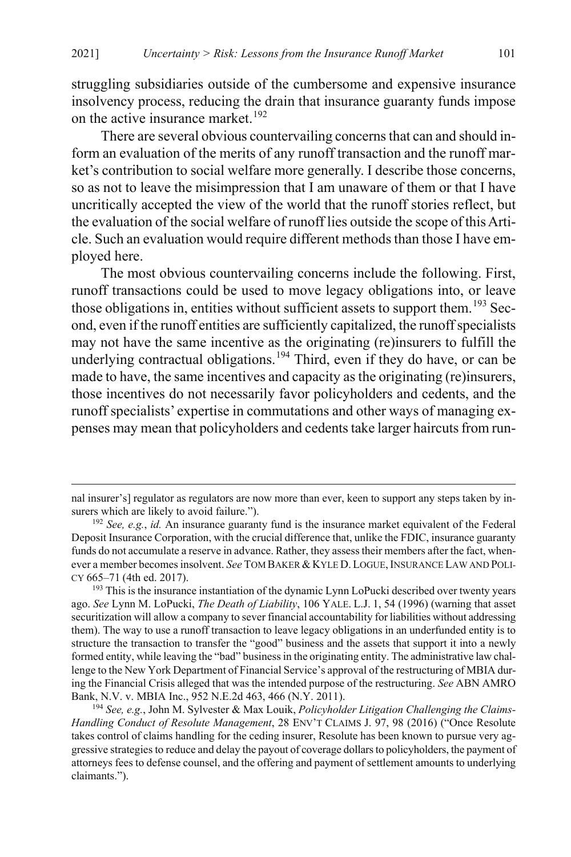struggling subsidiaries outside of the cumbersome and expensive insurance insolvency process, reducing the drain that insurance guaranty funds impose on the active insurance market.<sup>[192](#page-43-0)</sup>

There are several obvious countervailing concerns that can and should inform an evaluation of the merits of any runoff transaction and the runoff market's contribution to social welfare more generally. I describe those concerns, so as not to leave the misimpression that I am unaware of them or that I have uncritically accepted the view of the world that the runoff stories reflect, but the evaluation of the social welfare of runoff lies outside the scope of this Article. Such an evaluation would require different methods than those I have employed here.

The most obvious countervailing concerns include the following. First, runoff transactions could be used to move legacy obligations into, or leave those obligations in, entities without sufficient assets to support them.<sup>[193](#page-43-1)</sup> Second, even if the runoff entities are sufficiently capitalized, the runoff specialists may not have the same incentive as the originating (re)insurers to fulfill the underlying contractual obligations.<sup>[194](#page-43-2)</sup> Third, even if they do have, or can be made to have, the same incentives and capacity as the originating (re)insurers, those incentives do not necessarily favor policyholders and cedents, and the runoff specialists' expertise in commutations and other ways of managing expenses may mean that policyholders and cedents take larger haircuts from run-

 $\overline{a}$ 

nal insurer's] regulator as regulators are now more than ever, keen to support any steps taken by insurers which are likely to avoid failure.").

<span id="page-43-0"></span><sup>192</sup> *See, e.g.*, *id.* An insurance guaranty fund is the insurance market equivalent of the Federal Deposit Insurance Corporation, with the crucial difference that, unlike the FDIC, insurance guaranty funds do not accumulate a reserve in advance. Rather, they assess their members after the fact, whenever a member becomes insolvent. *See* TOM BAKER &KYLE D.LOGUE,INSURANCE LAW AND POLI-CY 665–71 (4th ed. 2017).<br><sup>193</sup> This is the insurance instantiation of the dynamic Lynn LoPucki described over twenty years

<span id="page-43-1"></span>ago. *See* Lynn M. LoPucki, *The Death of Liability*, 106 YALE. L.J. 1, 54 (1996) (warning that asset securitization will allow a company to sever financial accountability for liabilities without addressing them). The way to use a runoff transaction to leave legacy obligations in an underfunded entity is to structure the transaction to transfer the "good" business and the assets that support it into a newly formed entity, while leaving the "bad" business in the originating entity. The administrative law challenge to the New York Department of Financial Service's approval of the restructuring of MBIA during the Financial Crisis alleged that was the intended purpose of the restructuring. *See* ABN AMRO Bank, N.V. v. MBIA Inc., 952 N.E.2d 463, 466 (N.Y. 2011).

<span id="page-43-2"></span><sup>194</sup> *See, e.g.*, John M. Sylvester & Max Louik, *Policyholder Litigation Challenging the Claims-Handling Conduct of Resolute Management*, 28 ENV'T CLAIMS J. 97, 98 (2016) ("Once Resolute takes control of claims handling for the ceding insurer, Resolute has been known to pursue very aggressive strategies to reduce and delay the payout of coverage dollars to policyholders, the payment of attorneys fees to defense counsel, and the offering and payment of settlement amounts to underlying claimants.").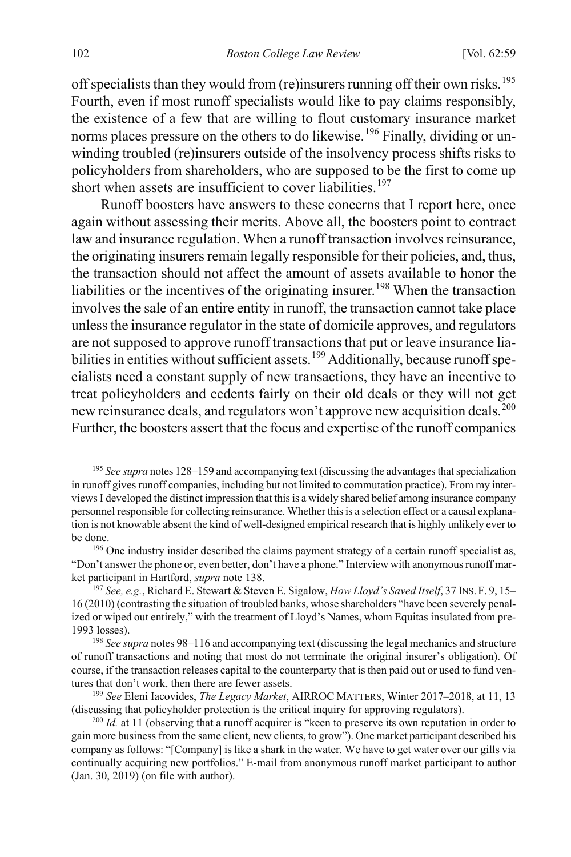off specialists than they would from (re)insurers running off their own risks.<sup>[195](#page-44-1)</sup> Fourth, even if most runoff specialists would like to pay claims responsibly, the existence of a few that are willing to flout customary insurance market norms places pressure on the others to do likewise.<sup>[196](#page-44-2)</sup> Finally, dividing or unwinding troubled (re)insurers outside of the insolvency process shifts risks to policyholders from shareholders, who are supposed to be the first to come up short when assets are insufficient to cover liabilities.<sup>[197](#page-44-3)</sup>

<span id="page-44-0"></span>Runoff boosters have answers to these concerns that I report here, once again without assessing their merits. Above all, the boosters point to contract law and insurance regulation. When a runoff transaction involves reinsurance, the originating insurers remain legally responsible for their policies, and, thus, the transaction should not affect the amount of assets available to honor the liabilities or the incentives of the originating insurer.<sup>[198](#page-44-4)</sup> When the transaction involves the sale of an entire entity in runoff, the transaction cannot take place unless the insurance regulator in the state of domicile approves, and regulators are not supposed to approve runoff transactions that put or leave insurance lia-bilities in entities without sufficient assets.<sup>[199](#page-44-5)</sup> Additionally, because runoff specialists need a constant supply of new transactions, they have an incentive to treat policyholders and cedents fairly on their old deals or they will not get new reinsurance deals, and regulators won't approve new acquisition deals.<sup>[200](#page-44-6)</sup> Further, the boosters assert that the focus and expertise of the runoff companies

<span id="page-44-1"></span> <sup>195</sup> *See supra* note[s 128](#page-29-6)[–159](#page-36-7) and accompanying text (discussing the advantages that specialization in runoff gives runoff companies, including but not limited to commutation practice). From my interviews I developed the distinct impression that this is a widely shared belief among insurance company personnel responsible for collecting reinsurance. Whether this is a selection effect or a causal explanation is not knowable absent the kind of well-designed empirical research that is highly unlikely ever to be done.

<span id="page-44-2"></span><sup>&</sup>lt;sup>196</sup> One industry insider described the claims payment strategy of a certain runoff specialist as, "Don't answer the phone or, even better, don't have a phone." Interview with anonymous runoff market participant in Hartford, *supra* not[e 138.](#page-31-8)<br><sup>197</sup> *See, e.g.*, Richard E. Stewart & Steven E. Sigalow, *How Lloyd's Saved Itself*, 37 INS. F. 9, 15–

<span id="page-44-3"></span><sup>16 (2010) (</sup>contrasting the situation of troubled banks, whose shareholders "have been severely penalized or wiped out entirely," with the treatment of Lloyd's Names, whom Equitas insulated from pre-1993 losses).

<span id="page-44-4"></span><sup>198</sup> *See supra* note[s 98](#page-22-0)[–116](#page-26-0) and accompanying text (discussing the legal mechanics and structure of runoff transactions and noting that most do not terminate the original insurer's obligation). Of course, if the transaction releases capital to the counterparty that is then paid out or used to fund ventures that don't work, then there are fewer assets.

<span id="page-44-5"></span><sup>199</sup> *See* Eleni Iacovides, *The Legacy Market*, AIRROC MATTERS, Winter 2017–2018, at 11, 13 (discussing that policyholder protection is the critical inquiry for approving regulators).

<span id="page-44-6"></span><sup>&</sup>lt;sup>200</sup> *Id.* at 11 (observing that a runoff acquirer is "keen to preserve its own reputation in order to gain more business from the same client, new clients, to grow"). One market participant described his company as follows: "[Company] is like a shark in the water. We have to get water over our gills via continually acquiring new portfolios." E-mail from anonymous runoff market participant to author (Jan. 30, 2019) (on file with author).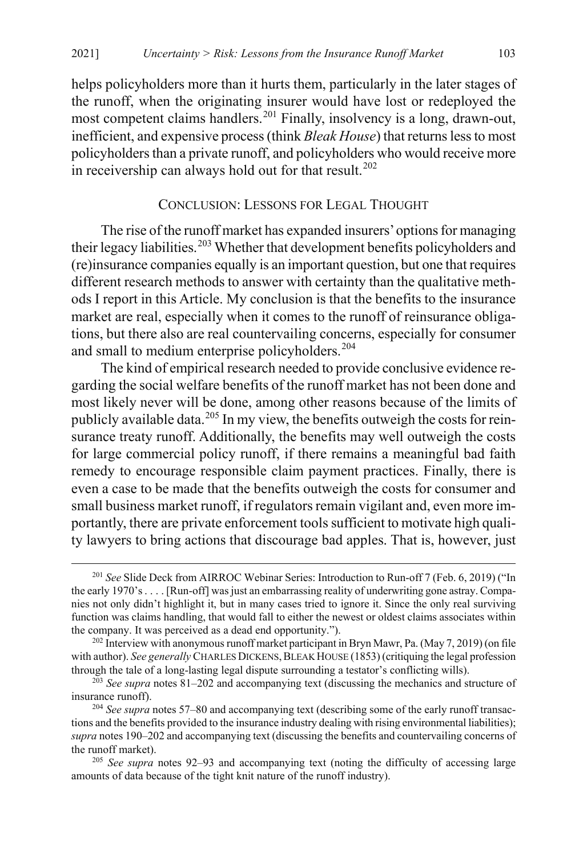helps policyholders more than it hurts them, particularly in the later stages of the runoff, when the originating insurer would have lost or redeployed the most competent claims handlers.<sup>[201](#page-45-2)</sup> Finally, insolvency is a long, drawn-out, inefficient, and expensive process (think *Bleak House*) that returns less to most policyholders than a private runoff, and policyholders who would receive more in receivership can always hold out for that result.<sup>[202](#page-45-3)</sup>

#### <span id="page-45-1"></span><span id="page-45-0"></span>CONCLUSION: LESSONS FOR LEGAL THOUGHT

The rise of the runoff market has expanded insurers' options for managing their legacy liabilities.<sup>[203](#page-45-4)</sup> Whether that development benefits policyholders and (re)insurance companies equally is an important question, but one that requires different research methods to answer with certainty than the qualitative methods I report in this Article. My conclusion is that the benefits to the insurance market are real, especially when it comes to the runoff of reinsurance obligations, but there also are real countervailing concerns, especially for consumer and small to medium enterprise policyholders.<sup>[204](#page-45-5)</sup>

The kind of empirical research needed to provide conclusive evidence regarding the social welfare benefits of the runoff market has not been done and most likely never will be done, among other reasons because of the limits of publicly available data.<sup>[205](#page-45-6)</sup> In my view, the benefits outweigh the costs for reinsurance treaty runoff. Additionally, the benefits may well outweigh the costs for large commercial policy runoff, if there remains a meaningful bad faith remedy to encourage responsible claim payment practices. Finally, there is even a case to be made that the benefits outweigh the costs for consumer and small business market runoff, if regulators remain vigilant and, even more importantly, there are private enforcement tools sufficient to motivate high quality lawyers to bring actions that discourage bad apples. That is, however, just

<span id="page-45-2"></span> <sup>201</sup> *See* Slide Deck from AIRROC Webinar Series: Introduction to Run-off 7 (Feb. 6, 2019) ("In the early 1970's . . . . [Run-off] was just an embarrassing reality of underwriting gone astray. Companies not only didn't highlight it, but in many cases tried to ignore it. Since the only real surviving function was claims handling, that would fall to either the newest or oldest claims associates within the company. It was perceived as a dead end opportunity.").

<span id="page-45-3"></span><sup>&</sup>lt;sup>202</sup> Interview with anonymous runoff market participant in Bryn Mawr, Pa. (May 7, 2019) (on file with author). See generally CHARLES DICKENS, BLEAK HOUSE (1853) (critiquing the legal profession through the tale of a long-lasting legal dispute surrounding a testator's conflicting wills).

<span id="page-45-4"></span><sup>203</sup> *See supra* note[s 81–](#page-19-7)[202](#page-45-0) and accompanying text (discussing the mechanics and structure of insurance runoff).

<span id="page-45-5"></span><sup>204</sup> *See supra* note[s 57](#page-14-9)[–80](#page-19-8) and accompanying text (describing some of the early runoff transactions and the benefits provided to the insurance industry dealing with rising environmental liabilities); *supra* note[s 190](#page-42-6)[–202](#page-45-0) and accompanying text (discussing the benefits and countervailing concerns of the runoff market).

<span id="page-45-6"></span><sup>205</sup> *See supra* notes [92](#page-21-7)[–93](#page-21-8) and accompanying text (noting the difficulty of accessing large amounts of data because of the tight knit nature of the runoff industry).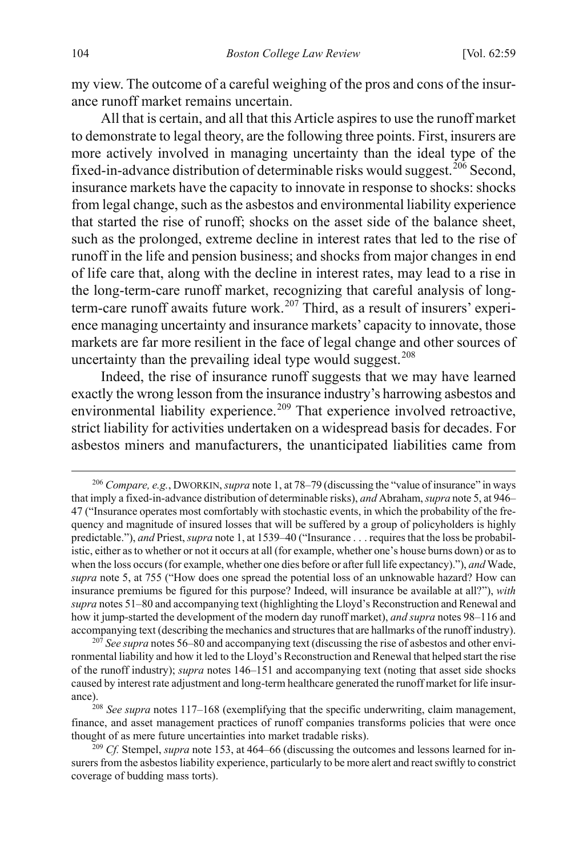my view. The outcome of a careful weighing of the pros and cons of the insurance runoff market remains uncertain.

All that is certain, and all that this Article aspires to use the runoff market to demonstrate to legal theory, are the following three points. First, insurers are more actively involved in managing uncertainty than the ideal type of the fixed-in-advance distribution of determinable risks would suggest.<sup>[206](#page-46-0)</sup> Second, insurance markets have the capacity to innovate in response to shocks: shocks from legal change, such as the asbestos and environmental liability experience that started the rise of runoff; shocks on the asset side of the balance sheet, such as the prolonged, extreme decline in interest rates that led to the rise of runoff in the life and pension business; and shocks from major changes in end of life care that, along with the decline in interest rates, may lead to a rise in the long-term-care runoff market, recognizing that careful analysis of long-term-care runoff awaits future work.<sup>[207](#page-46-1)</sup> Third, as a result of insurers' experience managing uncertainty and insurance markets' capacity to innovate, those markets are far more resilient in the face of legal change and other sources of uncertainty than the prevailing ideal type would suggest. $208$ 

Indeed, the rise of insurance runoff suggests that we may have learned exactly the wrong lesson from the insurance industry's harrowing asbestos and environmental liability experience.<sup>[209](#page-46-3)</sup> That experience involved retroactive, strict liability for activities undertaken on a widespread basis for decades. For asbestos miners and manufacturers, the unanticipated liabilities came from

<span id="page-46-0"></span> <sup>206</sup> *Compare, e.g.*, DWORKIN, *supra* not[e 1,](#page-3-3) at 78–79 (discussing the "value of insurance" in ways that imply a fixed-in-advance distribution of determinable risks), *and* Abraham, *supra* not[e 5,](#page-4-2) at 946– 47 ("Insurance operates most comfortably with stochastic events, in which the probability of the frequency and magnitude of insured losses that will be suffered by a group of policyholders is highly predictable."), *and* Priest, *supra* not[e 1,](#page-3-3) at 1539–40 ("Insurance . . . requires that the loss be probabilistic, either as to whether or not it occurs at all (for example, whether one's house burns down) or as to when the loss occurs (for example, whether one dies before or after full life expectancy)."), *and* Wade, *supra* not[e 5,](#page-4-2) at 755 ("How does one spread the potential loss of an unknowable hazard? How can insurance premiums be figured for this purpose? Indeed, will insurance be available at all?"), *with supra* note[s 51](#page-14-10)[–80](#page-19-8) and accompanying text (highlighting the Lloyd's Reconstruction and Renewal and how it jump-started the development of the modern day runoff market), *and supra* note[s 98](#page-22-0)[–116 a](#page-26-0)nd accompanying text (describing the mechanics and structures that are hallmarks of the runoff industry).

<span id="page-46-1"></span><sup>207</sup> *See supra* note[s 56](#page-14-11)[–80](#page-19-8) and accompanying text (discussing the rise of asbestos and other environmental liability and how it led to the Lloyd's Reconstruction and Renewal that helped start the rise of the runoff industry); *supra* notes [146–](#page-33-4)[151](#page-34-4) and accompanying text (noting that asset side shocks caused by interest rate adjustment and long-term healthcare generated the runoff market for life insurance). 208 *See supra* note[s 117](#page-26-1)[–168](#page-38-0) (exemplifying that the specific underwriting, claim management,

<span id="page-46-2"></span>finance, and asset management practices of runoff companies transforms policies that were once thought of as mere future uncertainties into market tradable risks).

<span id="page-46-3"></span><sup>209</sup> *Cf.* Stempel, *supra* not[e 153,](#page-35-1) at 464–66 (discussing the outcomes and lessons learned for insurers from the asbestos liability experience, particularly to be more alert and react swiftly to constrict coverage of budding mass torts).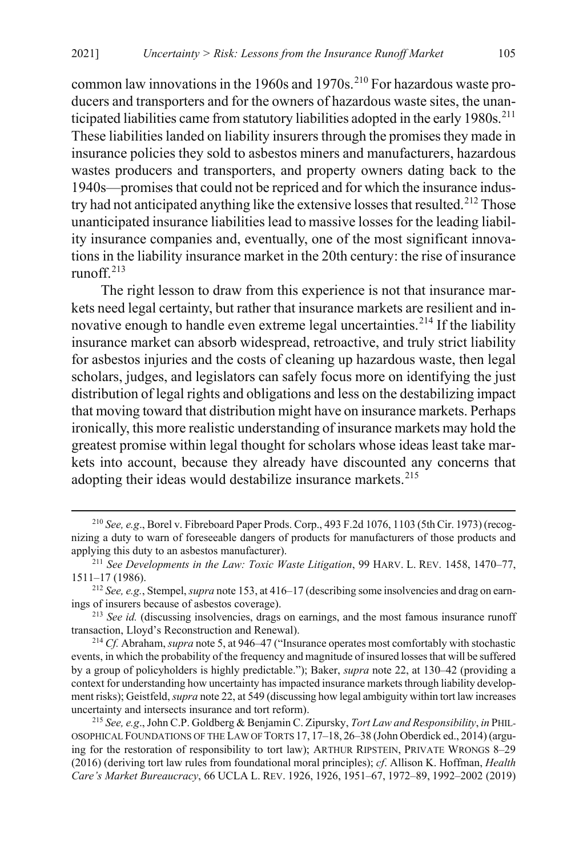common law innovations in the 1960s and 1970s.<sup>[210](#page-47-0)</sup> For hazardous waste producers and transporters and for the owners of hazardous waste sites, the unan-ticipated liabilities came from statutory liabilities adopted in the early 1980s.<sup>[211](#page-47-1)</sup> These liabilities landed on liability insurers through the promises they made in insurance policies they sold to asbestos miners and manufacturers, hazardous wastes producers and transporters, and property owners dating back to the 1940s—promises that could not be repriced and for which the insurance indus-try had not anticipated anything like the extensive losses that resulted.<sup>[212](#page-47-2)</sup> Those unanticipated insurance liabilities lead to massive losses for the leading liability insurance companies and, eventually, one of the most significant innovations in the liability insurance market in the 20th century: the rise of insurance runoff.[213](#page-47-3)

The right lesson to draw from this experience is not that insurance markets need legal certainty, but rather that insurance markets are resilient and in-novative enough to handle even extreme legal uncertainties.<sup>[214](#page-47-4)</sup> If the liability insurance market can absorb widespread, retroactive, and truly strict liability for asbestos injuries and the costs of cleaning up hazardous waste, then legal scholars, judges, and legislators can safely focus more on identifying the just distribution of legal rights and obligations and less on the destabilizing impact that moving toward that distribution might have on insurance markets. Perhaps ironically, this more realistic understanding of insurance markets may hold the greatest promise within legal thought for scholars whose ideas least take markets into account, because they already have discounted any concerns that adopting their ideas would destabilize insurance markets.<sup>[215](#page-47-5)</sup>

<span id="page-47-0"></span> <sup>210</sup> *See, e.g*., Borel v. Fibreboard Paper Prods. Corp., 493 F.2d 1076, 1103 (5th Cir. 1973) (recognizing a duty to warn of foreseeable dangers of products for manufacturers of those products and applying this duty to an asbestos manufacturer).

<span id="page-47-1"></span><sup>211</sup> *See Developments in the Law: Toxic Waste Litigation*, 99 HARV. L. REV. 1458, 1470–77, 1511–17 (1986).

<span id="page-47-2"></span><sup>212</sup> *See, e.g.*, Stempel, *supra* not[e 153,](#page-35-1) at 416–17 (describing some insolvencies and drag on earnings of insurers because of asbestos coverage).

<span id="page-47-3"></span><sup>&</sup>lt;sup>213</sup> *See id.* (discussing insolvencies, drags on earnings, and the most famous insurance runoff transaction, Lloyd's Reconstruction and Renewal).

<span id="page-47-4"></span><sup>214</sup> *Cf.* Abraham, *supra* not[e 5,](#page-4-2) at 946–47 ("Insurance operates most comfortably with stochastic events, in which the probability of the frequency and magnitude of insured losses that will be suffered by a group of policyholders is highly predictable."); Baker, *supra* not[e 22,](#page-8-4) at 130–42 (providing a context for understanding how uncertainty has impacted insurance markets through liability development risks); Geistfeld, *supra* not[e 22,](#page-8-4) at 549 (discussing how legal ambiguity within tort law increases uncertainty and intersects insurance and tort reform).

<span id="page-47-5"></span><sup>215</sup> *See, e.g*., John C.P. Goldberg & Benjamin C. Zipursky, *Tort Law and Responsibility*, *in* PHIL-OSOPHICAL FOUNDATIONS OF THE LAW OF TORTS 17, 17–18, 26–38 (John Oberdick ed., 2014) (arguing for the restoration of responsibility to tort law); ARTHUR RIPSTEIN, PRIVATE WRONGS 8–29 (2016) (deriving tort law rules from foundational moral principles); *cf*. Allison K. Hoffman, *Health Care's Market Bureaucracy*, 66 UCLA L. REV. 1926, 1926, 1951–67, 1972–89, 1992–2002 (2019)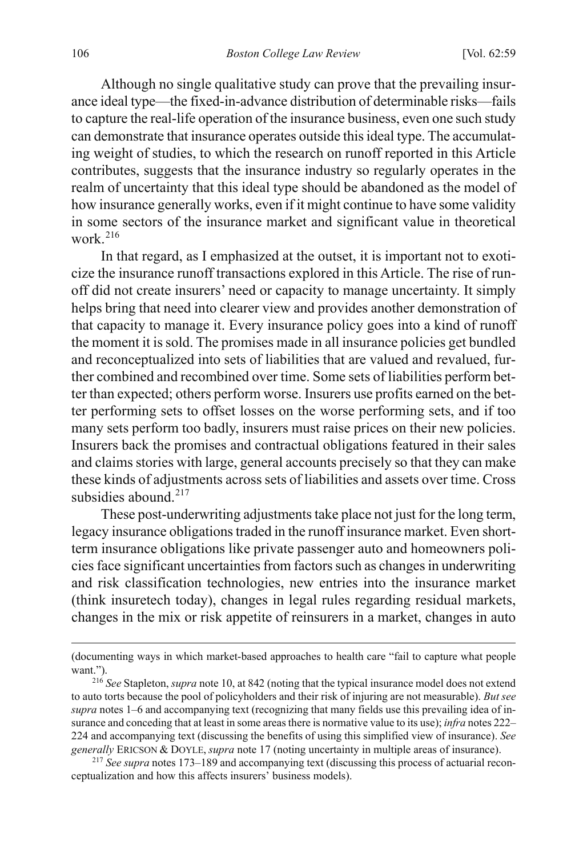Although no single qualitative study can prove that the prevailing insurance ideal type—the fixed-in-advance distribution of determinable risks—fails to capture the real-life operation of the insurance business, even one such study can demonstrate that insurance operates outside this ideal type. The accumulating weight of studies, to which the research on runoff reported in this Article contributes, suggests that the insurance industry so regularly operates in the realm of uncertainty that this ideal type should be abandoned as the model of how insurance generally works, even if it might continue to have some validity in some sectors of the insurance market and significant value in theoretical work $216$ 

In that regard, as I emphasized at the outset, it is important not to exoticize the insurance runoff transactions explored in this Article. The rise of runoff did not create insurers' need or capacity to manage uncertainty. It simply helps bring that need into clearer view and provides another demonstration of that capacity to manage it. Every insurance policy goes into a kind of runoff the moment it is sold. The promises made in all insurance policies get bundled and reconceptualized into sets of liabilities that are valued and revalued, further combined and recombined over time. Some sets of liabilities perform better than expected; others perform worse. Insurers use profits earned on the better performing sets to offset losses on the worse performing sets, and if too many sets perform too badly, insurers must raise prices on their new policies. Insurers back the promises and contractual obligations featured in their sales and claims stories with large, general accounts precisely so that they can make these kinds of adjustments across sets of liabilities and assets over time. Cross subsidies abound.<sup>[217](#page-48-1)</sup>

These post-underwriting adjustments take place not just for the long term, legacy insurance obligations traded in the runoff insurance market. Even shortterm insurance obligations like private passenger auto and homeowners policies face significant uncertainties from factors such as changes in underwriting and risk classification technologies, new entries into the insurance market (think insuretech today), changes in legal rules regarding residual markets, changes in the mix or risk appetite of reinsurers in a market, changes in auto

 $\overline{a}$ 

<sup>(</sup>documenting ways in which market-based approaches to health care "fail to capture what people want."). 216 *See* Stapleton, *supra* not[e 10,](#page-6-0) at 842 (noting that the typical insurance model does not extend

<span id="page-48-0"></span>to auto torts because the pool of policyholders and their risk of injuring are not measurable). *But see supra* note[s 1](#page-3-3)[–6](#page-5-3) and accompanying text (recognizing that many fields use this prevailing idea of insurance and conceding that at least in some areas there is normative value to its use); *infra* note[s 222–](#page-49-0) [224](#page-50-1) and accompanying text (discussing the benefits of using this simplified view of insurance). *See generally* ERICSON & DOYLE, *supra* not[e 17](#page-7-4) (noting uncertainty in multiple areas of insurance).

<span id="page-48-1"></span><sup>217</sup> *See supra* notes [173–](#page-39-4)[189](#page-42-7) and accompanying text (discussing this process of actuarial reconceptualization and how this affects insurers' business models).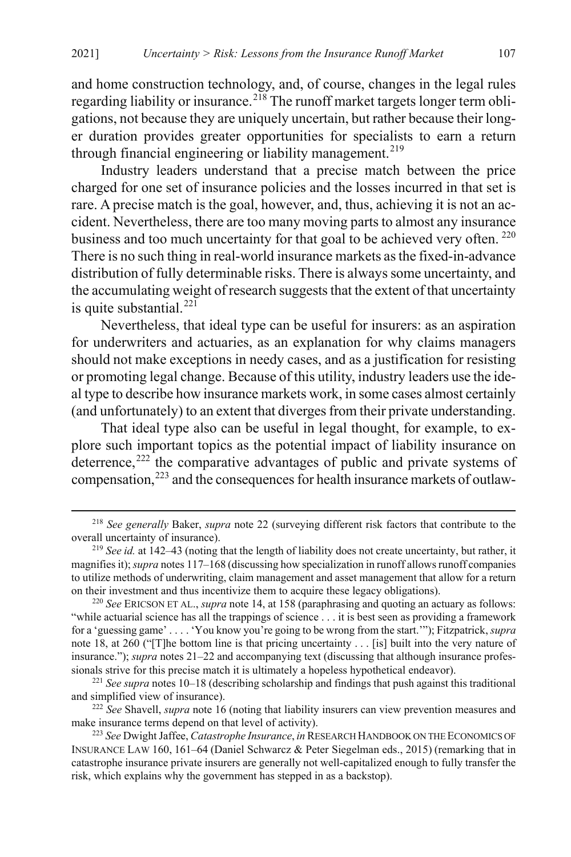and home construction technology, and, of course, changes in the legal rules regarding liability or insurance.<sup>[218](#page-49-1)</sup> The runoff market targets longer term obligations, not because they are uniquely uncertain, but rather because their longer duration provides greater opportunities for specialists to earn a return through financial engineering or liability management.<sup>[219](#page-49-2)</sup>

Industry leaders understand that a precise match between the price charged for one set of insurance policies and the losses incurred in that set is rare. A precise match is the goal, however, and, thus, achieving it is not an accident. Nevertheless, there are too many moving parts to almost any insurance business and too much uncertainty for that goal to be achieved very often.<sup>[220](#page-49-3)</sup> There is no such thing in real-world insurance markets as the fixed-in-advance distribution of fully determinable risks. There is always some uncertainty, and the accumulating weight of research suggests that the extent of that uncertainty is quite substantial. $^{221}$  $^{221}$  $^{221}$ 

Nevertheless, that ideal type can be useful for insurers: as an aspiration for underwriters and actuaries, as an explanation for why claims managers should not make exceptions in needy cases, and as a justification for resisting or promoting legal change. Because of this utility, industry leaders use the ideal type to describe how insurance markets work, in some cases almost certainly (and unfortunately) to an extent that diverges from their private understanding.

<span id="page-49-0"></span>That ideal type also can be useful in legal thought, for example, to explore such important topics as the potential impact of liability insurance on deterrence,<sup>[222](#page-49-5)</sup> the comparative advantages of public and private systems of compensation,<sup>[223](#page-49-6)</sup> and the consequences for health insurance markets of outlaw-

<span id="page-49-1"></span> <sup>218</sup> *See generally* Baker, *supra* note [22](#page-8-4) (surveying different risk factors that contribute to the overall uncertainty of insurance).

<span id="page-49-2"></span><sup>&</sup>lt;sup>219</sup> *See id.* at 142–43 (noting that the length of liability does not create uncertainty, but rather, it magnifies it); *supra* note[s 117](#page-26-1)[–168](#page-38-0) (discussing how specialization in runoff allows runoff companies to utilize methods of underwriting, claim management and asset management that allow for a return on their investment and thus incentivize them to acquire these legacy obligations). 220 *See* ERICSON ET AL., *supra* not[e 14,](#page-6-7) at 158 (paraphrasing and quoting an actuary as follows:

<span id="page-49-3"></span><sup>&</sup>quot;while actuarial science has all the trappings of science . . . it is best seen as providing a framework for a 'guessing game' . . . . 'You know you're going to be wrong from the start.'"); Fitzpatrick, *supra* note [18,](#page-7-5) at 260 ("[T]he bottom line is that pricing uncertainty . . . [is] built into the very nature of insurance."); *supra* note[s 21](#page-8-6)[–22](#page-8-4) and accompanying text (discussing that although insurance professionals strive for this precise match it is ultimately a hopeless hypothetical endeavor).

<span id="page-49-4"></span><sup>&</sup>lt;sup>221</sup> *See supra* notes [10–](#page-6-0)[18](#page-7-5) (describing scholarship and findings that push against this traditional and simplified view of insurance).

<span id="page-49-5"></span><sup>222</sup> *See* Shavell, *supra* not[e 16](#page-7-6) (noting that liability insurers can view prevention measures and make insurance terms depend on that level of activity).

<span id="page-49-6"></span><sup>223</sup> *See* Dwight Jaffee, *Catastrophe Insurance*, *in* RESEARCH HANDBOOK ON THE ECONOMICS OF INSURANCE LAW 160, 161–64 (Daniel Schwarcz & Peter Siegelman eds., 2015) (remarking that in catastrophe insurance private insurers are generally not well-capitalized enough to fully transfer the risk, which explains why the government has stepped in as a backstop).